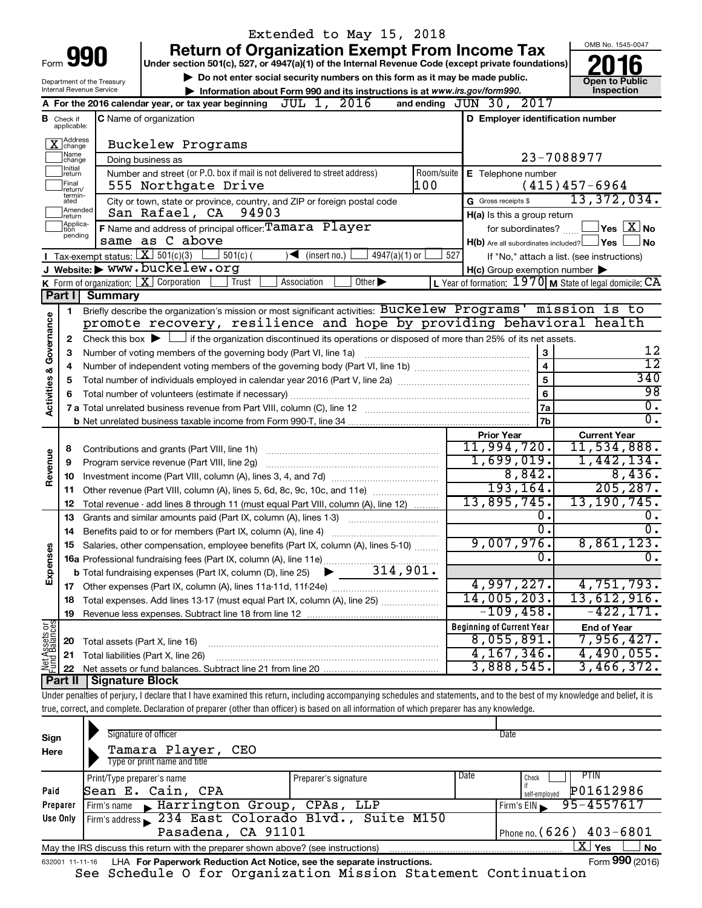|                         |                                  |                                                                                                                                           | Extended to May 15, 2018                                                                                                                                                   |                 |                                                     |                                                                      |
|-------------------------|----------------------------------|-------------------------------------------------------------------------------------------------------------------------------------------|----------------------------------------------------------------------------------------------------------------------------------------------------------------------------|-----------------|-----------------------------------------------------|----------------------------------------------------------------------|
|                         |                                  |                                                                                                                                           | <b>Return of Organization Exempt From Income Tax</b>                                                                                                                       |                 |                                                     | OMB No. 1545-0047                                                    |
|                         |                                  | Form 990                                                                                                                                  | Under section 501(c), 527, or 4947(a)(1) of the Internal Revenue Code (except private foundations)                                                                         |                 |                                                     |                                                                      |
|                         |                                  | Department of the Treasury                                                                                                                | Do not enter social security numbers on this form as it may be made public.                                                                                                |                 |                                                     | <b>Open to Public</b>                                                |
|                         |                                  | Internal Revenue Service                                                                                                                  | Information about Form 990 and its instructions is at www.irs.gov/form990.                                                                                                 |                 |                                                     | Inspection                                                           |
|                         |                                  |                                                                                                                                           | A For the 2016 calendar year, or tax year beginning $JUL$ 1, $2016$                                                                                                        |                 | and ending JUN 30, 2017                             |                                                                      |
|                         | <b>B</b> Check if<br>applicable: |                                                                                                                                           | C Name of organization                                                                                                                                                     |                 | D Employer identification number                    |                                                                      |
|                         | X Address                        |                                                                                                                                           | Buckelew Programs                                                                                                                                                          |                 |                                                     |                                                                      |
|                         | Name<br>change                   |                                                                                                                                           | Doing business as                                                                                                                                                          |                 |                                                     | 23-7088977                                                           |
|                         | Initial<br>return                |                                                                                                                                           | Number and street (or P.O. box if mail is not delivered to street address)                                                                                                 | Room/suite      | <b>E</b> Telephone number                           |                                                                      |
|                         | Final<br>return/<br>termin-      |                                                                                                                                           | 100<br>555 Northgate Drive                                                                                                                                                 |                 |                                                     | $(415)457-6964$                                                      |
|                         | ated<br>Amended                  |                                                                                                                                           | City or town, state or province, country, and ZIP or foreign postal code                                                                                                   |                 | G Gross receipts \$                                 | 13,372,034.                                                          |
|                         | return<br>Applica-               |                                                                                                                                           | San Rafael, CA<br>94903                                                                                                                                                    |                 | H(a) Is this a group return                         |                                                                      |
|                         | tion<br>pending                  |                                                                                                                                           | F Name and address of principal officer: Tamara Player<br>same as C above                                                                                                  |                 |                                                     | for subordinates? $\boxed{\phantom{a}}$ Yes $\boxed{\phantom{a}}$ No |
|                         |                                  | <b>I</b> Tax-exempt status: $X \ 501(c)(3)$                                                                                               | $501(c)$ (                                                                                                                                                                 | 527             | $H(b)$ Are all subordinates included? $\Box$ Yes    | <b>No</b>                                                            |
|                         |                                  |                                                                                                                                           | $\sqrt{\frac{1}{1}}$ (insert no.)<br>$4947(a)(1)$ or<br>J Website: WWW.buckelew.org                                                                                        |                 |                                                     | If "No," attach a list. (see instructions)                           |
|                         |                                  |                                                                                                                                           | K Form of organization: $X$ Corporation<br>Trust<br>Association<br>Other $\blacktriangleright$                                                                             |                 | $H(c)$ Group exemption number $\blacktriangleright$ | L Year of formation: $1970$ M State of legal domicile: CA            |
|                         | Part I                           | Summary                                                                                                                                   |                                                                                                                                                                            |                 |                                                     |                                                                      |
|                         | 1                                |                                                                                                                                           | Briefly describe the organization's mission or most significant activities: Buckelew Programs' mission is to                                                               |                 |                                                     |                                                                      |
|                         |                                  |                                                                                                                                           | promote recovery, resilience and hope by providing behavioral health                                                                                                       |                 |                                                     |                                                                      |
|                         | 2                                | Check this box $\blacktriangleright \Box$ if the organization discontinued its operations or disposed of more than 25% of its net assets. |                                                                                                                                                                            |                 |                                                     |                                                                      |
|                         | з                                | Number of voting members of the governing body (Part VI, line 1a)                                                                         | 3                                                                                                                                                                          | 12              |                                                     |                                                                      |
|                         | 4                                |                                                                                                                                           | $\overline{\mathbf{4}}$                                                                                                                                                    | $\overline{12}$ |                                                     |                                                                      |
|                         | 5                                |                                                                                                                                           | 5                                                                                                                                                                          | 340             |                                                     |                                                                      |
|                         | 6                                |                                                                                                                                           |                                                                                                                                                                            |                 | 6                                                   | 98                                                                   |
| Activities & Governance |                                  |                                                                                                                                           |                                                                                                                                                                            |                 | 7a                                                  | σ.                                                                   |
|                         |                                  |                                                                                                                                           |                                                                                                                                                                            | 7b              | $\overline{0}$ .                                    |                                                                      |
|                         |                                  |                                                                                                                                           |                                                                                                                                                                            |                 | <b>Prior Year</b>                                   | <b>Current Year</b>                                                  |
|                         | 8                                |                                                                                                                                           | Contributions and grants (Part VIII, line 1h)                                                                                                                              |                 | 11,994,720.                                         | 11,534,888.                                                          |
| Revenue                 | 9                                |                                                                                                                                           | Program service revenue (Part VIII, line 2g)                                                                                                                               |                 | 1,699,019.                                          | 1,442,134.                                                           |
|                         | 10                               |                                                                                                                                           |                                                                                                                                                                            |                 | 8,842.<br>193, 164.                                 | 8,436.                                                               |
|                         | 11                               |                                                                                                                                           | Other revenue (Part VIII, column (A), lines 5, 6d, 8c, 9c, 10c, and 11e)                                                                                                   |                 | 13,895,745.                                         | 205, 287.<br>13,190,745.                                             |
|                         | 12                               |                                                                                                                                           | Total revenue - add lines 8 through 11 (must equal Part VIII, column (A), line 12)                                                                                         |                 | о.                                                  |                                                                      |
|                         | 13                               |                                                                                                                                           | Grants and similar amounts paid (Part IX, column (A), lines 1-3)                                                                                                           |                 | σ.                                                  | $\overline{0}$ .                                                     |
|                         | 14                               |                                                                                                                                           | Benefits paid to or for members (Part IX, column (A), line 4)                                                                                                              |                 | 9,007,976.                                          | 8,861,123.                                                           |
|                         | 15                               |                                                                                                                                           | Salaries, other compensation, employee benefits (Part IX, column (A), lines 5-10)                                                                                          |                 | О.                                                  | σ.                                                                   |
| Expenses                |                                  |                                                                                                                                           |                                                                                                                                                                            |                 |                                                     |                                                                      |
|                         |                                  |                                                                                                                                           |                                                                                                                                                                            |                 | 4,997,227.                                          | 4,751,793.                                                           |
|                         | 18                               |                                                                                                                                           | Total expenses. Add lines 13-17 (must equal Part IX, column (A), line 25)                                                                                                  |                 | 14,005,203.                                         | $13,612,916$ .                                                       |
|                         | 19                               |                                                                                                                                           |                                                                                                                                                                            |                 | $-109,458$ .                                        | $-422, 171.$                                                         |
| Net Assets or           |                                  |                                                                                                                                           |                                                                                                                                                                            |                 | <b>Beginning of Current Year</b>                    | <b>End of Year</b>                                                   |
|                         | 20                               | Total assets (Part X, line 16)                                                                                                            |                                                                                                                                                                            |                 | 8,055,891.                                          | 7,956,427.                                                           |
|                         | 21                               |                                                                                                                                           | Total liabilities (Part X, line 26)                                                                                                                                        |                 | 4, 167, 346.                                        | $4,490,055$ .                                                        |
|                         | 22                               |                                                                                                                                           |                                                                                                                                                                            |                 | 3,888,545.                                          | 3,466,372.                                                           |
|                         | Part II                          | Signature Block                                                                                                                           |                                                                                                                                                                            |                 |                                                     |                                                                      |
|                         |                                  |                                                                                                                                           | Under penalties of perjury, I declare that I have examined this return, including accompanying schedules and statements, and to the best of my knowledge and belief, it is |                 |                                                     |                                                                      |
|                         |                                  |                                                                                                                                           | true, correct, and complete. Declaration of preparer (other than officer) is based on all information of which preparer has any knowledge.                                 |                 |                                                     |                                                                      |

| Sign<br>Here | Signature of officer<br>Tamara Player, CEO<br>Type or print name and title                                   |                      |      | Date                          |  |  |  |  |  |  |
|--------------|--------------------------------------------------------------------------------------------------------------|----------------------|------|-------------------------------|--|--|--|--|--|--|
|              | Print/Type preparer's name                                                                                   | Preparer's signature | Date | PTIN.<br>Check                |  |  |  |  |  |  |
| Paid         | Sean E. Cain, CPA                                                                                            |                      |      | P01612986<br>self-employed    |  |  |  |  |  |  |
| Preparer     | Firm's name Marrington Group, CPAs, LLP                                                                      |                      |      | 95-4557617<br>Firm's $EIN$    |  |  |  |  |  |  |
| Use Only     | Firm's address 234 East Colorado Blvd., Suite M150                                                           |                      |      |                               |  |  |  |  |  |  |
|              | Pasadena, CA 91101<br>Phone no. $(626)$ 403-6801                                                             |                      |      |                               |  |  |  |  |  |  |
|              | May the IRS discuss this return with the preparer shown above? (see instructions)                            |                      |      | $\mathbf{X}$ Yes<br><b>No</b> |  |  |  |  |  |  |
|              | Form 990 (2016)<br>LHA For Paperwork Reduction Act Notice, see the separate instructions.<br>632001 11-11-16 |                      |      |                               |  |  |  |  |  |  |

See Schedule O for Organization Mission Statement Continuation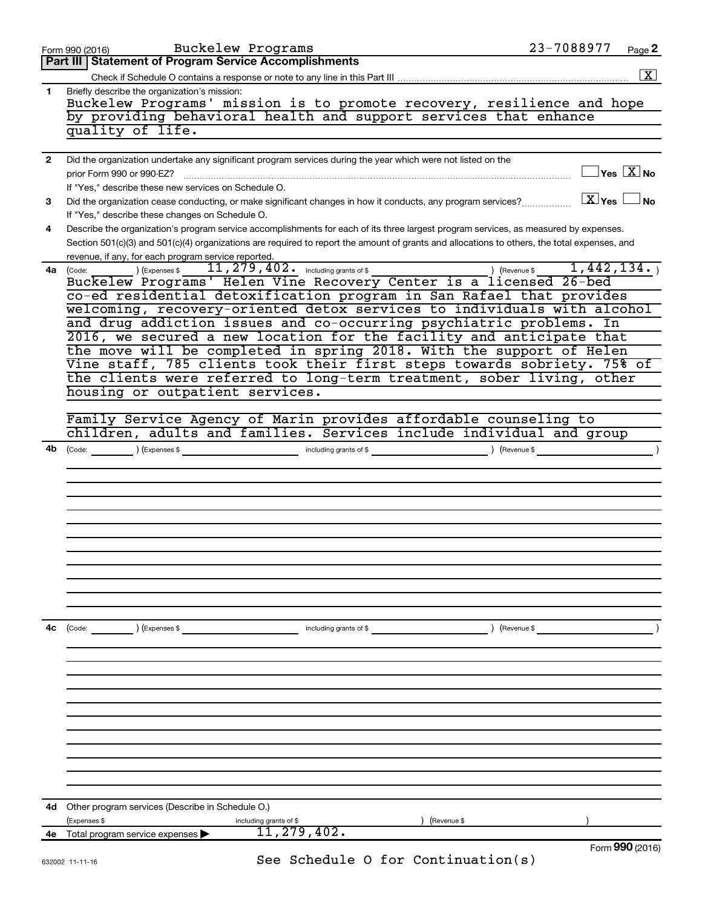|              | Buckelew Programs<br>Form 990 (2016)                                                                                                                                                                                                                                                                                                                                                            | 23-7088977                              | Page 2               |
|--------------|-------------------------------------------------------------------------------------------------------------------------------------------------------------------------------------------------------------------------------------------------------------------------------------------------------------------------------------------------------------------------------------------------|-----------------------------------------|----------------------|
|              | Part III   Statement of Program Service Accomplishments                                                                                                                                                                                                                                                                                                                                         |                                         |                      |
|              |                                                                                                                                                                                                                                                                                                                                                                                                 |                                         | $\boxed{\textbf{X}}$ |
| 1.           | Briefly describe the organization's mission:<br>Buckelew Programs' mission is to promote recovery, resilience and hope<br>by providing behavioral health and support services that enhance<br>quality of life.                                                                                                                                                                                  |                                         |                      |
|              |                                                                                                                                                                                                                                                                                                                                                                                                 |                                         |                      |
| $\mathbf{2}$ | Did the organization undertake any significant program services during the year which were not listed on the<br>prior Form 990 or 990-EZ?<br>If "Yes," describe these new services on Schedule O.                                                                                                                                                                                               | $\Box$ Yes $[\overline{\mathrm{X}}]$ No |                      |
| 3            | Did the organization cease conducting, or make significant changes in how it conducts, any program services?                                                                                                                                                                                                                                                                                    | $X$ Yes $\Box$ No                       |                      |
| 4            | If "Yes," describe these changes on Schedule O.<br>Describe the organization's program service accomplishments for each of its three largest program services, as measured by expenses.                                                                                                                                                                                                         |                                         |                      |
|              | Section 501(c)(3) and 501(c)(4) organizations are required to report the amount of grants and allocations to others, the total expenses, and<br>revenue, if any, for each program service reported.                                                                                                                                                                                             |                                         |                      |
|              | (Code: ) (Expenses \$ 11,279,402. including grants of \$ ) (Revenue \$ 1,442,134.)<br>Buckelew Programs' Helen Vine Recovery Center is a licensed 26-bed<br>4a (Code:<br>co-ed residential detoxification program in San Rafael that provides<br>welcoming, recovery-oriented detox services to individuals with alcohol<br>and drug addiction issues and co-occurring psychiatric problems. In |                                         |                      |
|              | 2016, we secured a new location for the facility and anticipate that<br>the move will be completed in spring 2018. With the support of Helen                                                                                                                                                                                                                                                    |                                         |                      |
|              | Vine staff, 785 clients took their first steps towards sobriety. 75% of                                                                                                                                                                                                                                                                                                                         |                                         |                      |
|              | the clients were referred to long-term treatment, sober living, other                                                                                                                                                                                                                                                                                                                           |                                         |                      |
|              | housing or outpatient services.                                                                                                                                                                                                                                                                                                                                                                 |                                         |                      |
|              |                                                                                                                                                                                                                                                                                                                                                                                                 |                                         |                      |
|              | Family Service Agency of Marin provides affordable counseling to<br>children, adults and families. Services include individual and group                                                                                                                                                                                                                                                        |                                         |                      |
| 4b           |                                                                                                                                                                                                                                                                                                                                                                                                 | ) (Revenue \$                           | $\lambda$            |
|              |                                                                                                                                                                                                                                                                                                                                                                                                 |                                         |                      |
|              |                                                                                                                                                                                                                                                                                                                                                                                                 |                                         |                      |
|              |                                                                                                                                                                                                                                                                                                                                                                                                 |                                         |                      |
|              |                                                                                                                                                                                                                                                                                                                                                                                                 |                                         |                      |
|              |                                                                                                                                                                                                                                                                                                                                                                                                 |                                         |                      |
|              |                                                                                                                                                                                                                                                                                                                                                                                                 |                                         |                      |
|              |                                                                                                                                                                                                                                                                                                                                                                                                 |                                         |                      |
|              |                                                                                                                                                                                                                                                                                                                                                                                                 |                                         |                      |
|              |                                                                                                                                                                                                                                                                                                                                                                                                 |                                         |                      |
|              |                                                                                                                                                                                                                                                                                                                                                                                                 |                                         |                      |
| 4с           | $\text{(Code:}$ $\qquad \qquad \text{)}$ (Expenses \$<br>including grants of $$$                                                                                                                                                                                                                                                                                                                | ) (Revenue \$                           |                      |
|              |                                                                                                                                                                                                                                                                                                                                                                                                 |                                         |                      |
|              |                                                                                                                                                                                                                                                                                                                                                                                                 |                                         |                      |
|              |                                                                                                                                                                                                                                                                                                                                                                                                 |                                         |                      |
|              |                                                                                                                                                                                                                                                                                                                                                                                                 |                                         |                      |
|              |                                                                                                                                                                                                                                                                                                                                                                                                 |                                         |                      |
|              |                                                                                                                                                                                                                                                                                                                                                                                                 |                                         |                      |
|              |                                                                                                                                                                                                                                                                                                                                                                                                 |                                         |                      |
|              |                                                                                                                                                                                                                                                                                                                                                                                                 |                                         |                      |
|              |                                                                                                                                                                                                                                                                                                                                                                                                 |                                         |                      |
|              |                                                                                                                                                                                                                                                                                                                                                                                                 |                                         |                      |
|              | <b>4d</b> Other program services (Describe in Schedule O.)                                                                                                                                                                                                                                                                                                                                      |                                         |                      |
|              | (Expenses \$<br>including grants of \$<br>(Revenue \$                                                                                                                                                                                                                                                                                                                                           |                                         |                      |
| 4е           | 11,279,402.<br>Total program service expenses >                                                                                                                                                                                                                                                                                                                                                 |                                         |                      |
|              |                                                                                                                                                                                                                                                                                                                                                                                                 |                                         | Form 990 (2016)      |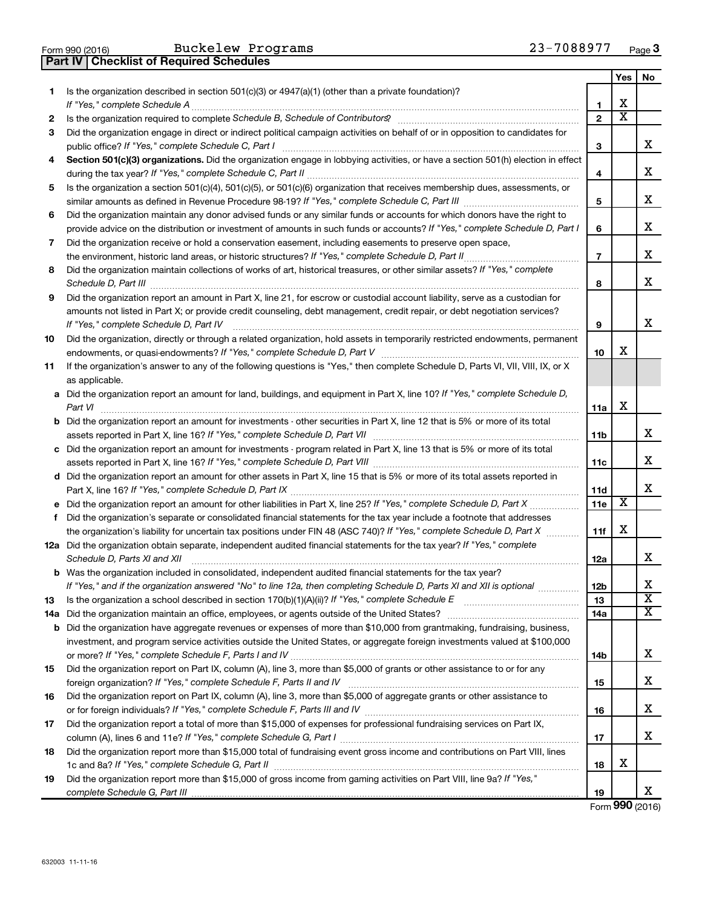| Form 990 (2016) |  |  |
|-----------------|--|--|

Buckelew Programs 23-7088977

**Part IV Checklist of Required Schedules**

|    |                                                                                                                                                                                                                                             |                | <b>Yes</b>              | No                           |
|----|---------------------------------------------------------------------------------------------------------------------------------------------------------------------------------------------------------------------------------------------|----------------|-------------------------|------------------------------|
| 1  | Is the organization described in section 501(c)(3) or $4947(a)(1)$ (other than a private foundation)?                                                                                                                                       |                |                         |                              |
|    |                                                                                                                                                                                                                                             | 1              | х                       |                              |
| 2  | Is the organization required to complete Schedule B, Schedule of Contributors? [11] The organization required to complete Schedule B, Schedule of Contributors?                                                                             | $\mathbf{2}$   | $\overline{\text{x}}$   |                              |
| 3  | Did the organization engage in direct or indirect political campaign activities on behalf of or in opposition to candidates for<br>public office? If "Yes," complete Schedule C, Part I                                                     | 3              |                         | х                            |
| 4  | Section 501(c)(3) organizations. Did the organization engage in lobbying activities, or have a section 501(h) election in effect                                                                                                            | 4              |                         | х                            |
| 5  | Is the organization a section 501(c)(4), 501(c)(5), or 501(c)(6) organization that receives membership dues, assessments, or                                                                                                                |                |                         |                              |
|    |                                                                                                                                                                                                                                             | 5              |                         | х                            |
| 6  | Did the organization maintain any donor advised funds or any similar funds or accounts for which donors have the right to                                                                                                                   |                |                         |                              |
|    | provide advice on the distribution or investment of amounts in such funds or accounts? If "Yes," complete Schedule D, Part I                                                                                                                | 6              |                         | х                            |
| 7  | Did the organization receive or hold a conservation easement, including easements to preserve open space,                                                                                                                                   |                |                         |                              |
|    |                                                                                                                                                                                                                                             | $\overline{7}$ |                         | х                            |
| 8  | Did the organization maintain collections of works of art, historical treasures, or other similar assets? If "Yes," complete                                                                                                                | 8              |                         | х                            |
| 9  | Did the organization report an amount in Part X, line 21, for escrow or custodial account liability, serve as a custodian for                                                                                                               |                |                         |                              |
|    | amounts not listed in Part X; or provide credit counseling, debt management, credit repair, or debt negotiation services?                                                                                                                   |                |                         |                              |
|    | If "Yes," complete Schedule D, Part IV                                                                                                                                                                                                      | 9              |                         | х                            |
| 10 | Did the organization, directly or through a related organization, hold assets in temporarily restricted endowments, permanent                                                                                                               |                |                         |                              |
|    |                                                                                                                                                                                                                                             | 10             | х                       |                              |
| 11 | If the organization's answer to any of the following questions is "Yes," then complete Schedule D, Parts VI, VII, VIII, IX, or X                                                                                                            |                |                         |                              |
|    | as applicable.<br>a Did the organization report an amount for land, buildings, and equipment in Part X, line 10? If "Yes," complete Schedule D,                                                                                             |                |                         |                              |
|    | Part VI                                                                                                                                                                                                                                     | 11a            | х                       |                              |
|    | <b>b</b> Did the organization report an amount for investments - other securities in Part X, line 12 that is 5% or more of its total                                                                                                        |                |                         |                              |
|    |                                                                                                                                                                                                                                             | 11b            |                         | х                            |
|    | c Did the organization report an amount for investments - program related in Part X, line 13 that is 5% or more of its total                                                                                                                |                |                         |                              |
|    |                                                                                                                                                                                                                                             | 11c            |                         | х                            |
|    | d Did the organization report an amount for other assets in Part X, line 15 that is 5% or more of its total assets reported in                                                                                                              |                |                         |                              |
|    |                                                                                                                                                                                                                                             | 11d            |                         | х                            |
|    | e Did the organization report an amount for other liabilities in Part X, line 25? If "Yes," complete Schedule D, Part X                                                                                                                     | 11e            | $\overline{\textbf{x}}$ |                              |
| f  | Did the organization's separate or consolidated financial statements for the tax year include a footnote that addresses                                                                                                                     |                |                         |                              |
|    | the organization's liability for uncertain tax positions under FIN 48 (ASC 740)? If "Yes," complete Schedule D, Part X                                                                                                                      | 11f            | х                       |                              |
|    | 12a Did the organization obtain separate, independent audited financial statements for the tax year? If "Yes," complete                                                                                                                     |                |                         |                              |
|    | Schedule D, Parts XI and XII                                                                                                                                                                                                                | 12a            |                         | х                            |
|    | <b>b</b> Was the organization included in consolidated, independent audited financial statements for the tax year?<br>If "Yes," and if the organization answered "No" to line 12a, then completing Schedule D, Parts XI and XII is optional | 12b            |                         |                              |
| 13 |                                                                                                                                                                                                                                             | 13             |                         | ▵<br>$\overline{\mathbf{X}}$ |
|    |                                                                                                                                                                                                                                             | 14a            |                         | х                            |
|    | <b>b</b> Did the organization have aggregate revenues or expenses of more than \$10,000 from grantmaking, fundraising, business,                                                                                                            |                |                         |                              |
|    | investment, and program service activities outside the United States, or aggregate foreign investments valued at \$100,000                                                                                                                  |                |                         |                              |
|    |                                                                                                                                                                                                                                             | 14b            |                         | х                            |
| 15 | Did the organization report on Part IX, column (A), line 3, more than \$5,000 of grants or other assistance to or for any                                                                                                                   |                |                         |                              |
|    |                                                                                                                                                                                                                                             | 15             |                         | x                            |
| 16 | Did the organization report on Part IX, column (A), line 3, more than \$5,000 of aggregate grants or other assistance to                                                                                                                    |                |                         |                              |
|    |                                                                                                                                                                                                                                             | 16             |                         | х                            |
| 17 | Did the organization report a total of more than \$15,000 of expenses for professional fundraising services on Part IX,                                                                                                                     |                |                         |                              |
|    |                                                                                                                                                                                                                                             | 17             |                         | х                            |
| 18 | Did the organization report more than \$15,000 total of fundraising event gross income and contributions on Part VIII, lines                                                                                                                |                |                         |                              |
|    |                                                                                                                                                                                                                                             | 18             | х                       |                              |
| 19 | Did the organization report more than \$15,000 of gross income from gaming activities on Part VIII, line 9a? If "Yes,"                                                                                                                      | 19             |                         | х                            |
|    |                                                                                                                                                                                                                                             |                |                         |                              |

Form (2016) **990**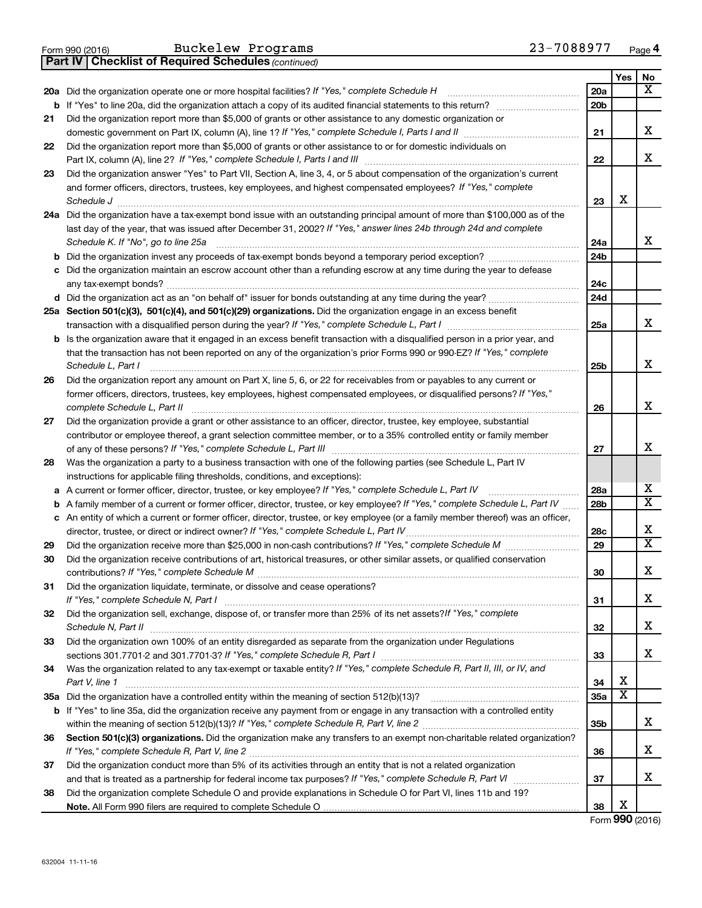|  | Form 990 (2016) |
|--|-----------------|
|  |                 |

**Part IV Checklist of Required Schedules**

Buckelew Programs 23-7088977

*(continued)*

|        |                                                                                                                                                        |                 | Yes                   | No                      |
|--------|--------------------------------------------------------------------------------------------------------------------------------------------------------|-----------------|-----------------------|-------------------------|
|        | 20a Did the organization operate one or more hospital facilities? If "Yes," complete Schedule H                                                        | 20a             |                       | X                       |
|        | <b>b</b> If "Yes" to line 20a, did the organization attach a copy of its audited financial statements to this return?                                  | 20 <sub>b</sub> |                       |                         |
| 21     | Did the organization report more than \$5,000 of grants or other assistance to any domestic organization or                                            |                 |                       |                         |
|        | domestic government on Part IX, column (A), line 1? If "Yes," complete Schedule I, Parts I and II                                                      | 21              |                       | x                       |
| 22     | Did the organization report more than \$5,000 of grants or other assistance to or for domestic individuals on                                          |                 |                       |                         |
|        |                                                                                                                                                        | 22              |                       | x                       |
| 23     | Did the organization answer "Yes" to Part VII, Section A, line 3, 4, or 5 about compensation of the organization's current                             |                 |                       |                         |
|        | and former officers, directors, trustees, key employees, and highest compensated employees? If "Yes," complete                                         |                 |                       |                         |
|        | Schedule J                                                                                                                                             | 23              | X                     |                         |
|        | 24a Did the organization have a tax-exempt bond issue with an outstanding principal amount of more than \$100,000 as of the                            |                 |                       |                         |
|        | last day of the year, that was issued after December 31, 2002? If "Yes," answer lines 24b through 24d and complete                                     |                 |                       | x                       |
|        | Schedule K. If "No", go to line 25a<br>Did the organization invest any proceeds of tax-exempt bonds beyond a temporary period exception?               | 24a<br>24b      |                       |                         |
| b<br>с | Did the organization maintain an escrow account other than a refunding escrow at any time during the year to defease                                   |                 |                       |                         |
|        |                                                                                                                                                        | 24c             |                       |                         |
|        | d Did the organization act as an "on behalf of" issuer for bonds outstanding at any time during the year?                                              | 24d             |                       |                         |
|        | 25a Section 501(c)(3), 501(c)(4), and 501(c)(29) organizations. Did the organization engage in an excess benefit                                       |                 |                       |                         |
|        | transaction with a disqualified person during the year? If "Yes," complete Schedule L, Part I                                                          | 25a             |                       | x                       |
|        | b Is the organization aware that it engaged in an excess benefit transaction with a disqualified person in a prior year, and                           |                 |                       |                         |
|        | that the transaction has not been reported on any of the organization's prior Forms 990 or 990-EZ? If "Yes," complete                                  |                 |                       |                         |
|        | Schedule L, Part I                                                                                                                                     | 25b             |                       | x                       |
| 26     | Did the organization report any amount on Part X, line 5, 6, or 22 for receivables from or payables to any current or                                  |                 |                       |                         |
|        | former officers, directors, trustees, key employees, highest compensated employees, or disqualified persons? If "Yes,"<br>complete Schedule L, Part II | 26              |                       | x                       |
| 27     | Did the organization provide a grant or other assistance to an officer, director, trustee, key employee, substantial                                   |                 |                       |                         |
|        | contributor or employee thereof, a grant selection committee member, or to a 35% controlled entity or family member                                    |                 |                       |                         |
|        |                                                                                                                                                        | 27              |                       | x                       |
| 28     | Was the organization a party to a business transaction with one of the following parties (see Schedule L, Part IV                                      |                 |                       |                         |
|        | instructions for applicable filing thresholds, conditions, and exceptions):                                                                            |                 |                       |                         |
| а      | A current or former officer, director, trustee, or key employee? If "Yes," complete Schedule L, Part IV                                                | 28a             |                       | х                       |
| b      | A family member of a current or former officer, director, trustee, or key employee? If "Yes," complete Schedule L, Part IV                             | 28b             |                       | $\overline{\mathbf{x}}$ |
| с      | An entity of which a current or former officer, director, trustee, or key employee (or a family member thereof) was an officer,                        |                 |                       |                         |
|        | director, trustee, or direct or indirect owner? If "Yes," complete Schedule L, Part IV.                                                                | 28c             |                       | X                       |
| 29     | Did the organization receive more than \$25,000 in non-cash contributions? If "Yes," complete Schedule M                                               | 29              |                       | $\overline{\mathbf{x}}$ |
| 30     | Did the organization receive contributions of art, historical treasures, or other similar assets, or qualified conservation                            |                 |                       | x                       |
|        |                                                                                                                                                        | 30              |                       |                         |
| 31     | Did the organization liquidate, terminate, or dissolve and cease operations?<br>If "Yes," complete Schedule N, Part I                                  | 31              |                       | x                       |
| 32     | Did the organization sell, exchange, dispose of, or transfer more than 25% of its net assets? If "Yes," complete                                       |                 |                       |                         |
|        | Schedule N, Part II                                                                                                                                    | 32              |                       | x                       |
| 33     | Did the organization own 100% of an entity disregarded as separate from the organization under Regulations                                             |                 |                       |                         |
|        |                                                                                                                                                        | 33              |                       | х                       |
| 34     | Was the organization related to any tax-exempt or taxable entity? If "Yes," complete Schedule R, Part II, III, or IV, and                              |                 |                       |                         |
|        | Part V, line 1                                                                                                                                         | 34              | X                     |                         |
|        |                                                                                                                                                        | <b>35a</b>      | $\overline{\text{x}}$ |                         |
| b      | If "Yes" to line 35a, did the organization receive any payment from or engage in any transaction with a controlled entity                              |                 |                       |                         |
|        |                                                                                                                                                        | 35b             |                       | x                       |
| 36     | Section 501(c)(3) organizations. Did the organization make any transfers to an exempt non-charitable related organization?                             |                 |                       | x                       |
|        |                                                                                                                                                        | 36              |                       |                         |
| 37     | Did the organization conduct more than 5% of its activities through an entity that is not a related organization                                       | 37              |                       | x                       |
| 38     | Did the organization complete Schedule O and provide explanations in Schedule O for Part VI, lines 11b and 19?                                         |                 |                       |                         |
|        |                                                                                                                                                        | 38              | х                     |                         |
|        |                                                                                                                                                        |                 |                       |                         |

Form (2016) **990**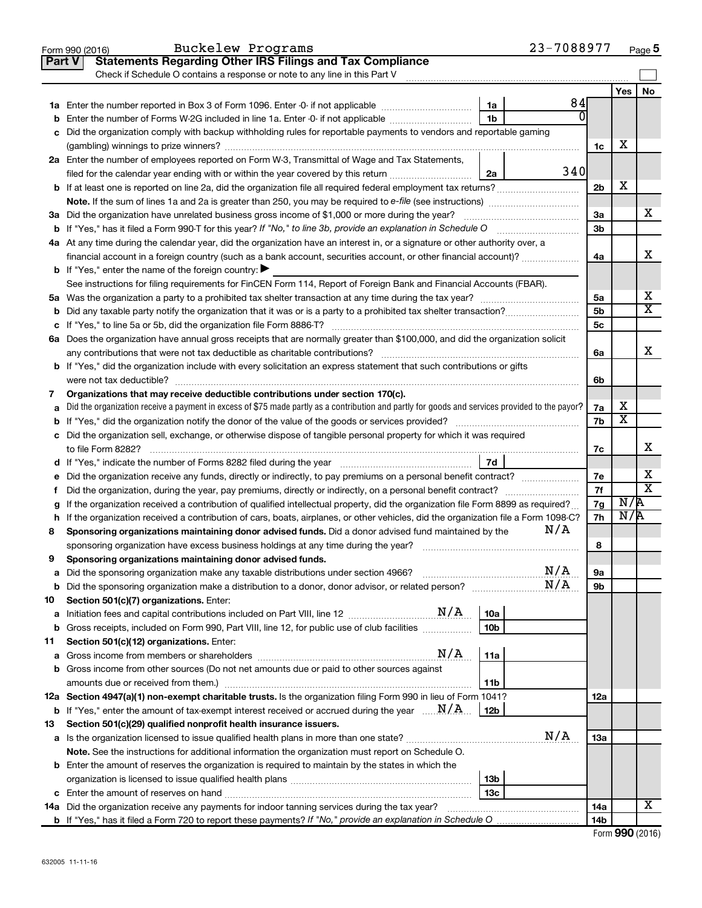|               | Buckelew Programs<br>Form 990 (2016)                                                                                                            |                 | 23-7088977 |                |                         | Page 5                  |
|---------------|-------------------------------------------------------------------------------------------------------------------------------------------------|-----------------|------------|----------------|-------------------------|-------------------------|
| <b>Part V</b> | <b>Statements Regarding Other IRS Filings and Tax Compliance</b>                                                                                |                 |            |                |                         |                         |
|               | Check if Schedule O contains a response or note to any line in this Part V                                                                      |                 |            |                |                         |                         |
|               |                                                                                                                                                 |                 |            |                | Yes                     | No                      |
|               |                                                                                                                                                 | 1a              | 84         |                |                         |                         |
| b             | Enter the number of Forms W-2G included in line 1a. Enter -0- if not applicable                                                                 | 1 <sub>b</sub>  | $\Omega$   |                |                         |                         |
|               | c Did the organization comply with backup withholding rules for reportable payments to vendors and reportable gaming                            |                 |            |                |                         |                         |
|               |                                                                                                                                                 |                 |            | 1c             | х                       |                         |
|               | 2a Enter the number of employees reported on Form W-3, Transmittal of Wage and Tax Statements,                                                  |                 |            |                |                         |                         |
|               | filed for the calendar year ending with or within the year covered by this return                                                               | 2a              | 340        |                |                         |                         |
|               |                                                                                                                                                 |                 |            | 2 <sub>b</sub> | X                       |                         |
|               |                                                                                                                                                 |                 |            |                |                         |                         |
|               |                                                                                                                                                 |                 |            |                |                         | х                       |
|               | 3a Did the organization have unrelated business gross income of \$1,000 or more during the year?                                                |                 |            | 3a             |                         |                         |
|               | <b>b</b> If "Yes," has it filed a Form 990-T for this year? If "No," to line 3b, provide an explanation in Schedule O                           |                 |            | 3b             |                         |                         |
|               | 4a At any time during the calendar year, did the organization have an interest in, or a signature or other authority over, a                    |                 |            |                |                         |                         |
|               | financial account in a foreign country (such as a bank account, securities account, or other financial account)?                                |                 |            | 4a             |                         | x                       |
|               | <b>b</b> If "Yes," enter the name of the foreign country: $\blacktriangleright$                                                                 |                 |            |                |                         |                         |
|               | See instructions for filing requirements for FinCEN Form 114, Report of Foreign Bank and Financial Accounts (FBAR).                             |                 |            |                |                         |                         |
|               |                                                                                                                                                 |                 |            | 5a             |                         | х                       |
|               | <b>b</b> Did any taxable party notify the organization that it was or is a party to a prohibited tax shelter transaction?                       |                 |            | 5b             |                         | $\overline{\texttt{x}}$ |
|               |                                                                                                                                                 |                 |            | 5c             |                         |                         |
|               | 6a Does the organization have annual gross receipts that are normally greater than \$100,000, and did the organization solicit                  |                 |            |                |                         |                         |
|               |                                                                                                                                                 |                 |            | 6a             |                         | x                       |
|               | <b>b</b> If "Yes," did the organization include with every solicitation an express statement that such contributions or gifts                   |                 |            |                |                         |                         |
|               |                                                                                                                                                 |                 |            | 6b             |                         |                         |
| 7             | Organizations that may receive deductible contributions under section 170(c).                                                                   |                 |            |                |                         |                         |
| a             | Did the organization receive a payment in excess of \$75 made partly as a contribution and partly for goods and services provided to the payor? |                 |            | 7a             | х                       |                         |
|               |                                                                                                                                                 |                 |            | 7b             | $\overline{\textbf{x}}$ |                         |
|               | c Did the organization sell, exchange, or otherwise dispose of tangible personal property for which it was required                             |                 |            |                |                         |                         |
|               |                                                                                                                                                 |                 |            | 7c             |                         | х                       |
|               |                                                                                                                                                 | 7d              |            |                |                         |                         |
| е             | Did the organization receive any funds, directly or indirectly, to pay premiums on a personal benefit contract?                                 |                 |            | 7e             |                         | х                       |
| f.            |                                                                                                                                                 |                 |            | 7f             |                         | $\overline{\texttt{x}}$ |
|               | If the organization received a contribution of qualified intellectual property, did the organization file Form 8899 as required?                |                 |            | 7g             | N/R                     |                         |
|               | h If the organization received a contribution of cars, boats, airplanes, or other vehicles, did the organization file a Form 1098-C?            |                 |            | 7h             | N/R                     |                         |
| 8             | Sponsoring organizations maintaining donor advised funds. Did a donor advised fund maintained by the                                            |                 | N/A        |                |                         |                         |
|               |                                                                                                                                                 |                 |            | 8              |                         |                         |
|               | Sponsoring organizations maintaining donor advised funds.                                                                                       |                 |            |                |                         |                         |
| а             | Did the sponsoring organization make any taxable distributions under section 4966?                                                              |                 | N/A        | 9а             |                         |                         |
| b             |                                                                                                                                                 |                 | N/A        | 9b             |                         |                         |
|               |                                                                                                                                                 |                 |            |                |                         |                         |
| 10            | Section 501(c)(7) organizations. Enter:<br>N/A                                                                                                  |                 |            |                |                         |                         |
| a             | Initiation fees and capital contributions included on Part VIII, line 12 <i></i>                                                                | 10a             |            |                |                         |                         |
| b             | Gross receipts, included on Form 990, Part VIII, line 12, for public use of club facilities                                                     | 10 <sub>b</sub> |            |                |                         |                         |
| 11            | Section 501(c)(12) organizations. Enter:                                                                                                        |                 |            |                |                         |                         |
| а             | N/A                                                                                                                                             | 11a             |            |                |                         |                         |
|               | b Gross income from other sources (Do not net amounts due or paid to other sources against                                                      |                 |            |                |                         |                         |
|               | amounts due or received from them.)                                                                                                             | 11b             |            |                |                         |                         |
|               | 12a Section 4947(a)(1) non-exempt charitable trusts. Is the organization filing Form 990 in lieu of Form 1041?                                  |                 |            | 12a            |                         |                         |
|               | <b>b</b> If "Yes," enter the amount of tax-exempt interest received or accrued during the year $\ldots \mathbf{N}/\mathbf{A}$ .                 | 12b             |            |                |                         |                         |
| 13            | Section 501(c)(29) qualified nonprofit health insurance issuers.                                                                                |                 |            |                |                         |                         |
|               |                                                                                                                                                 |                 | N/A        | 13a            |                         |                         |
|               | Note. See the instructions for additional information the organization must report on Schedule O.                                               |                 |            |                |                         |                         |
|               | <b>b</b> Enter the amount of reserves the organization is required to maintain by the states in which the                                       |                 |            |                |                         |                         |
|               |                                                                                                                                                 | 13b             |            |                |                         |                         |
|               |                                                                                                                                                 | 13 <sub>c</sub> |            |                |                         |                         |
|               | 14a Did the organization receive any payments for indoor tanning services during the tax year?                                                  |                 |            | 14a            |                         | X                       |
|               |                                                                                                                                                 |                 |            | 14b            |                         |                         |
|               |                                                                                                                                                 |                 |            |                |                         |                         |

| Form 990 (2016) |  |
|-----------------|--|
|-----------------|--|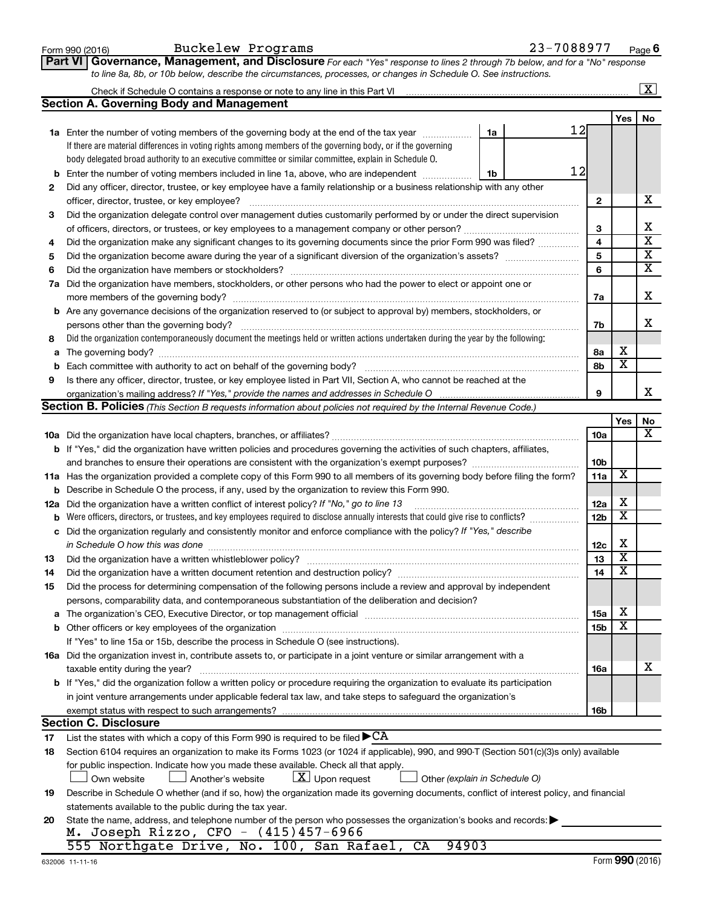|     | to line 8a, 8b, or 10b below, describe the circumstances, processes, or changes in Schedule O. See instructions.                                                      |                 |                         |                         |
|-----|-----------------------------------------------------------------------------------------------------------------------------------------------------------------------|-----------------|-------------------------|-------------------------|
|     | Check if Schedule O contains a response or note to any line in this Part VI                                                                                           |                 |                         | $\overline{\mathbf{X}}$ |
|     | <b>Section A. Governing Body and Management</b>                                                                                                                       |                 |                         |                         |
|     |                                                                                                                                                                       |                 | <b>Yes</b>              | No                      |
|     | 12<br>1a Enter the number of voting members of the governing body at the end of the tax year manuscom<br>1a                                                           |                 |                         |                         |
|     | If there are material differences in voting rights among members of the governing body, or if the governing                                                           |                 |                         |                         |
|     | body delegated broad authority to an executive committee or similar committee, explain in Schedule O.                                                                 |                 |                         |                         |
|     | 12<br>Enter the number of voting members included in line 1a, above, who are independent<br>1b                                                                        |                 |                         |                         |
| 2   | Did any officer, director, trustee, or key employee have a family relationship or a business relationship with any other                                              |                 |                         |                         |
|     |                                                                                                                                                                       | $\mathbf{2}$    |                         | х                       |
| з   | Did the organization delegate control over management duties customarily performed by or under the direct supervision                                                 |                 |                         |                         |
|     |                                                                                                                                                                       | 3               |                         | х                       |
| 4   | Did the organization make any significant changes to its governing documents since the prior Form 990 was filed?                                                      | 4               |                         | $\overline{\mathbf{x}}$ |
| 5   |                                                                                                                                                                       | 5               |                         | $\overline{\mathbf{X}}$ |
| 6   |                                                                                                                                                                       | 6               |                         | $\overline{\mathbf{X}}$ |
| 7a  | Did the organization have members, stockholders, or other persons who had the power to elect or appoint one or                                                        |                 |                         |                         |
|     |                                                                                                                                                                       | 7a              |                         | х                       |
|     | <b>b</b> Are any governance decisions of the organization reserved to (or subject to approval by) members, stockholders, or                                           |                 |                         |                         |
|     | persons other than the governing body?                                                                                                                                | 7b              |                         | х                       |
| 8   | Did the organization contemporaneously document the meetings held or written actions undertaken during the year by the following:                                     |                 |                         |                         |
| a   |                                                                                                                                                                       | 8a              | х                       |                         |
| b   |                                                                                                                                                                       | 8b              | $\overline{\textbf{x}}$ |                         |
| 9   | Is there any officer, director, trustee, or key employee listed in Part VII, Section A, who cannot be reached at the                                                  |                 |                         |                         |
|     |                                                                                                                                                                       | 9               |                         | х                       |
|     | Section B. Policies (This Section B requests information about policies not required by the Internal Revenue Code.)                                                   |                 |                         |                         |
|     |                                                                                                                                                                       |                 | Yes                     | No                      |
|     |                                                                                                                                                                       | 10a             |                         | х                       |
|     | <b>b</b> If "Yes," did the organization have written policies and procedures governing the activities of such chapters, affiliates,                                   |                 |                         |                         |
|     | and branches to ensure their operations are consistent with the organization's exempt purposes? www.www.www.www.                                                      | 10 <sub>b</sub> |                         |                         |
|     | 11a Has the organization provided a complete copy of this Form 990 to all members of its governing body before filing the form?                                       | 11a             | $\overline{\mathbf{X}}$ |                         |
| b   | Describe in Schedule O the process, if any, used by the organization to review this Form 990.                                                                         |                 |                         |                         |
| 12a | Did the organization have a written conflict of interest policy? If "No," go to line 13                                                                               | 12a             | х                       |                         |
|     | Were officers, directors, or trustees, and key employees required to disclose annually interests that could give rise to conflicts?                                   | 12 <sub>b</sub> | $\overline{\textbf{x}}$ |                         |
| с   | Did the organization regularly and consistently monitor and enforce compliance with the policy? If "Yes," describe                                                    |                 |                         |                         |
|     | in Schedule O how this was done manufactured and continuum control of the state of the state of the state of t                                                        | 12c             | X                       |                         |
| 13  |                                                                                                                                                                       | 13              | $\overline{\mathbf{X}}$ |                         |
| 14  | Did the organization have a written document retention and destruction policy? [11] manufaction manufaction in                                                        | 14              | $\overline{\textbf{x}}$ |                         |
| 15  | Did the process for determining compensation of the following persons include a review and approval by independent                                                    |                 |                         |                         |
|     | persons, comparability data, and contemporaneous substantiation of the deliberation and decision?                                                                     |                 |                         |                         |
|     | The organization's CEO, Executive Director, or top management official manufactured content of the organization's CEO, Executive Director, or top management official | 15a             | х                       |                         |
|     |                                                                                                                                                                       | 15 <sub>b</sub> | $\overline{\textbf{x}}$ |                         |
|     | If "Yes" to line 15a or 15b, describe the process in Schedule O (see instructions).                                                                                   |                 |                         |                         |
|     | 16a Did the organization invest in, contribute assets to, or participate in a joint venture or similar arrangement with a                                             |                 |                         |                         |
|     | taxable entity during the year?                                                                                                                                       | 16a             |                         | х                       |
|     | <b>b</b> If "Yes," did the organization follow a written policy or procedure requiring the organization to evaluate its participation                                 |                 |                         |                         |
|     | in joint venture arrangements under applicable federal tax law, and take steps to safeguard the organization's                                                        |                 |                         |                         |
|     | exempt status with respect to such arrangements?                                                                                                                      | 16b             |                         |                         |
|     | <b>Section C. Disclosure</b>                                                                                                                                          |                 |                         |                         |
| 17  | List the states with which a copy of this Form 990 is required to be filed $\blacktriangleright$ CA                                                                   |                 |                         |                         |
| 18  | Section 6104 requires an organization to make its Forms 1023 (or 1024 if applicable), 990, and 990-T (Section 501(c)(3)s only) available                              |                 |                         |                         |
|     | for public inspection. Indicate how you made these available. Check all that apply.                                                                                   |                 |                         |                         |
|     | $\lfloor x \rfloor$ Upon request<br>Other (explain in Schedule O)<br>Own website<br>Another's website                                                                 |                 |                         |                         |
| 19  | Describe in Schedule O whether (and if so, how) the organization made its governing documents, conflict of interest policy, and financial                             |                 |                         |                         |
|     | statements available to the public during the tax year.                                                                                                               |                 |                         |                         |
| 20  | State the name, address, and telephone number of the person who possesses the organization's books and records:                                                       |                 |                         |                         |
|     | M. Joseph Rizzo, CFO - $(415)457-6966$                                                                                                                                |                 |                         |                         |
|     | 555 Northgate Drive, No. 100, San Rafael, CA<br>94903                                                                                                                 |                 |                         |                         |

**Part VI** Governance, Management, and Disclosure For each "Yes" response to lines 2 through 7b below, and for a "No" response

Form 990 (2016) Buckelew Programs 23-7088977 <sub>Page</sub>

**6**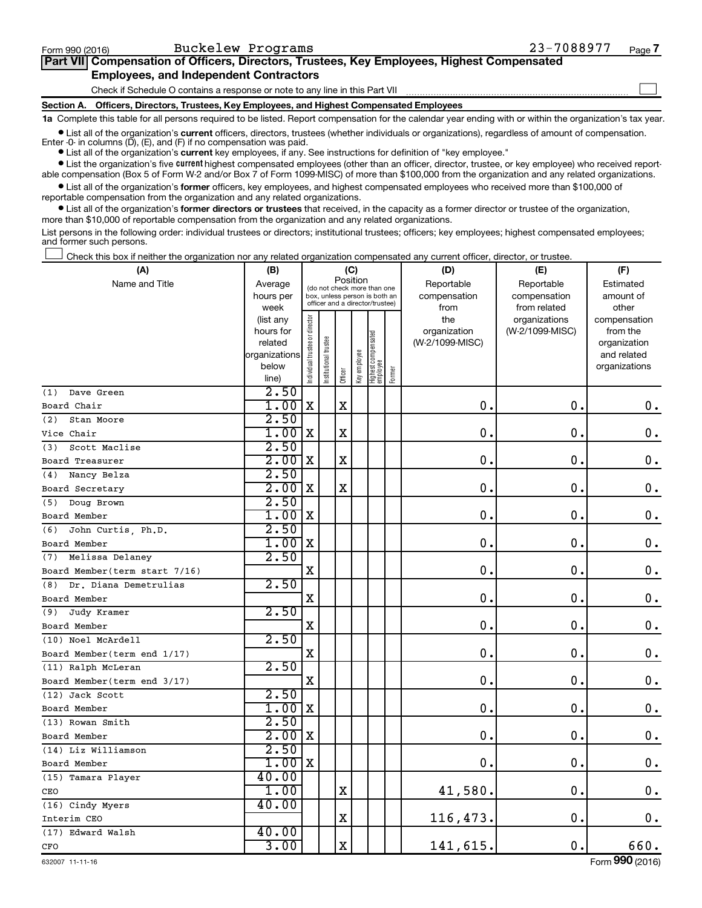| Form 990 (2016)                                                                            | Buckelew Programs                                                               | 23-7088977 | Page 7 |  |  |  |  |
|--------------------------------------------------------------------------------------------|---------------------------------------------------------------------------------|------------|--------|--|--|--|--|
| Part VII Compensation of Officers, Directors, Trustees, Key Employees, Highest Compensated |                                                                                 |            |        |  |  |  |  |
| <b>Employees, and Independent Contractors</b>                                              |                                                                                 |            |        |  |  |  |  |
|                                                                                            | Check if Schedule O contains a response or note to any line in this Part VII    |            |        |  |  |  |  |
| <b>Section A.</b>                                                                          | Officers, Directors, Trustees, Key Employees, and Highest Compensated Employees |            |        |  |  |  |  |

**1a**  Complete this table for all persons required to be listed. Report compensation for the calendar year ending with or within the organization's tax year.

**•** List all of the organization's current officers, directors, trustees (whether individuals or organizations), regardless of amount of compensation.

**current**  Enter -0- in columns (D), (E), and (F) if no compensation was paid. **•** List all of the organization's **current** key employees, if any. See instructions for definition of "key employee."

**•** List the organization's five current highest compensated employees (other than an officer, director, trustee, or key employee) who received reportable compensation (Box 5 of Form W-2 and/or Box 7 of Form 1099-MISC) of more than \$100,000 from the organization and any related organizations.

**•** List all of the organization's former officers, key employees, and highest compensated employees who received more than \$100,000 of reportable compensation from the organization and any related organizations.

**•** List all of the organization's former directors or trustees that received, in the capacity as a former director or trustee of the organization, more than \$10,000 of reportable compensation from the organization and any related organizations.

List persons in the following order: individual trustees or directors; institutional trustees; officers; key employees; highest compensated employees; and former such persons.

Check this box if neither the organization nor any related organization compensated any current officer, director, or trustee. †

| (A)                           | (B)                  |                                |                                                                  |             | (C)          |                                 |        | (D)                             | (E)             | (F)                      |
|-------------------------------|----------------------|--------------------------------|------------------------------------------------------------------|-------------|--------------|---------------------------------|--------|---------------------------------|-----------------|--------------------------|
| Name and Title                | Average              |                                | (do not check more than one                                      |             | Position     |                                 |        | Reportable                      | Reportable      | Estimated                |
|                               | hours per            |                                | box, unless person is both an<br>officer and a director/trustee) |             |              |                                 |        | compensation                    | compensation    | amount of                |
|                               | week                 |                                |                                                                  |             |              |                                 |        | from                            | from related    | other                    |
|                               | (list any            |                                |                                                                  |             |              |                                 |        | the                             | organizations   | compensation             |
|                               | hours for<br>related |                                |                                                                  |             |              |                                 |        | organization<br>(W-2/1099-MISC) | (W-2/1099-MISC) | from the<br>organization |
|                               | organizations        |                                |                                                                  |             |              |                                 |        |                                 |                 | and related              |
|                               | below                |                                |                                                                  |             |              |                                 |        |                                 |                 | organizations            |
|                               | line)                | Individual trustee or director | Institutional trustee                                            | Officer     | Key employee | Highest compensated<br>employee | Former |                                 |                 |                          |
| Dave Green<br>(1)             | 2.50                 |                                |                                                                  |             |              |                                 |        |                                 |                 |                          |
| Board Chair                   | 1.00                 | $\mathbf X$                    |                                                                  | $\mathbf x$ |              |                                 |        | $\mathbf 0$ .                   | $\mathbf 0$ .   | 0.                       |
| Stan Moore<br>(2)             | 2.50                 |                                |                                                                  |             |              |                                 |        |                                 |                 |                          |
| Vice Chair                    | 1.00                 | X                              |                                                                  | $\mathbf X$ |              |                                 |        | $\mathbf 0$                     | $\mathbf 0$     | 0.                       |
| Scott Maclise<br>(3)          | 2.50                 |                                |                                                                  |             |              |                                 |        |                                 |                 |                          |
| Board Treasurer               | 2.00                 | X                              |                                                                  | $\mathbf X$ |              |                                 |        | $\mathbf 0$                     | $\mathbf 0$ .   | $\mathbf 0$ .            |
| Nancy Belza<br>(4)            | 2.50                 |                                |                                                                  |             |              |                                 |        |                                 |                 |                          |
| Board Secretary               | 2.00                 | X                              |                                                                  | $\mathbf X$ |              |                                 |        | $\mathbf 0$ .                   | $\mathbf 0$     | $\mathbf 0$ .            |
| (5) Doug Brown                | 2.50                 |                                |                                                                  |             |              |                                 |        |                                 |                 |                          |
| Board Member                  | 1.00                 | X                              |                                                                  |             |              |                                 |        | $\mathbf 0$ .                   | $\mathbf 0$     | $\mathbf 0$ .            |
| John Curtis, Ph.D.<br>(6)     | 2.50                 |                                |                                                                  |             |              |                                 |        |                                 |                 |                          |
| Board Member                  | 1.00                 | X                              |                                                                  |             |              |                                 |        | $\mathbf 0$                     | $\mathbf 0$     | $\mathbf 0$ .            |
| (7) Melissa Delaney           | 2.50                 |                                |                                                                  |             |              |                                 |        |                                 |                 |                          |
| Board Member(term start 7/16) |                      | $\mathbf X$                    |                                                                  |             |              |                                 |        | $\mathbf 0$                     | $\mathbf 0$ .   | $\mathbf 0$ .            |
| Dr. Diana Demetrulias<br>(8)  | 2.50                 |                                |                                                                  |             |              |                                 |        |                                 |                 |                          |
| Board Member                  |                      | $\mathbf X$                    |                                                                  |             |              |                                 |        | $\mathbf 0$ .                   | $\mathbf 0$     | $\mathbf 0$ .            |
| Judy Kramer<br>(9)            | 2.50                 |                                |                                                                  |             |              |                                 |        |                                 |                 |                          |
| Board Member                  |                      | $\mathbf X$                    |                                                                  |             |              |                                 |        | $\mathbf 0$ .                   | $\mathbf 0$ .   | $\mathbf 0$ .            |
| (10) Noel McArdell            | 2.50                 |                                |                                                                  |             |              |                                 |        |                                 |                 |                          |
| Board Member (term end 1/17)  |                      | $\mathbf X$                    |                                                                  |             |              |                                 |        | $\mathbf 0$ .                   | $\mathbf 0$     | 0.                       |
| (11) Ralph McLeran            | 2.50                 |                                |                                                                  |             |              |                                 |        |                                 |                 |                          |
| Board Member (term end 3/17)  |                      | $\mathbf X$                    |                                                                  |             |              |                                 |        | $\mathbf 0$ .                   | $\mathbf 0$ .   | $\mathbf 0$ .            |
| (12) Jack Scott               | 2.50                 |                                |                                                                  |             |              |                                 |        |                                 |                 |                          |
| Board Member                  | 1.00                 | $\mathbf X$                    |                                                                  |             |              |                                 |        | $\mathbf 0$ .                   | $\mathbf 0$     | $\mathbf 0$ .            |
| (13) Rowan Smith              | 2.50                 |                                |                                                                  |             |              |                                 |        |                                 |                 |                          |
| Board Member                  | 2.00                 | $\mathbf X$                    |                                                                  |             |              |                                 |        | $\mathbf 0$ .                   | $\mathbf 0$ .   | $\mathbf 0$ .            |
| (14) Liz Williamson           | 2.50                 |                                |                                                                  |             |              |                                 |        |                                 |                 |                          |
| Board Member                  | 1.00                 | $\mathbf X$                    |                                                                  |             |              |                                 |        | $\mathbf 0$ .                   | $\mathbf 0$ .   | 0.                       |
| (15) Tamara Player            | 40.00                |                                |                                                                  |             |              |                                 |        |                                 |                 |                          |
| CEO                           | 1.00                 |                                |                                                                  | $\mathbf X$ |              |                                 |        | 41,580.                         | $\mathbf 0$ .   | 0.                       |
| (16) Cindy Myers              | 40.00                |                                |                                                                  |             |              |                                 |        |                                 |                 |                          |
| Interim CEO                   |                      |                                |                                                                  | $\mathbf X$ |              |                                 |        | 116,473.                        | 0.              | 0.                       |
| (17) Edward Walsh             | 40.00                |                                |                                                                  |             |              |                                 |        |                                 |                 |                          |
| CFO                           | 3.00                 |                                |                                                                  | $\mathbf X$ |              |                                 |        | 141,615.                        | 0.              | 660.                     |

632007 11-11-16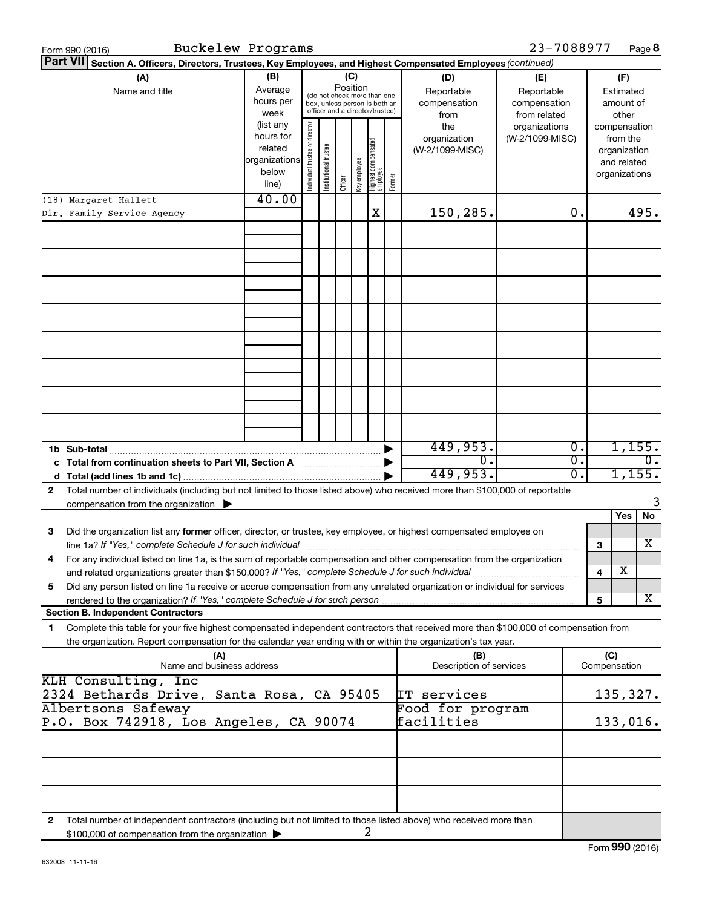| Buckelew Programs<br>Form 990 (2016)                                                                                                                                                                     |                                                                      |                                |                       |         |              |                                   |                                                                                                 |                                                                                                | 23-7088977                       |                                        |                     |                                                                          | Page 8   |
|----------------------------------------------------------------------------------------------------------------------------------------------------------------------------------------------------------|----------------------------------------------------------------------|--------------------------------|-----------------------|---------|--------------|-----------------------------------|-------------------------------------------------------------------------------------------------|------------------------------------------------------------------------------------------------|----------------------------------|----------------------------------------|---------------------|--------------------------------------------------------------------------|----------|
| <b>Part VII</b><br>Section A. Officers, Directors, Trustees, Key Employees, and Highest Compensated Employees (continued)                                                                                |                                                                      |                                |                       |         | (C)          |                                   |                                                                                                 |                                                                                                |                                  |                                        |                     |                                                                          |          |
| (A)<br>Name and title                                                                                                                                                                                    | (B)<br>Average<br>hours per<br>week                                  |                                |                       |         |              |                                   | (do not check more than one<br>box, unless person is both an<br>officer and a director/trustee) | (D)<br>(E)<br>Reportable<br>Reportable<br>compensation<br>compensation<br>from related<br>from |                                  | (F)<br>Estimated<br>amount of<br>other |                     |                                                                          |          |
|                                                                                                                                                                                                          | (list any<br>hours for<br>related<br>organizations<br>below<br>line) | Individual trustee or director | Institutional trustee | Officer | Key employee | Highest compensated<br>  employee | Former                                                                                          | the<br>organization<br>(W-2/1099-MISC)                                                         | organizations<br>(W-2/1099-MISC) |                                        |                     | compensation<br>from the<br>organization<br>and related<br>organizations |          |
| (18) Margaret Hallett                                                                                                                                                                                    | 40.00                                                                |                                |                       |         |              |                                   |                                                                                                 |                                                                                                |                                  |                                        |                     |                                                                          |          |
| Dir. Family Service Agency                                                                                                                                                                               |                                                                      |                                |                       |         |              | X                                 |                                                                                                 | 150,285.                                                                                       |                                  | 0.                                     |                     |                                                                          | 495.     |
|                                                                                                                                                                                                          |                                                                      |                                |                       |         |              |                                   |                                                                                                 |                                                                                                |                                  |                                        |                     |                                                                          |          |
|                                                                                                                                                                                                          |                                                                      |                                |                       |         |              |                                   |                                                                                                 |                                                                                                |                                  |                                        |                     |                                                                          |          |
|                                                                                                                                                                                                          |                                                                      |                                |                       |         |              |                                   |                                                                                                 |                                                                                                |                                  |                                        |                     |                                                                          |          |
|                                                                                                                                                                                                          |                                                                      |                                |                       |         |              |                                   |                                                                                                 |                                                                                                |                                  |                                        |                     |                                                                          |          |
| 1b Sub-total                                                                                                                                                                                             |                                                                      |                                |                       |         |              |                                   |                                                                                                 | 449,953.                                                                                       |                                  | Ο.                                     |                     | 1,155.                                                                   |          |
| c Total from continuation sheets to Part VII, Section A [11] [2000]                                                                                                                                      |                                                                      |                                |                       |         |              |                                   |                                                                                                 | $0$ .                                                                                          |                                  | σ.                                     |                     |                                                                          | О.       |
|                                                                                                                                                                                                          |                                                                      |                                |                       |         |              |                                   |                                                                                                 | 449,953.                                                                                       |                                  | σ.                                     |                     | 1,155.                                                                   |          |
| Total number of individuals (including but not limited to those listed above) who received more than \$100,000 of reportable<br>$\mathbf{2}$<br>compensation from the organization $\blacktriangleright$ |                                                                      |                                |                       |         |              |                                   |                                                                                                 |                                                                                                |                                  |                                        |                     |                                                                          | 3        |
|                                                                                                                                                                                                          |                                                                      |                                |                       |         |              |                                   |                                                                                                 |                                                                                                |                                  |                                        |                     | Yes                                                                      | No       |
| Did the organization list any former officer, director, or trustee, key employee, or highest compensated employee on<br>З<br>line 1a? If "Yes," complete Schedule J for such individual                  |                                                                      |                                |                       |         |              |                                   |                                                                                                 |                                                                                                |                                  |                                        | 3                   |                                                                          | х        |
| For any individual listed on line 1a, is the sum of reportable compensation and other compensation from the organization<br>4                                                                            |                                                                      |                                |                       |         |              |                                   |                                                                                                 |                                                                                                |                                  |                                        |                     |                                                                          |          |
| and related organizations greater than \$150,000? If "Yes," complete Schedule J for such individual                                                                                                      |                                                                      |                                |                       |         |              |                                   |                                                                                                 |                                                                                                |                                  |                                        | 4                   | х                                                                        |          |
| Did any person listed on line 1a receive or accrue compensation from any unrelated organization or individual for services<br>5                                                                          |                                                                      |                                |                       |         |              |                                   |                                                                                                 |                                                                                                |                                  |                                        |                     |                                                                          |          |
| rendered to the organization? If "Yes," complete Schedule J for such person.<br><b>Section B. Independent Contractors</b>                                                                                |                                                                      |                                |                       |         |              |                                   |                                                                                                 |                                                                                                |                                  |                                        | 5                   |                                                                          | x        |
| Complete this table for your five highest compensated independent contractors that received more than \$100,000 of compensation from<br>1                                                                |                                                                      |                                |                       |         |              |                                   |                                                                                                 |                                                                                                |                                  |                                        |                     |                                                                          |          |
| the organization. Report compensation for the calendar year ending with or within the organization's tax year.                                                                                           |                                                                      |                                |                       |         |              |                                   |                                                                                                 |                                                                                                |                                  |                                        |                     |                                                                          |          |
| (A)<br>Name and business address                                                                                                                                                                         |                                                                      |                                |                       |         |              |                                   |                                                                                                 | (B)<br>Description of services                                                                 |                                  |                                        | (C)<br>Compensation |                                                                          |          |
| KLH Consulting, Inc<br>2324 Bethards Drive, Santa Rosa, CA 95405                                                                                                                                         |                                                                      |                                |                       |         |              |                                   |                                                                                                 | IT services                                                                                    |                                  |                                        |                     |                                                                          | 135,327. |
| Albertsons Safeway                                                                                                                                                                                       |                                                                      |                                |                       |         |              |                                   |                                                                                                 | Food for program                                                                               |                                  |                                        |                     |                                                                          |          |
| P.O. Box 742918, Los Angeles, CA 90074                                                                                                                                                                   |                                                                      |                                |                       |         |              |                                   |                                                                                                 | facilities                                                                                     |                                  |                                        |                     | 133,016.                                                                 |          |
|                                                                                                                                                                                                          |                                                                      |                                |                       |         |              |                                   |                                                                                                 |                                                                                                |                                  |                                        |                     |                                                                          |          |
|                                                                                                                                                                                                          |                                                                      |                                |                       |         |              |                                   |                                                                                                 |                                                                                                |                                  |                                        |                     |                                                                          |          |
| Total number of independent contractors (including but not limited to those listed above) who received more than<br>2<br>\$100,000 of compensation from the organization                                 |                                                                      |                                |                       |         |              | 2                                 |                                                                                                 |                                                                                                |                                  |                                        |                     |                                                                          |          |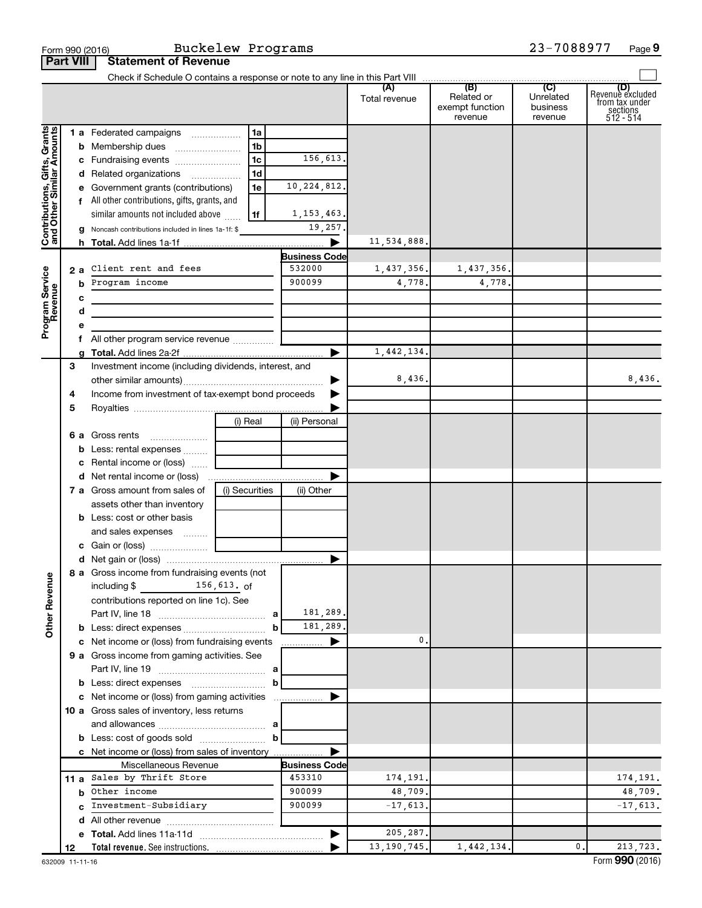|                                                           | <b>Part VIII</b> | <b>Statement of Revenue</b>                                                |                |                       |               |                                          |                                  |                                                                    |
|-----------------------------------------------------------|------------------|----------------------------------------------------------------------------|----------------|-----------------------|---------------|------------------------------------------|----------------------------------|--------------------------------------------------------------------|
|                                                           |                  |                                                                            |                |                       |               |                                          |                                  |                                                                    |
|                                                           |                  |                                                                            |                |                       | Total revenue | Related or<br>exempt function<br>revenue | Unrelated<br>business<br>revenue | (D)<br>Revenue excluded<br>from tax under<br>sections<br>512 - 514 |
| Contributions, Gifts, Grants<br>and Other Similar Amounts |                  | 1 a Federated campaigns                                                    | 1a             |                       |               |                                          |                                  |                                                                    |
|                                                           |                  | <b>b</b> Membership dues                                                   | 1b             |                       |               |                                          |                                  |                                                                    |
|                                                           |                  | c Fundraising events                                                       | 1c             | 156,613.              |               |                                          |                                  |                                                                    |
|                                                           |                  | d Related organizations                                                    | 1 <sub>d</sub> |                       |               |                                          |                                  |                                                                    |
|                                                           |                  | e Government grants (contributions)                                        | 1e             | 10, 224, 812.         |               |                                          |                                  |                                                                    |
|                                                           |                  | f All other contributions, gifts, grants, and                              |                |                       |               |                                          |                                  |                                                                    |
|                                                           |                  | similar amounts not included above                                         | 1f             | 1, 153, 463.          |               |                                          |                                  |                                                                    |
|                                                           |                  | g Noncash contributions included in lines 1a-1f: \$                        |                | 19,257.               |               |                                          |                                  |                                                                    |
|                                                           |                  |                                                                            |                | ▶                     | 11,534,888.   |                                          |                                  |                                                                    |
|                                                           |                  |                                                                            |                | <b>Business Code</b>  |               |                                          |                                  |                                                                    |
|                                                           | 2a               | Client rent and fees                                                       |                | 532000                | 1,437,356.    | 1,437,356.                               |                                  |                                                                    |
|                                                           | b                | Program income                                                             |                | 900099                | 4,778.        | 4,778.                                   |                                  |                                                                    |
|                                                           | c                |                                                                            |                |                       |               |                                          |                                  |                                                                    |
|                                                           | d                | the control of the control of the control of the control of the control of |                |                       |               |                                          |                                  |                                                                    |
| Program Service<br>Revenue                                | е                |                                                                            |                |                       |               |                                          |                                  |                                                                    |
|                                                           | f.               | All other program service revenue                                          |                |                       |               |                                          |                                  |                                                                    |
|                                                           |                  |                                                                            |                | ▶                     | 1,442,134.    |                                          |                                  |                                                                    |
|                                                           | 3                | Investment income (including dividends, interest, and                      |                |                       |               |                                          |                                  |                                                                    |
|                                                           |                  |                                                                            |                | ▶                     | 8,436.        |                                          |                                  | 8,436.                                                             |
|                                                           | 4                | Income from investment of tax-exempt bond proceeds                         |                |                       |               |                                          |                                  |                                                                    |
|                                                           | 5                |                                                                            |                |                       |               |                                          |                                  |                                                                    |
|                                                           |                  |                                                                            | (i) Real       | (ii) Personal         |               |                                          |                                  |                                                                    |
|                                                           |                  | 6 a Gross rents                                                            |                |                       |               |                                          |                                  |                                                                    |
|                                                           |                  | b Less: rental expenses                                                    |                |                       |               |                                          |                                  |                                                                    |
|                                                           |                  | c Rental income or (loss)                                                  |                |                       |               |                                          |                                  |                                                                    |
|                                                           |                  |                                                                            |                | ▶                     |               |                                          |                                  |                                                                    |
|                                                           |                  | 7 a Gross amount from sales of                                             | (i) Securities | (ii) Other            |               |                                          |                                  |                                                                    |
|                                                           |                  | assets other than inventory                                                |                |                       |               |                                          |                                  |                                                                    |
|                                                           |                  | <b>b</b> Less: cost or other basis                                         |                |                       |               |                                          |                                  |                                                                    |
|                                                           |                  | and sales expenses  [                                                      |                |                       |               |                                          |                                  |                                                                    |
|                                                           |                  |                                                                            |                |                       |               |                                          |                                  |                                                                    |
|                                                           |                  |                                                                            |                |                       |               |                                          |                                  |                                                                    |
| <b>Other Revenue</b>                                      |                  | 8 a Gross income from fundraising events (not                              |                |                       |               |                                          |                                  |                                                                    |
|                                                           |                  | $156, 613.$ of<br>including \$                                             |                |                       |               |                                          |                                  |                                                                    |
|                                                           |                  | contributions reported on line 1c). See                                    |                | 181,289.              |               |                                          |                                  |                                                                    |
|                                                           |                  |                                                                            |                | 181,289.              |               |                                          |                                  |                                                                    |
|                                                           |                  | c Net income or (loss) from fundraising events                             | b              | ▶                     | 0.            |                                          |                                  |                                                                    |
|                                                           |                  | 9 a Gross income from gaming activities. See                               |                | .                     |               |                                          |                                  |                                                                    |
|                                                           |                  |                                                                            |                |                       |               |                                          |                                  |                                                                    |
|                                                           |                  |                                                                            | b              |                       |               |                                          |                                  |                                                                    |
|                                                           |                  | c Net income or (loss) from gaming activities                              |                | ▶                     |               |                                          |                                  |                                                                    |
|                                                           |                  | 10 a Gross sales of inventory, less returns                                |                |                       |               |                                          |                                  |                                                                    |
|                                                           |                  |                                                                            |                |                       |               |                                          |                                  |                                                                    |
|                                                           |                  |                                                                            | $\mathbf{b}$   |                       |               |                                          |                                  |                                                                    |
|                                                           |                  | c Net income or (loss) from sales of inventory                             |                | ▶                     |               |                                          |                                  |                                                                    |
|                                                           |                  | Miscellaneous Revenue                                                      |                | <b>Business Code</b>  |               |                                          |                                  |                                                                    |
|                                                           |                  | 11 a Sales by Thrift Store                                                 |                | 453310                | 174,191.      |                                          |                                  | 174, 191.                                                          |
|                                                           |                  | <b>b</b> Other income                                                      |                | 900099                | 48,709.       |                                          |                                  | 48,709.                                                            |
|                                                           | c.               | Investment-Subsidiary                                                      |                | 900099                | $-17,613.$    |                                          |                                  | $-17,613.$                                                         |
|                                                           |                  |                                                                            |                |                       |               |                                          |                                  |                                                                    |
|                                                           |                  |                                                                            |                | $\blacktriangleright$ | 205,287.      |                                          |                                  |                                                                    |
|                                                           | 12               |                                                                            |                |                       | 13, 190, 745. | 1,442,134.                               | 0.                               | 213,723.                                                           |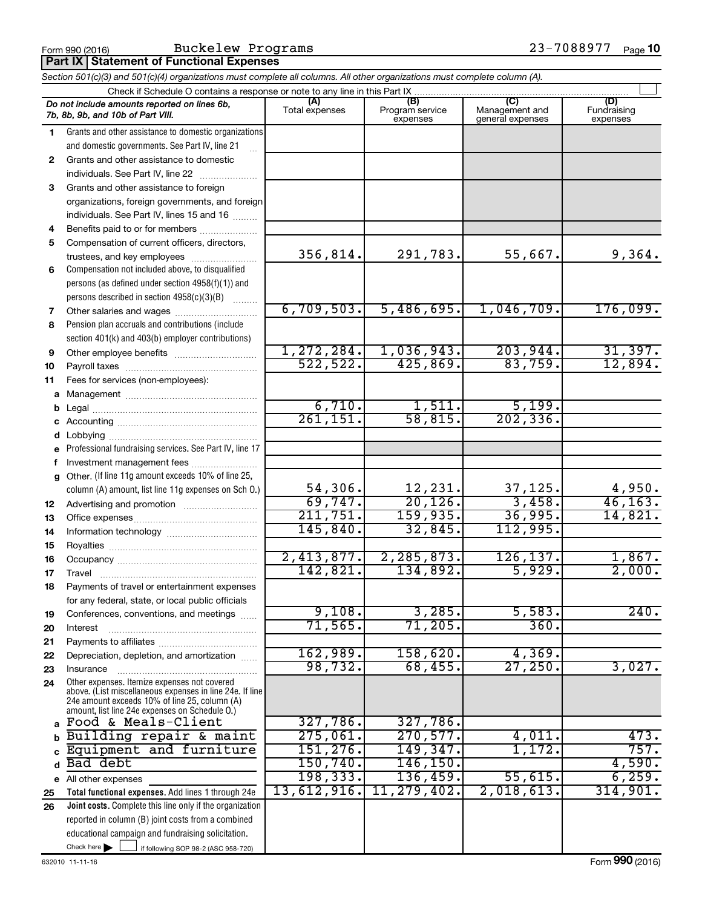Form 990 (2016) Buckelew Programs 23-7088977 <sub>Page</sub>

| Section 501(c)(3) and 501(c)(4) organizations must complete all columns. All other organizations must complete column (A). |                                                                                                                                                                                                             |                                 |                                    |                                           |                         |  |  |  |  |  |
|----------------------------------------------------------------------------------------------------------------------------|-------------------------------------------------------------------------------------------------------------------------------------------------------------------------------------------------------------|---------------------------------|------------------------------------|-------------------------------------------|-------------------------|--|--|--|--|--|
|                                                                                                                            | Check if Schedule O contains a response or note to any line in this Part IX.                                                                                                                                |                                 |                                    |                                           |                         |  |  |  |  |  |
|                                                                                                                            | Do not include amounts reported on lines 6b,<br>7b, 8b, 9b, and 10b of Part VIII.                                                                                                                           | Total expenses                  | (B)<br>Program service<br>expenses | (C)<br>Management and<br>general expenses | Fundraising<br>expenses |  |  |  |  |  |
| 1.                                                                                                                         | Grants and other assistance to domestic organizations                                                                                                                                                       |                                 |                                    |                                           |                         |  |  |  |  |  |
|                                                                                                                            | and domestic governments. See Part IV, line 21                                                                                                                                                              |                                 |                                    |                                           |                         |  |  |  |  |  |
| $\mathbf{2}$                                                                                                               | Grants and other assistance to domestic                                                                                                                                                                     |                                 |                                    |                                           |                         |  |  |  |  |  |
|                                                                                                                            | individuals. See Part IV, line 22                                                                                                                                                                           |                                 |                                    |                                           |                         |  |  |  |  |  |
| 3                                                                                                                          | Grants and other assistance to foreign                                                                                                                                                                      |                                 |                                    |                                           |                         |  |  |  |  |  |
|                                                                                                                            | organizations, foreign governments, and foreign                                                                                                                                                             |                                 |                                    |                                           |                         |  |  |  |  |  |
|                                                                                                                            | individuals. See Part IV, lines 15 and 16                                                                                                                                                                   |                                 |                                    |                                           |                         |  |  |  |  |  |
| 4                                                                                                                          | Benefits paid to or for members                                                                                                                                                                             |                                 |                                    |                                           |                         |  |  |  |  |  |
| 5                                                                                                                          | Compensation of current officers, directors,                                                                                                                                                                |                                 |                                    |                                           |                         |  |  |  |  |  |
|                                                                                                                            | trustees, and key employees                                                                                                                                                                                 | 356,814.                        | 291,783.                           | 55,667.                                   | 9,364.                  |  |  |  |  |  |
| 6                                                                                                                          | Compensation not included above, to disqualified                                                                                                                                                            |                                 |                                    |                                           |                         |  |  |  |  |  |
|                                                                                                                            | persons (as defined under section 4958(f)(1)) and                                                                                                                                                           |                                 |                                    |                                           |                         |  |  |  |  |  |
|                                                                                                                            | persons described in section 4958(c)(3)(B)                                                                                                                                                                  |                                 |                                    |                                           |                         |  |  |  |  |  |
| 7                                                                                                                          | Other salaries and wages                                                                                                                                                                                    | 6,709,503.                      | 5,486,695.                         | 1,046,709.                                | 176,099.                |  |  |  |  |  |
| 8                                                                                                                          | Pension plan accruals and contributions (include                                                                                                                                                            |                                 |                                    |                                           |                         |  |  |  |  |  |
|                                                                                                                            | section 401(k) and 403(b) employer contributions)                                                                                                                                                           |                                 |                                    |                                           |                         |  |  |  |  |  |
| 9                                                                                                                          |                                                                                                                                                                                                             | 1,272,284.                      | 1,036,943.                         | 203,944.                                  | 31,397.                 |  |  |  |  |  |
| 10                                                                                                                         |                                                                                                                                                                                                             | 522,522.                        | 425,869.                           | 83,759.                                   | 12,894.                 |  |  |  |  |  |
| 11                                                                                                                         | Fees for services (non-employees):                                                                                                                                                                          |                                 |                                    |                                           |                         |  |  |  |  |  |
| а                                                                                                                          |                                                                                                                                                                                                             |                                 |                                    |                                           |                         |  |  |  |  |  |
| b                                                                                                                          |                                                                                                                                                                                                             | 6,710.<br>$\overline{261,151.}$ | 1,511.<br>58,815.                  | 5,199.<br>$\overline{202, 336}$           |                         |  |  |  |  |  |
|                                                                                                                            |                                                                                                                                                                                                             |                                 |                                    |                                           |                         |  |  |  |  |  |
| d                                                                                                                          |                                                                                                                                                                                                             |                                 |                                    |                                           |                         |  |  |  |  |  |
|                                                                                                                            | Professional fundraising services. See Part IV, line 17                                                                                                                                                     |                                 |                                    |                                           |                         |  |  |  |  |  |
|                                                                                                                            | Investment management fees                                                                                                                                                                                  |                                 |                                    |                                           |                         |  |  |  |  |  |
| a                                                                                                                          | Other. (If line 11g amount exceeds 10% of line 25,<br>column (A) amount, list line 11g expenses on Sch O.)                                                                                                  | 54,306.                         | 12,231.                            | 37,125.                                   | 4,950.                  |  |  |  |  |  |
|                                                                                                                            |                                                                                                                                                                                                             | 69,747.                         | 20, 126.                           | 3,458.                                    | 46, 163.                |  |  |  |  |  |
| 12<br>13                                                                                                                   |                                                                                                                                                                                                             | 211,751.                        | 159,935.                           | 36,995.                                   | 14,821.                 |  |  |  |  |  |
| 14                                                                                                                         |                                                                                                                                                                                                             | 145,840.                        | 32,845.                            | 112,995.                                  |                         |  |  |  |  |  |
| 15                                                                                                                         |                                                                                                                                                                                                             |                                 |                                    |                                           |                         |  |  |  |  |  |
| 16                                                                                                                         |                                                                                                                                                                                                             | 2,413,877.                      | 2, 285, 873.                       | 126, 137.                                 | 1,867.                  |  |  |  |  |  |
| 17                                                                                                                         |                                                                                                                                                                                                             | 142,821.                        | 134,892.                           | 5,929.                                    | 2,000.                  |  |  |  |  |  |
| 18                                                                                                                         | Payments of travel or entertainment expenses                                                                                                                                                                |                                 |                                    |                                           |                         |  |  |  |  |  |
|                                                                                                                            | for any federal, state, or local public officials                                                                                                                                                           |                                 |                                    |                                           |                         |  |  |  |  |  |
| 19                                                                                                                         | Conferences, conventions, and meetings                                                                                                                                                                      | 9,108.                          | 3,285.                             | 5,583.                                    | 240.                    |  |  |  |  |  |
| 20                                                                                                                         | Interest                                                                                                                                                                                                    | 71, 565.                        | 71,205.                            | 360.                                      |                         |  |  |  |  |  |
| 21                                                                                                                         |                                                                                                                                                                                                             |                                 |                                    |                                           |                         |  |  |  |  |  |
| 22                                                                                                                         | Depreciation, depletion, and amortization                                                                                                                                                                   | 162,989.                        | 158,620.                           | 4,369.                                    |                         |  |  |  |  |  |
| 23                                                                                                                         | Insurance                                                                                                                                                                                                   | 98,732.                         | 68,455.                            | 27,250.                                   | 3,027.                  |  |  |  |  |  |
| 24                                                                                                                         | Other expenses. Itemize expenses not covered<br>above. (List miscellaneous expenses in line 24e. If line<br>24e amount exceeds 10% of line 25, column (A)<br>amount, list line 24e expenses on Schedule O.) |                                 |                                    |                                           |                         |  |  |  |  |  |
| $\mathbf{a}$                                                                                                               | Food & Meals-Client                                                                                                                                                                                         | 327,786.                        | 327,786.                           |                                           |                         |  |  |  |  |  |
|                                                                                                                            | Building repair & maint                                                                                                                                                                                     | 275,061.                        | 270,577.                           | 4,011.                                    | 473.                    |  |  |  |  |  |
|                                                                                                                            | Equipment and furniture                                                                                                                                                                                     | 151, 276.                       | 149,347.                           | 1,172.                                    | 757.                    |  |  |  |  |  |
| d                                                                                                                          | Bad debt                                                                                                                                                                                                    | 150, 740.                       | 146, 150.                          |                                           | 4,590.                  |  |  |  |  |  |
|                                                                                                                            | e All other expenses                                                                                                                                                                                        | 198, 333.                       | 136,459.                           | 55,615.                                   | 6,259.                  |  |  |  |  |  |
| 25                                                                                                                         | Total functional expenses. Add lines 1 through 24e                                                                                                                                                          | 13,612,916.                     | 11,279,402.                        | 2,018,613.                                | 314,901.                |  |  |  |  |  |
| 26                                                                                                                         | Joint costs. Complete this line only if the organization                                                                                                                                                    |                                 |                                    |                                           |                         |  |  |  |  |  |
|                                                                                                                            | reported in column (B) joint costs from a combined                                                                                                                                                          |                                 |                                    |                                           |                         |  |  |  |  |  |
|                                                                                                                            | educational campaign and fundraising solicitation.                                                                                                                                                          |                                 |                                    |                                           |                         |  |  |  |  |  |
|                                                                                                                            | Check here $\blacktriangleright$<br>if following SOP 98-2 (ASC 958-720)                                                                                                                                     |                                 |                                    |                                           |                         |  |  |  |  |  |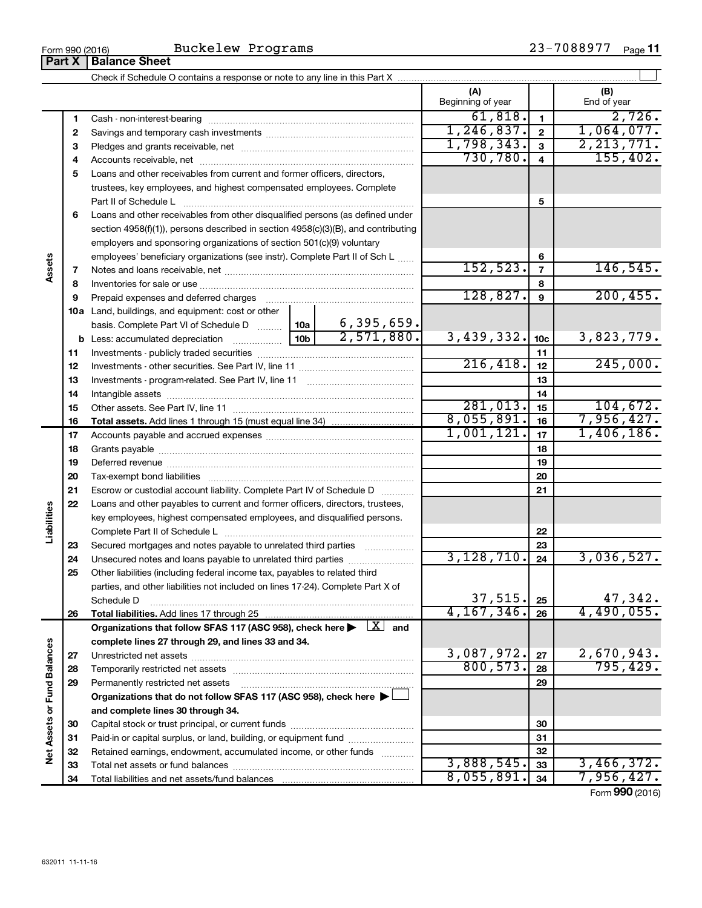| (A)<br>(B)<br>Beginning of year<br>End of year<br>61,818.<br>$\mathbf{1}$<br>1<br>1, 246, 837.<br>$\mathbf{2}$<br>2<br>1,798,343.<br>2, 213, 771.<br>$\overline{\mathbf{3}}$<br>3<br>730,780.<br>155,402.<br>$\overline{4}$<br>4<br>Loans and other receivables from current and former officers, directors,<br>5<br>trustees, key employees, and highest compensated employees. Complete<br>5<br>Part II of Schedule L<br>Loans and other receivables from other disqualified persons (as defined under<br>6<br>section 4958(f)(1)), persons described in section 4958(c)(3)(B), and contributing<br>employers and sponsoring organizations of section 501(c)(9) voluntary<br>employees' beneficiary organizations (see instr). Complete Part II of Sch L<br>6<br>Assets<br>152, 523.<br>$\overline{7}$<br>7<br>8<br>8<br>128,827.<br>9<br>Prepaid expenses and deferred charges [11] [11] Prepaid expenses and deferred charges [11] [11] Martin Marian Marian Marian Marian Marian Marian Marian Marian Marian Marian Marian Marian Marian Marian Marian Marian Marian<br>9<br>10a Land, buildings, and equipment: cost or other<br>6,395,659.<br>basis. Complete Part VI of Schedule D  10a<br>2,571,880.<br>3,439,332.<br>10 <sub>b</sub><br>10 <sub>c</sub><br>11<br>11<br>216,418.<br>12<br>12<br>13<br>13<br>14<br>14<br>281,013.<br>104,672.<br>15<br>15<br>8,055,891.<br>7,956,427.<br>16<br>16<br>1,001,121.<br>1,406,186.<br>17<br>17<br>18<br>18<br>19<br>19<br>20<br>20<br>21<br>21<br>Escrow or custodial account liability. Complete Part IV of Schedule D<br>22<br>Loans and other payables to current and former officers, directors, trustees,<br>Liabilities<br>key employees, highest compensated employees, and disqualified persons.<br>22<br>23<br>Secured mortgages and notes payable to unrelated third parties<br>23<br>3,128,710.<br>3,036,527.<br>24<br>Unsecured notes and loans payable to unrelated third parties<br>24<br>25<br>Other liabilities (including federal income tax, payables to related third<br>parties, and other liabilities not included on lines 17-24). Complete Part X of<br>37,515.<br>47,342.<br>25<br>Schedule D<br>4, 167, 346.<br>4,490,055.<br>26<br>26<br>Organizations that follow SFAS 117 (ASC 958), check here $\blacktriangleright \begin{array}{c} \boxed{X} \\ \end{array}$ and<br>complete lines 27 through 29, and lines 33 and 34.<br>Net Assets or Fund Balances<br>3,087,972.<br>2,670,943.<br>27<br>27<br>800, 573.<br>795,429.<br>28<br>28<br>29<br>29<br>Permanently restricted net assets<br>Organizations that do not follow SFAS 117 (ASC 958), check here ▶ □<br>and complete lines 30 through 34.<br>30<br>30<br>Paid-in or capital surplus, or land, building, or equipment fund<br>31<br>31<br>32<br>Retained earnings, endowment, accumulated income, or other funds<br>32<br>3,888,545.<br>33<br>33<br>8,055,891.<br>34<br>34 |  |  |  |          |  |            |
|-------------------------------------------------------------------------------------------------------------------------------------------------------------------------------------------------------------------------------------------------------------------------------------------------------------------------------------------------------------------------------------------------------------------------------------------------------------------------------------------------------------------------------------------------------------------------------------------------------------------------------------------------------------------------------------------------------------------------------------------------------------------------------------------------------------------------------------------------------------------------------------------------------------------------------------------------------------------------------------------------------------------------------------------------------------------------------------------------------------------------------------------------------------------------------------------------------------------------------------------------------------------------------------------------------------------------------------------------------------------------------------------------------------------------------------------------------------------------------------------------------------------------------------------------------------------------------------------------------------------------------------------------------------------------------------------------------------------------------------------------------------------------------------------------------------------------------------------------------------------------------------------------------------------------------------------------------------------------------------------------------------------------------------------------------------------------------------------------------------------------------------------------------------------------------------------------------------------------------------------------------------------------------------------------------------------------------------------------------------------------------------------------------------------------------------------------------------------------------------------------------------------------------------------------------------------------------------------------------------------------------------------------------------------------------------------------------------------------------------------------------------------------------------------------------------------------------------------------------------------------------------------------------------------|--|--|--|----------|--|------------|
|                                                                                                                                                                                                                                                                                                                                                                                                                                                                                                                                                                                                                                                                                                                                                                                                                                                                                                                                                                                                                                                                                                                                                                                                                                                                                                                                                                                                                                                                                                                                                                                                                                                                                                                                                                                                                                                                                                                                                                                                                                                                                                                                                                                                                                                                                                                                                                                                                                                                                                                                                                                                                                                                                                                                                                                                                                                                                                                   |  |  |  |          |  |            |
|                                                                                                                                                                                                                                                                                                                                                                                                                                                                                                                                                                                                                                                                                                                                                                                                                                                                                                                                                                                                                                                                                                                                                                                                                                                                                                                                                                                                                                                                                                                                                                                                                                                                                                                                                                                                                                                                                                                                                                                                                                                                                                                                                                                                                                                                                                                                                                                                                                                                                                                                                                                                                                                                                                                                                                                                                                                                                                                   |  |  |  |          |  |            |
|                                                                                                                                                                                                                                                                                                                                                                                                                                                                                                                                                                                                                                                                                                                                                                                                                                                                                                                                                                                                                                                                                                                                                                                                                                                                                                                                                                                                                                                                                                                                                                                                                                                                                                                                                                                                                                                                                                                                                                                                                                                                                                                                                                                                                                                                                                                                                                                                                                                                                                                                                                                                                                                                                                                                                                                                                                                                                                                   |  |  |  |          |  | 2,726.     |
|                                                                                                                                                                                                                                                                                                                                                                                                                                                                                                                                                                                                                                                                                                                                                                                                                                                                                                                                                                                                                                                                                                                                                                                                                                                                                                                                                                                                                                                                                                                                                                                                                                                                                                                                                                                                                                                                                                                                                                                                                                                                                                                                                                                                                                                                                                                                                                                                                                                                                                                                                                                                                                                                                                                                                                                                                                                                                                                   |  |  |  |          |  | 1,064,077. |
|                                                                                                                                                                                                                                                                                                                                                                                                                                                                                                                                                                                                                                                                                                                                                                                                                                                                                                                                                                                                                                                                                                                                                                                                                                                                                                                                                                                                                                                                                                                                                                                                                                                                                                                                                                                                                                                                                                                                                                                                                                                                                                                                                                                                                                                                                                                                                                                                                                                                                                                                                                                                                                                                                                                                                                                                                                                                                                                   |  |  |  |          |  |            |
|                                                                                                                                                                                                                                                                                                                                                                                                                                                                                                                                                                                                                                                                                                                                                                                                                                                                                                                                                                                                                                                                                                                                                                                                                                                                                                                                                                                                                                                                                                                                                                                                                                                                                                                                                                                                                                                                                                                                                                                                                                                                                                                                                                                                                                                                                                                                                                                                                                                                                                                                                                                                                                                                                                                                                                                                                                                                                                                   |  |  |  |          |  |            |
|                                                                                                                                                                                                                                                                                                                                                                                                                                                                                                                                                                                                                                                                                                                                                                                                                                                                                                                                                                                                                                                                                                                                                                                                                                                                                                                                                                                                                                                                                                                                                                                                                                                                                                                                                                                                                                                                                                                                                                                                                                                                                                                                                                                                                                                                                                                                                                                                                                                                                                                                                                                                                                                                                                                                                                                                                                                                                                                   |  |  |  |          |  |            |
|                                                                                                                                                                                                                                                                                                                                                                                                                                                                                                                                                                                                                                                                                                                                                                                                                                                                                                                                                                                                                                                                                                                                                                                                                                                                                                                                                                                                                                                                                                                                                                                                                                                                                                                                                                                                                                                                                                                                                                                                                                                                                                                                                                                                                                                                                                                                                                                                                                                                                                                                                                                                                                                                                                                                                                                                                                                                                                                   |  |  |  |          |  |            |
|                                                                                                                                                                                                                                                                                                                                                                                                                                                                                                                                                                                                                                                                                                                                                                                                                                                                                                                                                                                                                                                                                                                                                                                                                                                                                                                                                                                                                                                                                                                                                                                                                                                                                                                                                                                                                                                                                                                                                                                                                                                                                                                                                                                                                                                                                                                                                                                                                                                                                                                                                                                                                                                                                                                                                                                                                                                                                                                   |  |  |  |          |  |            |
|                                                                                                                                                                                                                                                                                                                                                                                                                                                                                                                                                                                                                                                                                                                                                                                                                                                                                                                                                                                                                                                                                                                                                                                                                                                                                                                                                                                                                                                                                                                                                                                                                                                                                                                                                                                                                                                                                                                                                                                                                                                                                                                                                                                                                                                                                                                                                                                                                                                                                                                                                                                                                                                                                                                                                                                                                                                                                                                   |  |  |  |          |  |            |
|                                                                                                                                                                                                                                                                                                                                                                                                                                                                                                                                                                                                                                                                                                                                                                                                                                                                                                                                                                                                                                                                                                                                                                                                                                                                                                                                                                                                                                                                                                                                                                                                                                                                                                                                                                                                                                                                                                                                                                                                                                                                                                                                                                                                                                                                                                                                                                                                                                                                                                                                                                                                                                                                                                                                                                                                                                                                                                                   |  |  |  |          |  |            |
|                                                                                                                                                                                                                                                                                                                                                                                                                                                                                                                                                                                                                                                                                                                                                                                                                                                                                                                                                                                                                                                                                                                                                                                                                                                                                                                                                                                                                                                                                                                                                                                                                                                                                                                                                                                                                                                                                                                                                                                                                                                                                                                                                                                                                                                                                                                                                                                                                                                                                                                                                                                                                                                                                                                                                                                                                                                                                                                   |  |  |  |          |  |            |
|                                                                                                                                                                                                                                                                                                                                                                                                                                                                                                                                                                                                                                                                                                                                                                                                                                                                                                                                                                                                                                                                                                                                                                                                                                                                                                                                                                                                                                                                                                                                                                                                                                                                                                                                                                                                                                                                                                                                                                                                                                                                                                                                                                                                                                                                                                                                                                                                                                                                                                                                                                                                                                                                                                                                                                                                                                                                                                                   |  |  |  |          |  |            |
|                                                                                                                                                                                                                                                                                                                                                                                                                                                                                                                                                                                                                                                                                                                                                                                                                                                                                                                                                                                                                                                                                                                                                                                                                                                                                                                                                                                                                                                                                                                                                                                                                                                                                                                                                                                                                                                                                                                                                                                                                                                                                                                                                                                                                                                                                                                                                                                                                                                                                                                                                                                                                                                                                                                                                                                                                                                                                                                   |  |  |  |          |  | 146, 545.  |
|                                                                                                                                                                                                                                                                                                                                                                                                                                                                                                                                                                                                                                                                                                                                                                                                                                                                                                                                                                                                                                                                                                                                                                                                                                                                                                                                                                                                                                                                                                                                                                                                                                                                                                                                                                                                                                                                                                                                                                                                                                                                                                                                                                                                                                                                                                                                                                                                                                                                                                                                                                                                                                                                                                                                                                                                                                                                                                                   |  |  |  |          |  |            |
|                                                                                                                                                                                                                                                                                                                                                                                                                                                                                                                                                                                                                                                                                                                                                                                                                                                                                                                                                                                                                                                                                                                                                                                                                                                                                                                                                                                                                                                                                                                                                                                                                                                                                                                                                                                                                                                                                                                                                                                                                                                                                                                                                                                                                                                                                                                                                                                                                                                                                                                                                                                                                                                                                                                                                                                                                                                                                                                   |  |  |  |          |  | 200, 455.  |
|                                                                                                                                                                                                                                                                                                                                                                                                                                                                                                                                                                                                                                                                                                                                                                                                                                                                                                                                                                                                                                                                                                                                                                                                                                                                                                                                                                                                                                                                                                                                                                                                                                                                                                                                                                                                                                                                                                                                                                                                                                                                                                                                                                                                                                                                                                                                                                                                                                                                                                                                                                                                                                                                                                                                                                                                                                                                                                                   |  |  |  |          |  |            |
|                                                                                                                                                                                                                                                                                                                                                                                                                                                                                                                                                                                                                                                                                                                                                                                                                                                                                                                                                                                                                                                                                                                                                                                                                                                                                                                                                                                                                                                                                                                                                                                                                                                                                                                                                                                                                                                                                                                                                                                                                                                                                                                                                                                                                                                                                                                                                                                                                                                                                                                                                                                                                                                                                                                                                                                                                                                                                                                   |  |  |  |          |  |            |
|                                                                                                                                                                                                                                                                                                                                                                                                                                                                                                                                                                                                                                                                                                                                                                                                                                                                                                                                                                                                                                                                                                                                                                                                                                                                                                                                                                                                                                                                                                                                                                                                                                                                                                                                                                                                                                                                                                                                                                                                                                                                                                                                                                                                                                                                                                                                                                                                                                                                                                                                                                                                                                                                                                                                                                                                                                                                                                                   |  |  |  |          |  | 3,823,779. |
|                                                                                                                                                                                                                                                                                                                                                                                                                                                                                                                                                                                                                                                                                                                                                                                                                                                                                                                                                                                                                                                                                                                                                                                                                                                                                                                                                                                                                                                                                                                                                                                                                                                                                                                                                                                                                                                                                                                                                                                                                                                                                                                                                                                                                                                                                                                                                                                                                                                                                                                                                                                                                                                                                                                                                                                                                                                                                                                   |  |  |  |          |  |            |
|                                                                                                                                                                                                                                                                                                                                                                                                                                                                                                                                                                                                                                                                                                                                                                                                                                                                                                                                                                                                                                                                                                                                                                                                                                                                                                                                                                                                                                                                                                                                                                                                                                                                                                                                                                                                                                                                                                                                                                                                                                                                                                                                                                                                                                                                                                                                                                                                                                                                                                                                                                                                                                                                                                                                                                                                                                                                                                                   |  |  |  | 245,000. |  |            |
|                                                                                                                                                                                                                                                                                                                                                                                                                                                                                                                                                                                                                                                                                                                                                                                                                                                                                                                                                                                                                                                                                                                                                                                                                                                                                                                                                                                                                                                                                                                                                                                                                                                                                                                                                                                                                                                                                                                                                                                                                                                                                                                                                                                                                                                                                                                                                                                                                                                                                                                                                                                                                                                                                                                                                                                                                                                                                                                   |  |  |  |          |  |            |
|                                                                                                                                                                                                                                                                                                                                                                                                                                                                                                                                                                                                                                                                                                                                                                                                                                                                                                                                                                                                                                                                                                                                                                                                                                                                                                                                                                                                                                                                                                                                                                                                                                                                                                                                                                                                                                                                                                                                                                                                                                                                                                                                                                                                                                                                                                                                                                                                                                                                                                                                                                                                                                                                                                                                                                                                                                                                                                                   |  |  |  |          |  |            |
|                                                                                                                                                                                                                                                                                                                                                                                                                                                                                                                                                                                                                                                                                                                                                                                                                                                                                                                                                                                                                                                                                                                                                                                                                                                                                                                                                                                                                                                                                                                                                                                                                                                                                                                                                                                                                                                                                                                                                                                                                                                                                                                                                                                                                                                                                                                                                                                                                                                                                                                                                                                                                                                                                                                                                                                                                                                                                                                   |  |  |  |          |  |            |
|                                                                                                                                                                                                                                                                                                                                                                                                                                                                                                                                                                                                                                                                                                                                                                                                                                                                                                                                                                                                                                                                                                                                                                                                                                                                                                                                                                                                                                                                                                                                                                                                                                                                                                                                                                                                                                                                                                                                                                                                                                                                                                                                                                                                                                                                                                                                                                                                                                                                                                                                                                                                                                                                                                                                                                                                                                                                                                                   |  |  |  |          |  |            |
|                                                                                                                                                                                                                                                                                                                                                                                                                                                                                                                                                                                                                                                                                                                                                                                                                                                                                                                                                                                                                                                                                                                                                                                                                                                                                                                                                                                                                                                                                                                                                                                                                                                                                                                                                                                                                                                                                                                                                                                                                                                                                                                                                                                                                                                                                                                                                                                                                                                                                                                                                                                                                                                                                                                                                                                                                                                                                                                   |  |  |  |          |  |            |
|                                                                                                                                                                                                                                                                                                                                                                                                                                                                                                                                                                                                                                                                                                                                                                                                                                                                                                                                                                                                                                                                                                                                                                                                                                                                                                                                                                                                                                                                                                                                                                                                                                                                                                                                                                                                                                                                                                                                                                                                                                                                                                                                                                                                                                                                                                                                                                                                                                                                                                                                                                                                                                                                                                                                                                                                                                                                                                                   |  |  |  |          |  |            |
|                                                                                                                                                                                                                                                                                                                                                                                                                                                                                                                                                                                                                                                                                                                                                                                                                                                                                                                                                                                                                                                                                                                                                                                                                                                                                                                                                                                                                                                                                                                                                                                                                                                                                                                                                                                                                                                                                                                                                                                                                                                                                                                                                                                                                                                                                                                                                                                                                                                                                                                                                                                                                                                                                                                                                                                                                                                                                                                   |  |  |  |          |  |            |
|                                                                                                                                                                                                                                                                                                                                                                                                                                                                                                                                                                                                                                                                                                                                                                                                                                                                                                                                                                                                                                                                                                                                                                                                                                                                                                                                                                                                                                                                                                                                                                                                                                                                                                                                                                                                                                                                                                                                                                                                                                                                                                                                                                                                                                                                                                                                                                                                                                                                                                                                                                                                                                                                                                                                                                                                                                                                                                                   |  |  |  |          |  |            |
|                                                                                                                                                                                                                                                                                                                                                                                                                                                                                                                                                                                                                                                                                                                                                                                                                                                                                                                                                                                                                                                                                                                                                                                                                                                                                                                                                                                                                                                                                                                                                                                                                                                                                                                                                                                                                                                                                                                                                                                                                                                                                                                                                                                                                                                                                                                                                                                                                                                                                                                                                                                                                                                                                                                                                                                                                                                                                                                   |  |  |  |          |  |            |
|                                                                                                                                                                                                                                                                                                                                                                                                                                                                                                                                                                                                                                                                                                                                                                                                                                                                                                                                                                                                                                                                                                                                                                                                                                                                                                                                                                                                                                                                                                                                                                                                                                                                                                                                                                                                                                                                                                                                                                                                                                                                                                                                                                                                                                                                                                                                                                                                                                                                                                                                                                                                                                                                                                                                                                                                                                                                                                                   |  |  |  |          |  |            |
|                                                                                                                                                                                                                                                                                                                                                                                                                                                                                                                                                                                                                                                                                                                                                                                                                                                                                                                                                                                                                                                                                                                                                                                                                                                                                                                                                                                                                                                                                                                                                                                                                                                                                                                                                                                                                                                                                                                                                                                                                                                                                                                                                                                                                                                                                                                                                                                                                                                                                                                                                                                                                                                                                                                                                                                                                                                                                                                   |  |  |  |          |  |            |
|                                                                                                                                                                                                                                                                                                                                                                                                                                                                                                                                                                                                                                                                                                                                                                                                                                                                                                                                                                                                                                                                                                                                                                                                                                                                                                                                                                                                                                                                                                                                                                                                                                                                                                                                                                                                                                                                                                                                                                                                                                                                                                                                                                                                                                                                                                                                                                                                                                                                                                                                                                                                                                                                                                                                                                                                                                                                                                                   |  |  |  |          |  |            |
|                                                                                                                                                                                                                                                                                                                                                                                                                                                                                                                                                                                                                                                                                                                                                                                                                                                                                                                                                                                                                                                                                                                                                                                                                                                                                                                                                                                                                                                                                                                                                                                                                                                                                                                                                                                                                                                                                                                                                                                                                                                                                                                                                                                                                                                                                                                                                                                                                                                                                                                                                                                                                                                                                                                                                                                                                                                                                                                   |  |  |  |          |  |            |
|                                                                                                                                                                                                                                                                                                                                                                                                                                                                                                                                                                                                                                                                                                                                                                                                                                                                                                                                                                                                                                                                                                                                                                                                                                                                                                                                                                                                                                                                                                                                                                                                                                                                                                                                                                                                                                                                                                                                                                                                                                                                                                                                                                                                                                                                                                                                                                                                                                                                                                                                                                                                                                                                                                                                                                                                                                                                                                                   |  |  |  |          |  |            |
|                                                                                                                                                                                                                                                                                                                                                                                                                                                                                                                                                                                                                                                                                                                                                                                                                                                                                                                                                                                                                                                                                                                                                                                                                                                                                                                                                                                                                                                                                                                                                                                                                                                                                                                                                                                                                                                                                                                                                                                                                                                                                                                                                                                                                                                                                                                                                                                                                                                                                                                                                                                                                                                                                                                                                                                                                                                                                                                   |  |  |  |          |  |            |
|                                                                                                                                                                                                                                                                                                                                                                                                                                                                                                                                                                                                                                                                                                                                                                                                                                                                                                                                                                                                                                                                                                                                                                                                                                                                                                                                                                                                                                                                                                                                                                                                                                                                                                                                                                                                                                                                                                                                                                                                                                                                                                                                                                                                                                                                                                                                                                                                                                                                                                                                                                                                                                                                                                                                                                                                                                                                                                                   |  |  |  |          |  |            |
|                                                                                                                                                                                                                                                                                                                                                                                                                                                                                                                                                                                                                                                                                                                                                                                                                                                                                                                                                                                                                                                                                                                                                                                                                                                                                                                                                                                                                                                                                                                                                                                                                                                                                                                                                                                                                                                                                                                                                                                                                                                                                                                                                                                                                                                                                                                                                                                                                                                                                                                                                                                                                                                                                                                                                                                                                                                                                                                   |  |  |  |          |  |            |
|                                                                                                                                                                                                                                                                                                                                                                                                                                                                                                                                                                                                                                                                                                                                                                                                                                                                                                                                                                                                                                                                                                                                                                                                                                                                                                                                                                                                                                                                                                                                                                                                                                                                                                                                                                                                                                                                                                                                                                                                                                                                                                                                                                                                                                                                                                                                                                                                                                                                                                                                                                                                                                                                                                                                                                                                                                                                                                                   |  |  |  |          |  |            |
|                                                                                                                                                                                                                                                                                                                                                                                                                                                                                                                                                                                                                                                                                                                                                                                                                                                                                                                                                                                                                                                                                                                                                                                                                                                                                                                                                                                                                                                                                                                                                                                                                                                                                                                                                                                                                                                                                                                                                                                                                                                                                                                                                                                                                                                                                                                                                                                                                                                                                                                                                                                                                                                                                                                                                                                                                                                                                                                   |  |  |  |          |  |            |
|                                                                                                                                                                                                                                                                                                                                                                                                                                                                                                                                                                                                                                                                                                                                                                                                                                                                                                                                                                                                                                                                                                                                                                                                                                                                                                                                                                                                                                                                                                                                                                                                                                                                                                                                                                                                                                                                                                                                                                                                                                                                                                                                                                                                                                                                                                                                                                                                                                                                                                                                                                                                                                                                                                                                                                                                                                                                                                                   |  |  |  |          |  |            |
|                                                                                                                                                                                                                                                                                                                                                                                                                                                                                                                                                                                                                                                                                                                                                                                                                                                                                                                                                                                                                                                                                                                                                                                                                                                                                                                                                                                                                                                                                                                                                                                                                                                                                                                                                                                                                                                                                                                                                                                                                                                                                                                                                                                                                                                                                                                                                                                                                                                                                                                                                                                                                                                                                                                                                                                                                                                                                                                   |  |  |  |          |  |            |
|                                                                                                                                                                                                                                                                                                                                                                                                                                                                                                                                                                                                                                                                                                                                                                                                                                                                                                                                                                                                                                                                                                                                                                                                                                                                                                                                                                                                                                                                                                                                                                                                                                                                                                                                                                                                                                                                                                                                                                                                                                                                                                                                                                                                                                                                                                                                                                                                                                                                                                                                                                                                                                                                                                                                                                                                                                                                                                                   |  |  |  |          |  |            |
|                                                                                                                                                                                                                                                                                                                                                                                                                                                                                                                                                                                                                                                                                                                                                                                                                                                                                                                                                                                                                                                                                                                                                                                                                                                                                                                                                                                                                                                                                                                                                                                                                                                                                                                                                                                                                                                                                                                                                                                                                                                                                                                                                                                                                                                                                                                                                                                                                                                                                                                                                                                                                                                                                                                                                                                                                                                                                                                   |  |  |  |          |  |            |
|                                                                                                                                                                                                                                                                                                                                                                                                                                                                                                                                                                                                                                                                                                                                                                                                                                                                                                                                                                                                                                                                                                                                                                                                                                                                                                                                                                                                                                                                                                                                                                                                                                                                                                                                                                                                                                                                                                                                                                                                                                                                                                                                                                                                                                                                                                                                                                                                                                                                                                                                                                                                                                                                                                                                                                                                                                                                                                                   |  |  |  |          |  |            |
|                                                                                                                                                                                                                                                                                                                                                                                                                                                                                                                                                                                                                                                                                                                                                                                                                                                                                                                                                                                                                                                                                                                                                                                                                                                                                                                                                                                                                                                                                                                                                                                                                                                                                                                                                                                                                                                                                                                                                                                                                                                                                                                                                                                                                                                                                                                                                                                                                                                                                                                                                                                                                                                                                                                                                                                                                                                                                                                   |  |  |  |          |  |            |
|                                                                                                                                                                                                                                                                                                                                                                                                                                                                                                                                                                                                                                                                                                                                                                                                                                                                                                                                                                                                                                                                                                                                                                                                                                                                                                                                                                                                                                                                                                                                                                                                                                                                                                                                                                                                                                                                                                                                                                                                                                                                                                                                                                                                                                                                                                                                                                                                                                                                                                                                                                                                                                                                                                                                                                                                                                                                                                                   |  |  |  |          |  |            |
|                                                                                                                                                                                                                                                                                                                                                                                                                                                                                                                                                                                                                                                                                                                                                                                                                                                                                                                                                                                                                                                                                                                                                                                                                                                                                                                                                                                                                                                                                                                                                                                                                                                                                                                                                                                                                                                                                                                                                                                                                                                                                                                                                                                                                                                                                                                                                                                                                                                                                                                                                                                                                                                                                                                                                                                                                                                                                                                   |  |  |  |          |  |            |
|                                                                                                                                                                                                                                                                                                                                                                                                                                                                                                                                                                                                                                                                                                                                                                                                                                                                                                                                                                                                                                                                                                                                                                                                                                                                                                                                                                                                                                                                                                                                                                                                                                                                                                                                                                                                                                                                                                                                                                                                                                                                                                                                                                                                                                                                                                                                                                                                                                                                                                                                                                                                                                                                                                                                                                                                                                                                                                                   |  |  |  |          |  | 3,466,372. |
|                                                                                                                                                                                                                                                                                                                                                                                                                                                                                                                                                                                                                                                                                                                                                                                                                                                                                                                                                                                                                                                                                                                                                                                                                                                                                                                                                                                                                                                                                                                                                                                                                                                                                                                                                                                                                                                                                                                                                                                                                                                                                                                                                                                                                                                                                                                                                                                                                                                                                                                                                                                                                                                                                                                                                                                                                                                                                                                   |  |  |  |          |  | 7,956,427. |

Form (2016) **990**

## **Part X Balance Sheet**

| Form 990 (2016) |  |  |
|-----------------|--|--|

 $\overline{\phantom{0}}$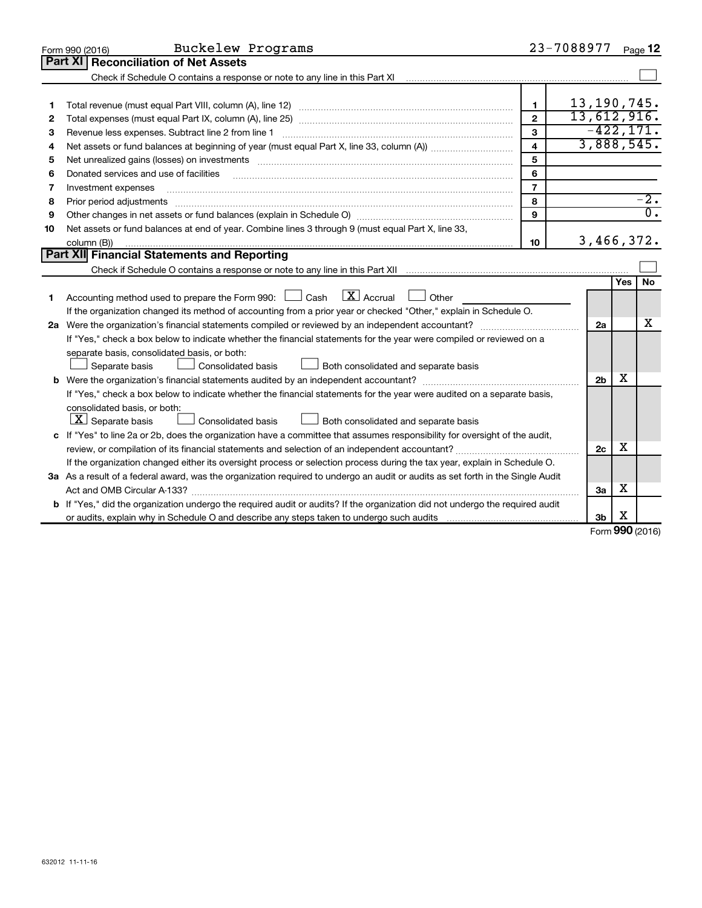|    | Buckelew Programs<br>Form 990 (2016)                                                                                                                                                                                           |                         | 23-7088977     |     | Page 12          |
|----|--------------------------------------------------------------------------------------------------------------------------------------------------------------------------------------------------------------------------------|-------------------------|----------------|-----|------------------|
|    | <b>Part XI</b><br><b>Reconciliation of Net Assets</b>                                                                                                                                                                          |                         |                |     |                  |
|    |                                                                                                                                                                                                                                |                         |                |     |                  |
|    |                                                                                                                                                                                                                                |                         |                |     |                  |
| 1  |                                                                                                                                                                                                                                | 1                       | 13, 190, 745.  |     |                  |
| 2  |                                                                                                                                                                                                                                | $\mathbf{2}$            | 13,612,916.    |     |                  |
| 3  |                                                                                                                                                                                                                                | 3                       |                |     | $-422, 171.$     |
| 4  |                                                                                                                                                                                                                                | $\overline{\mathbf{4}}$ | 3,888,545.     |     |                  |
| 5  | Net unrealized gains (losses) on investments [11] matter than the control of the control of the control of the control of the control of the control of the control of the control of the control of the control of the contro | 5                       |                |     |                  |
| 6  | Donated services and use of facilities                                                                                                                                                                                         | 6                       |                |     |                  |
| 7  | Investment expenses                                                                                                                                                                                                            | $\overline{7}$          |                |     |                  |
| 8  | Prior period adjustments                                                                                                                                                                                                       | 8                       |                |     | $-2.$            |
| 9  |                                                                                                                                                                                                                                | 9                       |                |     | $\overline{0}$ . |
| 10 | Net assets or fund balances at end of year. Combine lines 3 through 9 (must equal Part X, line 33,                                                                                                                             |                         |                |     |                  |
|    | column (B))                                                                                                                                                                                                                    | 10                      | 3,466,372.     |     |                  |
|    | <b>Part XII</b> Financial Statements and Reporting                                                                                                                                                                             |                         |                |     |                  |
|    |                                                                                                                                                                                                                                |                         |                |     |                  |
|    |                                                                                                                                                                                                                                |                         |                | Yes | <b>No</b>        |
| 1  | $\mathbf{X}$ Accrual<br>Accounting method used to prepare the Form 990: [130] Cash<br>$\Box$ Other                                                                                                                             |                         |                |     |                  |
|    | If the organization changed its method of accounting from a prior year or checked "Other," explain in Schedule O.                                                                                                              |                         |                |     |                  |
|    |                                                                                                                                                                                                                                |                         | 2a             |     | x                |
|    | If "Yes," check a box below to indicate whether the financial statements for the year were compiled or reviewed on a                                                                                                           |                         |                |     |                  |
|    | separate basis, consolidated basis, or both:                                                                                                                                                                                   |                         |                |     |                  |
|    | Both consolidated and separate basis<br>Separate basis<br>Consolidated basis                                                                                                                                                   |                         |                |     |                  |
|    |                                                                                                                                                                                                                                |                         | 2 <sub>b</sub> | X   |                  |
|    | If "Yes," check a box below to indicate whether the financial statements for the year were audited on a separate basis,                                                                                                        |                         |                |     |                  |
|    | consolidated basis, or both:                                                                                                                                                                                                   |                         |                |     |                  |
|    | $ \mathbf{X} $ Separate basis<br>Consolidated basis<br>Both consolidated and separate basis                                                                                                                                    |                         |                |     |                  |
|    | c If "Yes" to line 2a or 2b, does the organization have a committee that assumes responsibility for oversight of the audit,                                                                                                    |                         |                |     |                  |
|    |                                                                                                                                                                                                                                |                         | 2c             | x   |                  |
|    | If the organization changed either its oversight process or selection process during the tax year, explain in Schedule O.                                                                                                      |                         |                |     |                  |
|    | 3a As a result of a federal award, was the organization required to undergo an audit or audits as set forth in the Single Audit                                                                                                |                         |                |     |                  |
|    |                                                                                                                                                                                                                                |                         | 3a             | х   |                  |
|    | <b>b</b> If "Yes," did the organization undergo the required audit or audits? If the organization did not undergo the required audit                                                                                           |                         |                |     |                  |
|    |                                                                                                                                                                                                                                |                         | 3 <sub>b</sub> | х   |                  |

Form (2016) **990**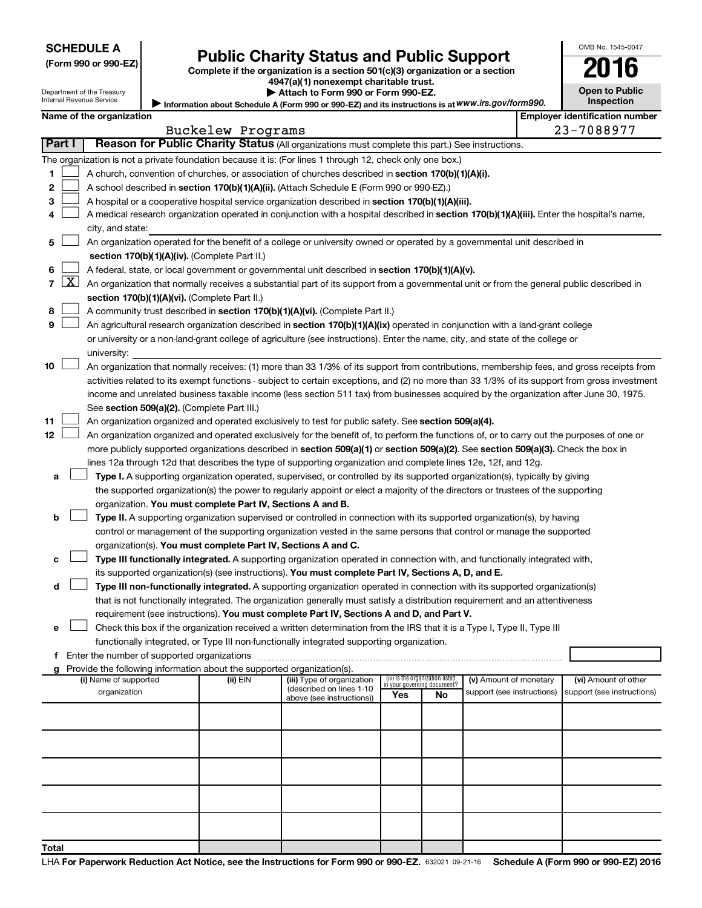| <b>SCHEDULE A</b> |  |
|-------------------|--|
|-------------------|--|

| (Form 990 or 990-EZ |  |  |  |  |
|---------------------|--|--|--|--|
|---------------------|--|--|--|--|

# Form 990 or 990-EZ) **Public Charity Status and Public Support**<br>
Complete if the organization is a section 501(c)(3) organization or a section<br> **2016**

**4947(a)(1) nonexempt charitable trust. | Attach to Form 990 or Form 990-EZ.** 

|  | <b>Open to Public</b> |
|--|-----------------------|
|  |                       |
|  | <b>Inspection</b>     |

OMB No. 1545-0047

Department of the Treasury Internal Revenue Service

| --------------------------<br>Internal Revenue Service | $\blacktriangleright$ Allach to Form 330 or Form 330 EZ.<br>Information about Schedule A (Form 990 or 990-EZ) and its instructions is at WWW.irs.gov/form990. | ----------------<br><b>Inspection</b> |
|--------------------------------------------------------|---------------------------------------------------------------------------------------------------------------------------------------------------------------|---------------------------------------|
| Name of the organization                               |                                                                                                                                                               | l Emplover identification number      |
|                                                        |                                                                                                                                                               | - - - - - - - - -                     |

|                |                     |                                                                                                                                               |  | Buckelew Programs |                            |                             |                                 |                            |  | 23-7088977                 |  |  |
|----------------|---------------------|-----------------------------------------------------------------------------------------------------------------------------------------------|--|-------------------|----------------------------|-----------------------------|---------------------------------|----------------------------|--|----------------------------|--|--|
| Part I         |                     | Reason for Public Charity Status (All organizations must complete this part.) See instructions.                                               |  |                   |                            |                             |                                 |                            |  |                            |  |  |
|                |                     | The organization is not a private foundation because it is: (For lines 1 through 12, check only one box.)                                     |  |                   |                            |                             |                                 |                            |  |                            |  |  |
| 1              |                     | A church, convention of churches, or association of churches described in section 170(b)(1)(A)(i).                                            |  |                   |                            |                             |                                 |                            |  |                            |  |  |
| 2              |                     | A school described in section 170(b)(1)(A)(ii). (Attach Schedule E (Form 990 or 990-EZ).)                                                     |  |                   |                            |                             |                                 |                            |  |                            |  |  |
| з              |                     | A hospital or a cooperative hospital service organization described in section 170(b)(1)(A)(iii).                                             |  |                   |                            |                             |                                 |                            |  |                            |  |  |
| 4              |                     | A medical research organization operated in conjunction with a hospital described in section 170(b)(1)(A)(iii). Enter the hospital's name,    |  |                   |                            |                             |                                 |                            |  |                            |  |  |
|                |                     | city, and state:                                                                                                                              |  |                   |                            |                             |                                 |                            |  |                            |  |  |
| 5              |                     | An organization operated for the benefit of a college or university owned or operated by a governmental unit described in                     |  |                   |                            |                             |                                 |                            |  |                            |  |  |
|                |                     | section 170(b)(1)(A)(iv). (Complete Part II.)                                                                                                 |  |                   |                            |                             |                                 |                            |  |                            |  |  |
| 6              |                     | A federal, state, or local government or governmental unit described in section 170(b)(1)(A)(v).                                              |  |                   |                            |                             |                                 |                            |  |                            |  |  |
| $\overline{7}$ | $\lfloor x \rfloor$ | An organization that normally receives a substantial part of its support from a governmental unit or from the general public described in     |  |                   |                            |                             |                                 |                            |  |                            |  |  |
|                |                     | section 170(b)(1)(A)(vi). (Complete Part II.)                                                                                                 |  |                   |                            |                             |                                 |                            |  |                            |  |  |
| 8              |                     | A community trust described in section 170(b)(1)(A)(vi). (Complete Part II.)                                                                  |  |                   |                            |                             |                                 |                            |  |                            |  |  |
| 9              |                     | An agricultural research organization described in section 170(b)(1)(A)(ix) operated in conjunction with a land-grant college                 |  |                   |                            |                             |                                 |                            |  |                            |  |  |
|                |                     | or university or a non-land-grant college of agriculture (see instructions). Enter the name, city, and state of the college or                |  |                   |                            |                             |                                 |                            |  |                            |  |  |
|                |                     | university:                                                                                                                                   |  |                   |                            |                             |                                 |                            |  |                            |  |  |
| 10             |                     | An organization that normally receives: (1) more than 33 1/3% of its support from contributions, membership fees, and gross receipts from     |  |                   |                            |                             |                                 |                            |  |                            |  |  |
|                |                     | activities related to its exempt functions - subject to certain exceptions, and (2) no more than 33 1/3% of its support from gross investment |  |                   |                            |                             |                                 |                            |  |                            |  |  |
|                |                     | income and unrelated business taxable income (less section 511 tax) from businesses acquired by the organization after June 30, 1975.         |  |                   |                            |                             |                                 |                            |  |                            |  |  |
|                |                     | See section 509(a)(2). (Complete Part III.)                                                                                                   |  |                   |                            |                             |                                 |                            |  |                            |  |  |
| 11             |                     | An organization organized and operated exclusively to test for public safety. See section 509(a)(4).                                          |  |                   |                            |                             |                                 |                            |  |                            |  |  |
| 12             |                     | An organization organized and operated exclusively for the benefit of, to perform the functions of, or to carry out the purposes of one or    |  |                   |                            |                             |                                 |                            |  |                            |  |  |
|                |                     | more publicly supported organizations described in section 509(a)(1) or section 509(a)(2). See section 509(a)(3). Check the box in            |  |                   |                            |                             |                                 |                            |  |                            |  |  |
|                |                     | lines 12a through 12d that describes the type of supporting organization and complete lines 12e, 12f, and 12g.                                |  |                   |                            |                             |                                 |                            |  |                            |  |  |
| а              |                     | Type I. A supporting organization operated, supervised, or controlled by its supported organization(s), typically by giving                   |  |                   |                            |                             |                                 |                            |  |                            |  |  |
|                |                     | the supported organization(s) the power to regularly appoint or elect a majority of the directors or trustees of the supporting               |  |                   |                            |                             |                                 |                            |  |                            |  |  |
|                |                     | organization. You must complete Part IV, Sections A and B.                                                                                    |  |                   |                            |                             |                                 |                            |  |                            |  |  |
| b              |                     | Type II. A supporting organization supervised or controlled in connection with its supported organization(s), by having                       |  |                   |                            |                             |                                 |                            |  |                            |  |  |
|                |                     | control or management of the supporting organization vested in the same persons that control or manage the supported                          |  |                   |                            |                             |                                 |                            |  |                            |  |  |
|                |                     | organization(s). You must complete Part IV, Sections A and C.                                                                                 |  |                   |                            |                             |                                 |                            |  |                            |  |  |
| с              |                     | Type III functionally integrated. A supporting organization operated in connection with, and functionally integrated with,                    |  |                   |                            |                             |                                 |                            |  |                            |  |  |
|                |                     | its supported organization(s) (see instructions). You must complete Part IV, Sections A, D, and E.                                            |  |                   |                            |                             |                                 |                            |  |                            |  |  |
| d              |                     | Type III non-functionally integrated. A supporting organization operated in connection with its supported organization(s)                     |  |                   |                            |                             |                                 |                            |  |                            |  |  |
|                |                     | that is not functionally integrated. The organization generally must satisfy a distribution requirement and an attentiveness                  |  |                   |                            |                             |                                 |                            |  |                            |  |  |
|                |                     | requirement (see instructions). You must complete Part IV, Sections A and D, and Part V.                                                      |  |                   |                            |                             |                                 |                            |  |                            |  |  |
| е              |                     | Check this box if the organization received a written determination from the IRS that it is a Type I, Type II, Type III                       |  |                   |                            |                             |                                 |                            |  |                            |  |  |
|                |                     | functionally integrated, or Type III non-functionally integrated supporting organization.                                                     |  |                   |                            |                             |                                 |                            |  |                            |  |  |
| f.             |                     | Enter the number of supported organizations                                                                                                   |  |                   |                            |                             |                                 |                            |  |                            |  |  |
|                |                     | Provide the following information about the supported organization(s).<br>(i) Name of supported                                               |  | (ii) EIN          | (iii) Type of organization |                             | (iv) Is the organization listed | (v) Amount of monetary     |  | (vi) Amount of other       |  |  |
|                |                     | organization                                                                                                                                  |  |                   | (described on lines 1-10   | in your governing document? |                                 | support (see instructions) |  | support (see instructions) |  |  |
|                |                     |                                                                                                                                               |  |                   | above (see instructions))  | Yes                         | No                              |                            |  |                            |  |  |
|                |                     |                                                                                                                                               |  |                   |                            |                             |                                 |                            |  |                            |  |  |
|                |                     |                                                                                                                                               |  |                   |                            |                             |                                 |                            |  |                            |  |  |
|                |                     |                                                                                                                                               |  |                   |                            |                             |                                 |                            |  |                            |  |  |
|                |                     |                                                                                                                                               |  |                   |                            |                             |                                 |                            |  |                            |  |  |
|                |                     |                                                                                                                                               |  |                   |                            |                             |                                 |                            |  |                            |  |  |
|                |                     |                                                                                                                                               |  |                   |                            |                             |                                 |                            |  |                            |  |  |
|                |                     |                                                                                                                                               |  |                   |                            |                             |                                 |                            |  |                            |  |  |
|                |                     |                                                                                                                                               |  |                   |                            |                             |                                 |                            |  |                            |  |  |
|                |                     |                                                                                                                                               |  |                   |                            |                             |                                 |                            |  |                            |  |  |
|                |                     |                                                                                                                                               |  |                   |                            |                             |                                 |                            |  |                            |  |  |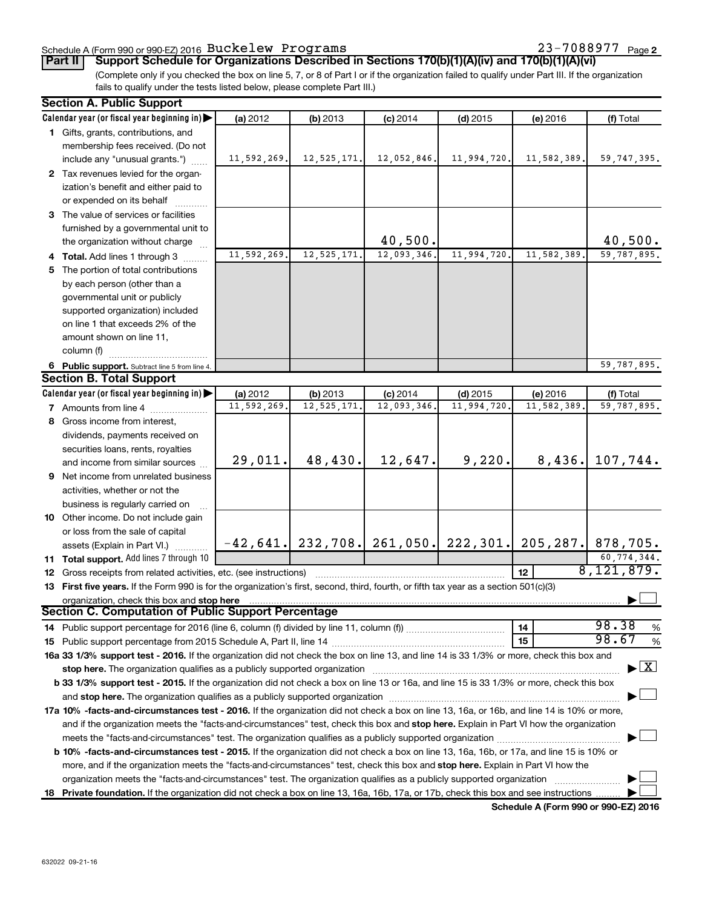### Schedule A (Form 990 or 990-EZ) 2016  $\, {\rm Buckelew} \,$  <code>Programs</code>  $\, 23-7088977 \,$  <code>Page</code>

23-7088977 Page 2

**Part II Support Schedule for Organizations Described in Sections 170(b)(1)(A)(iv) and 170(b)(1)(A)(vi)**

(Complete only if you checked the box on line 5, 7, or 8 of Part I or if the organization failed to qualify under Part III. If the organization fails to qualify under the tests listed below, please complete Part III.)

|    | <b>Section A. Public Support</b>                                                                                                           |             |                                       |             |             |                 |                     |
|----|--------------------------------------------------------------------------------------------------------------------------------------------|-------------|---------------------------------------|-------------|-------------|-----------------|---------------------|
|    | Calendar year (or fiscal year beginning in)                                                                                                | (a) 2012    | (b) 2013                              | $(c)$ 2014  | $(d)$ 2015  | (e) 2016        | (f) Total           |
|    | 1 Gifts, grants, contributions, and                                                                                                        |             |                                       |             |             |                 |                     |
|    | membership fees received. (Do not                                                                                                          |             |                                       |             |             |                 |                     |
|    | include any "unusual grants.")                                                                                                             | 11,592,269. | 12, 525, 171.                         | 12,052,846. | 11,994,720. | 11,582,389.     | 59,747,395.         |
|    | 2 Tax revenues levied for the organ-                                                                                                       |             |                                       |             |             |                 |                     |
|    | ization's benefit and either paid to                                                                                                       |             |                                       |             |             |                 |                     |
|    | or expended on its behalf                                                                                                                  |             |                                       |             |             |                 |                     |
|    | 3 The value of services or facilities                                                                                                      |             |                                       |             |             |                 |                     |
|    | furnished by a governmental unit to                                                                                                        |             |                                       |             |             |                 |                     |
|    | the organization without charge                                                                                                            |             |                                       | 40,500.     |             |                 | 40,500.             |
|    | 4 Total. Add lines 1 through 3                                                                                                             | 11,592,269. | 12, 525, 171.                         | 12,093,346. | 11,994,720. | 11,582,389.     | 59,787,895.         |
|    | 5 The portion of total contributions                                                                                                       |             |                                       |             |             |                 |                     |
|    | by each person (other than a                                                                                                               |             |                                       |             |             |                 |                     |
|    | governmental unit or publicly                                                                                                              |             |                                       |             |             |                 |                     |
|    | supported organization) included                                                                                                           |             |                                       |             |             |                 |                     |
|    | on line 1 that exceeds 2% of the                                                                                                           |             |                                       |             |             |                 |                     |
|    | amount shown on line 11,                                                                                                                   |             |                                       |             |             |                 |                     |
|    | column (f)                                                                                                                                 |             |                                       |             |             |                 |                     |
|    | 6 Public support. Subtract line 5 from line 4.                                                                                             |             |                                       |             |             |                 | 59,787,895.         |
|    | <b>Section B. Total Support</b>                                                                                                            |             |                                       |             |             |                 |                     |
|    | Calendar year (or fiscal year beginning in)                                                                                                | (a) 2012    | (b) 2013                              | $(c)$ 2014  | $(d)$ 2015  | (e) 2016        | (f) Total           |
|    | <b>7</b> Amounts from line 4                                                                                                               | 11,592,269  | 12,525,171                            | 12,093,346. | 11,994,720  | 11,582,389      | 59,787,895.         |
| 8  | Gross income from interest,                                                                                                                |             |                                       |             |             |                 |                     |
|    | dividends, payments received on                                                                                                            |             |                                       |             |             |                 |                     |
|    | securities loans, rents, royalties                                                                                                         |             |                                       |             |             |                 |                     |
|    | and income from similar sources                                                                                                            | 29,011.     | 48,430.                               | 12,647.     | 9,220.      | 8,436.          | 107,744.            |
|    | <b>9</b> Net income from unrelated business                                                                                                |             |                                       |             |             |                 |                     |
|    | activities, whether or not the                                                                                                             |             |                                       |             |             |                 |                     |
|    | business is regularly carried on                                                                                                           |             |                                       |             |             |                 |                     |
|    | 10 Other income. Do not include gain                                                                                                       |             |                                       |             |             |                 |                     |
|    | or loss from the sale of capital                                                                                                           |             |                                       |             |             |                 |                     |
|    | assets (Explain in Part VI.)                                                                                                               |             | $-42,641.$ 232,708. 261,050. 222,301. |             |             |                 | 205, 287. 878, 705. |
|    | 11 Total support. Add lines 7 through 10                                                                                                   |             |                                       |             |             |                 | 60,774,344.         |
|    | <b>12</b> Gross receipts from related activities, etc. (see instructions)                                                                  |             |                                       |             |             | 12 <sup>2</sup> | 8,121,879.          |
|    | 13 First five years. If the Form 990 is for the organization's first, second, third, fourth, or fifth tax year as a section 501(c)(3)      |             |                                       |             |             |                 |                     |
|    | organization, check this box and stop here                                                                                                 |             |                                       |             |             |                 |                     |
|    | <b>Section C. Computation of Public Support Percentage</b>                                                                                 |             |                                       |             |             |                 |                     |
|    |                                                                                                                                            |             |                                       |             |             | 14              | 98.38<br>%          |
|    |                                                                                                                                            |             |                                       |             |             | 15              | 98.67<br>%          |
|    | 16a 33 1/3% support test - 2016. If the organization did not check the box on line 13, and line 14 is 33 1/3% or more, check this box and  |             |                                       |             |             |                 |                     |
|    | stop here. The organization qualifies as a publicly supported organization manufactured content and the support of                         |             |                                       |             |             |                 | $\mathbf{X}$        |
|    | b 33 1/3% support test - 2015. If the organization did not check a box on line 13 or 16a, and line 15 is 33 1/3% or more, check this box   |             |                                       |             |             |                 |                     |
|    |                                                                                                                                            |             |                                       |             |             |                 |                     |
|    | 17a 10% -facts-and-circumstances test - 2016. If the organization did not check a box on line 13, 16a, or 16b, and line 14 is 10% or more, |             |                                       |             |             |                 |                     |
|    | and if the organization meets the "facts-and-circumstances" test, check this box and stop here. Explain in Part VI how the organization    |             |                                       |             |             |                 |                     |
|    | meets the "facts-and-circumstances" test. The organization qualifies as a publicly supported organization <i>manumumum</i>                 |             |                                       |             |             |                 |                     |
|    | b 10% -facts-and-circumstances test - 2015. If the organization did not check a box on line 13, 16a, 16b, or 17a, and line 15 is 10% or    |             |                                       |             |             |                 |                     |
|    | more, and if the organization meets the "facts-and-circumstances" test, check this box and stop here. Explain in Part VI how the           |             |                                       |             |             |                 |                     |
|    | organization meets the "facts-and-circumstances" test. The organization qualifies as a publicly supported organization                     |             |                                       |             |             |                 |                     |
| 18 | Private foundation. If the organization did not check a box on line 13, 16a, 16b, 17a, or 17b, check this box and see instructions         |             |                                       |             |             |                 |                     |

**Schedule A (Form 990 or 990-EZ) 2016**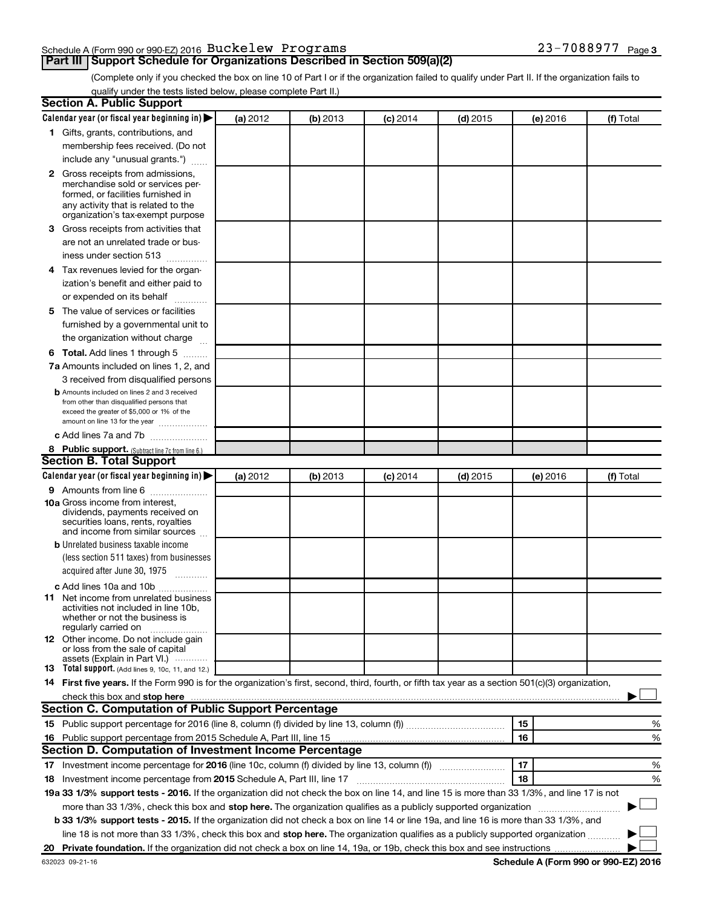### Schedule A (Form 990 or 990-EZ) 2016  $\, {\rm Buckelew} \,$  <code>Programs</code>  $\, 23-7088977 \,$  <code>Page</code>

## **Part III Support Schedule for Organizations Described in Section 509(a)(2)**

23-7088977 <sub>Page 3</sub>

(Complete only if you checked the box on line 10 of Part I or if the organization failed to qualify under Part II. If the organization fails to qualify under the tests listed below, please complete Part II.)

| <b>Section A. Public Support</b>                                                                                                                                                                                                                             |          |          |                 |            |          |           |
|--------------------------------------------------------------------------------------------------------------------------------------------------------------------------------------------------------------------------------------------------------------|----------|----------|-----------------|------------|----------|-----------|
| Calendar year (or fiscal year beginning in)                                                                                                                                                                                                                  | (a) 2012 | (b) 2013 | <b>(c)</b> 2014 | $(d)$ 2015 | (e) 2016 | (f) Total |
| 1 Gifts, grants, contributions, and                                                                                                                                                                                                                          |          |          |                 |            |          |           |
| membership fees received. (Do not                                                                                                                                                                                                                            |          |          |                 |            |          |           |
| include any "unusual grants.")                                                                                                                                                                                                                               |          |          |                 |            |          |           |
| <b>2</b> Gross receipts from admissions,                                                                                                                                                                                                                     |          |          |                 |            |          |           |
| merchandise sold or services per-                                                                                                                                                                                                                            |          |          |                 |            |          |           |
| formed, or facilities furnished in                                                                                                                                                                                                                           |          |          |                 |            |          |           |
| any activity that is related to the<br>organization's tax-exempt purpose                                                                                                                                                                                     |          |          |                 |            |          |           |
| 3 Gross receipts from activities that                                                                                                                                                                                                                        |          |          |                 |            |          |           |
| are not an unrelated trade or bus-                                                                                                                                                                                                                           |          |          |                 |            |          |           |
|                                                                                                                                                                                                                                                              |          |          |                 |            |          |           |
| iness under section 513                                                                                                                                                                                                                                      |          |          |                 |            |          |           |
| 4 Tax revenues levied for the organ-                                                                                                                                                                                                                         |          |          |                 |            |          |           |
| ization's benefit and either paid to                                                                                                                                                                                                                         |          |          |                 |            |          |           |
| or expended on its behalf<br>.                                                                                                                                                                                                                               |          |          |                 |            |          |           |
| 5 The value of services or facilities                                                                                                                                                                                                                        |          |          |                 |            |          |           |
| furnished by a governmental unit to                                                                                                                                                                                                                          |          |          |                 |            |          |           |
| the organization without charge                                                                                                                                                                                                                              |          |          |                 |            |          |           |
| <b>6 Total.</b> Add lines 1 through 5                                                                                                                                                                                                                        |          |          |                 |            |          |           |
| 7a Amounts included on lines 1, 2, and                                                                                                                                                                                                                       |          |          |                 |            |          |           |
| 3 received from disqualified persons                                                                                                                                                                                                                         |          |          |                 |            |          |           |
| <b>b</b> Amounts included on lines 2 and 3 received                                                                                                                                                                                                          |          |          |                 |            |          |           |
| from other than disqualified persons that<br>exceed the greater of \$5,000 or 1% of the                                                                                                                                                                      |          |          |                 |            |          |           |
| amount on line 13 for the year                                                                                                                                                                                                                               |          |          |                 |            |          |           |
| c Add lines 7a and 7b                                                                                                                                                                                                                                        |          |          |                 |            |          |           |
| 8 Public support. (Subtract line 7c from line 6.)                                                                                                                                                                                                            |          |          |                 |            |          |           |
| <b>Section B. Total Support</b>                                                                                                                                                                                                                              |          |          |                 |            |          |           |
| Calendar year (or fiscal year beginning in)                                                                                                                                                                                                                  | (a) 2012 | (b) 2013 | <b>(c)</b> 2014 | $(d)$ 2015 | (e) 2016 | (f) Total |
| <b>9</b> Amounts from line 6                                                                                                                                                                                                                                 |          |          |                 |            |          |           |
| <b>10a</b> Gross income from interest,                                                                                                                                                                                                                       |          |          |                 |            |          |           |
| dividends, payments received on                                                                                                                                                                                                                              |          |          |                 |            |          |           |
| securities loans, rents, royalties<br>and income from similar sources                                                                                                                                                                                        |          |          |                 |            |          |           |
| <b>b</b> Unrelated business taxable income                                                                                                                                                                                                                   |          |          |                 |            |          |           |
| (less section 511 taxes) from businesses                                                                                                                                                                                                                     |          |          |                 |            |          |           |
| acquired after June 30, 1975                                                                                                                                                                                                                                 |          |          |                 |            |          |           |
|                                                                                                                                                                                                                                                              |          |          |                 |            |          |           |
| c Add lines 10a and 10b                                                                                                                                                                                                                                      |          |          |                 |            |          |           |
| <b>11</b> Net income from unrelated business<br>activities not included in line 10b.                                                                                                                                                                         |          |          |                 |            |          |           |
| whether or not the business is                                                                                                                                                                                                                               |          |          |                 |            |          |           |
| regularly carried on                                                                                                                                                                                                                                         |          |          |                 |            |          |           |
| 12 Other income. Do not include gain<br>or loss from the sale of capital                                                                                                                                                                                     |          |          |                 |            |          |           |
| assets (Explain in Part VI.)                                                                                                                                                                                                                                 |          |          |                 |            |          |           |
| <b>13</b> Total support. (Add lines 9, 10c, 11, and 12.)                                                                                                                                                                                                     |          |          |                 |            |          |           |
| 14 First five years. If the Form 990 is for the organization's first, second, third, fourth, or fifth tax year as a section 501(c)(3) organization,                                                                                                          |          |          |                 |            |          |           |
| check this box and stop here <b>construction and construction</b> and stop here <b>constructed</b> and stop here <b>constructed</b> and <b>stop here construction</b> and <b>stop here construction</b> and <b>stop here constructed</b> and <b>stop her</b> |          |          |                 |            |          |           |
| <b>Section C. Computation of Public Support Percentage</b>                                                                                                                                                                                                   |          |          |                 |            |          |           |
|                                                                                                                                                                                                                                                              |          |          |                 |            | 15       | %         |
| 16 Public support percentage from 2015 Schedule A, Part III, line 15                                                                                                                                                                                         |          |          |                 |            | 16       | %         |
| Section D. Computation of Investment Income Percentage                                                                                                                                                                                                       |          |          |                 |            |          |           |
| 17 Investment income percentage for 2016 (line 10c, column (f) divided by line 13, column (f))                                                                                                                                                               |          |          |                 |            | 17       | %         |
| 18 Investment income percentage from 2015 Schedule A, Part III, line 17                                                                                                                                                                                      |          |          |                 |            | 18       | %         |
| 19a 33 1/3% support tests - 2016. If the organization did not check the box on line 14, and line 15 is more than 33 1/3%, and line 17 is not                                                                                                                 |          |          |                 |            |          |           |
| more than 33 1/3%, check this box and stop here. The organization qualifies as a publicly supported organization                                                                                                                                             |          |          |                 |            |          |           |
| b 33 1/3% support tests - 2015. If the organization did not check a box on line 14 or line 19a, and line 16 is more than 33 1/3%, and                                                                                                                        |          |          |                 |            |          |           |
| line 18 is not more than 33 1/3%, check this box and stop here. The organization qualifies as a publicly supported organization                                                                                                                              |          |          |                 |            |          |           |
|                                                                                                                                                                                                                                                              |          |          |                 |            |          |           |
|                                                                                                                                                                                                                                                              |          |          |                 |            |          |           |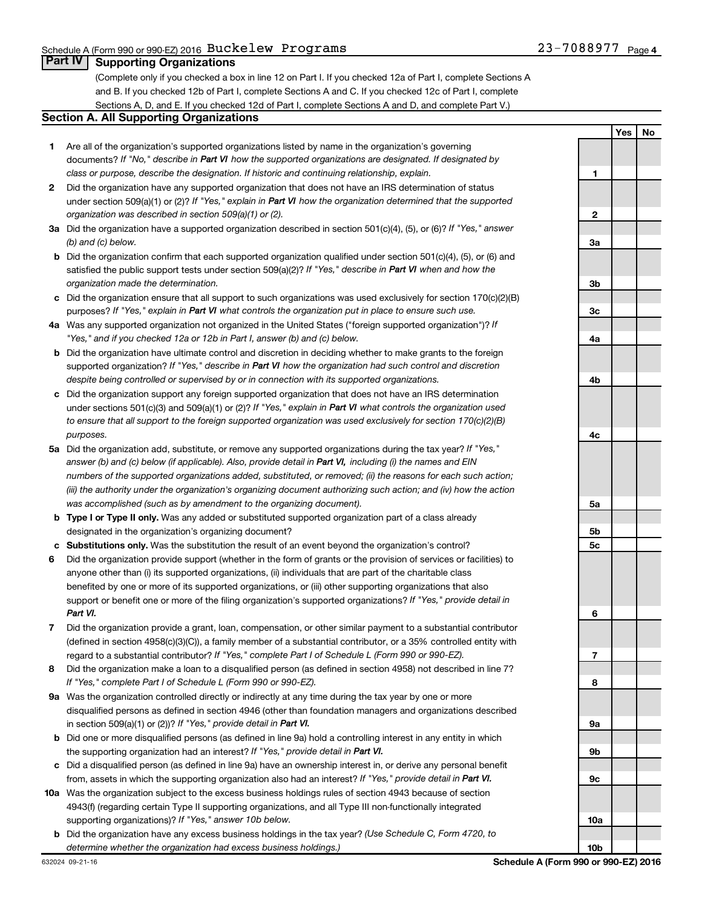**1**

**2**

**Yes No**

### **Part IV Supporting Organizations**

(Complete only if you checked a box in line 12 on Part I. If you checked 12a of Part I, complete Sections A and B. If you checked 12b of Part I, complete Sections A and C. If you checked 12c of Part I, complete Sections A, D, and E. If you checked 12d of Part I, complete Sections A and D, and complete Part V.)

### **Section A. All Supporting Organizations**

- **1** Are all of the organization's supported organizations listed by name in the organization's governing documents? If "No," describe in Part VI how the supported organizations are designated. If designated by *class or purpose, describe the designation. If historic and continuing relationship, explain.*
- **2** Did the organization have any supported organization that does not have an IRS determination of status under section 509(a)(1) or (2)? If "Yes," explain in Part VI how the organization determined that the supported *organization was described in section 509(a)(1) or (2).*
- **3a** Did the organization have a supported organization described in section 501(c)(4), (5), or (6)? If "Yes," answer *(b) and (c) below.*
- **b** Did the organization confirm that each supported organization qualified under section 501(c)(4), (5), or (6) and satisfied the public support tests under section 509(a)(2)? If "Yes," describe in Part VI when and how the *organization made the determination.*
- **c** Did the organization ensure that all support to such organizations was used exclusively for section 170(c)(2)(B) purposes? If "Yes," explain in Part VI what controls the organization put in place to ensure such use.
- **4 a** *If* Was any supported organization not organized in the United States ("foreign supported organization")? *"Yes," and if you checked 12a or 12b in Part I, answer (b) and (c) below.*
- **b** Did the organization have ultimate control and discretion in deciding whether to make grants to the foreign supported organization? If "Yes," describe in Part VI how the organization had such control and discretion *despite being controlled or supervised by or in connection with its supported organizations.*
- **c** Did the organization support any foreign supported organization that does not have an IRS determination under sections 501(c)(3) and 509(a)(1) or (2)? If "Yes," explain in Part VI what controls the organization used *to ensure that all support to the foreign supported organization was used exclusively for section 170(c)(2)(B) purposes.*
- **5a** Did the organization add, substitute, or remove any supported organizations during the tax year? If "Yes," answer (b) and (c) below (if applicable). Also, provide detail in Part VI, including (i) the names and EIN *numbers of the supported organizations added, substituted, or removed; (ii) the reasons for each such action; (iii) the authority under the organization's organizing document authorizing such action; and (iv) how the action was accomplished (such as by amendment to the organizing document).*
- **b Type I or Type II only.** Was any added or substituted supported organization part of a class already designated in the organization's organizing document?
- **c Substitutions only.**  Was the substitution the result of an event beyond the organization's control?
- **6** Did the organization provide support (whether in the form of grants or the provision of services or facilities) to support or benefit one or more of the filing organization's supported organizations? If "Yes," provide detail in anyone other than (i) its supported organizations, (ii) individuals that are part of the charitable class benefited by one or more of its supported organizations, or (iii) other supporting organizations that also *Part VI.*
- **7** Did the organization provide a grant, loan, compensation, or other similar payment to a substantial contributor regard to a substantial contributor? If "Yes," complete Part I of Schedule L (Form 990 or 990-EZ). (defined in section 4958(c)(3)(C)), a family member of a substantial contributor, or a 35% controlled entity with
- **8** Did the organization make a loan to a disqualified person (as defined in section 4958) not described in line 7? *If "Yes," complete Part I of Schedule L (Form 990 or 990-EZ).*
- **9 a** Was the organization controlled directly or indirectly at any time during the tax year by one or more in section 509(a)(1) or (2))? If "Yes," provide detail in Part VI. disqualified persons as defined in section 4946 (other than foundation managers and organizations described
- **b** Did one or more disqualified persons (as defined in line 9a) hold a controlling interest in any entity in which the supporting organization had an interest? If "Yes," provide detail in Part VI.
- **c** Did a disqualified person (as defined in line 9a) have an ownership interest in, or derive any personal benefit from, assets in which the supporting organization also had an interest? If "Yes," provide detail in Part VI.
- **10 a** Was the organization subject to the excess business holdings rules of section 4943 because of section supporting organizations)? If "Yes," answer 10b below. 4943(f) (regarding certain Type II supporting organizations, and all Type III non-functionally integrated
- **b** Did the organization have any excess business holdings in the tax year? (Use Schedule C, Form 4720, to *determine whether the organization had excess business holdings.)*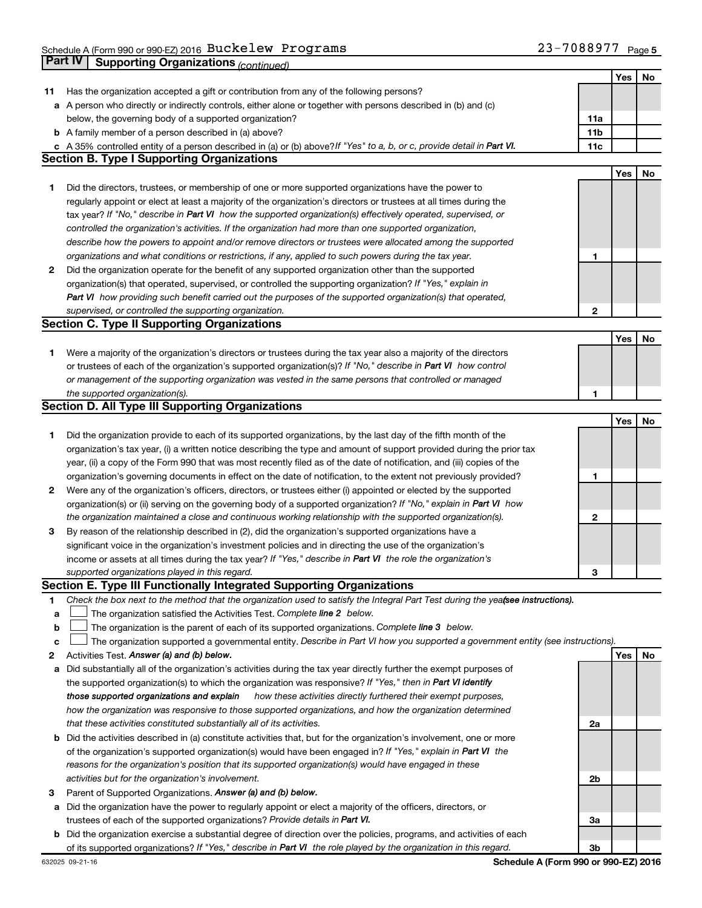|    | Part IV<br><b>Supporting Organizations (continued)</b>                                                                          |                 |            |    |
|----|---------------------------------------------------------------------------------------------------------------------------------|-----------------|------------|----|
|    |                                                                                                                                 |                 | Yes        | No |
| 11 | Has the organization accepted a gift or contribution from any of the following persons?                                         |                 |            |    |
|    | a A person who directly or indirectly controls, either alone or together with persons described in (b) and (c)                  |                 |            |    |
|    | below, the governing body of a supported organization?                                                                          | 11a             |            |    |
|    | <b>b</b> A family member of a person described in (a) above?                                                                    | 11 <sub>b</sub> |            |    |
|    | c A 35% controlled entity of a person described in (a) or (b) above? If "Yes" to a, b, or c, provide detail in Part VI.         | 11c             |            |    |
|    | <b>Section B. Type I Supporting Organizations</b>                                                                               |                 |            |    |
|    |                                                                                                                                 |                 | Yes        | No |
| 1. | Did the directors, trustees, or membership of one or more supported organizations have the power to                             |                 |            |    |
|    | regularly appoint or elect at least a majority of the organization's directors or trustees at all times during the              |                 |            |    |
|    |                                                                                                                                 |                 |            |    |
|    | tax year? If "No," describe in Part VI how the supported organization(s) effectively operated, supervised, or                   |                 |            |    |
|    | controlled the organization's activities. If the organization had more than one supported organization,                         |                 |            |    |
|    | describe how the powers to appoint and/or remove directors or trustees were allocated among the supported                       |                 |            |    |
|    | organizations and what conditions or restrictions, if any, applied to such powers during the tax year.                          | 1               |            |    |
| 2  | Did the organization operate for the benefit of any supported organization other than the supported                             |                 |            |    |
|    | organization(s) that operated, supervised, or controlled the supporting organization? If "Yes," explain in                      |                 |            |    |
|    | Part VI how providing such benefit carried out the purposes of the supported organization(s) that operated,                     |                 |            |    |
|    | supervised, or controlled the supporting organization.                                                                          | 2               |            |    |
|    | <b>Section C. Type II Supporting Organizations</b>                                                                              |                 |            |    |
|    |                                                                                                                                 |                 | <b>Yes</b> | No |
| 1. | Were a majority of the organization's directors or trustees during the tax year also a majority of the directors                |                 |            |    |
|    | or trustees of each of the organization's supported organization(s)? If "No," describe in Part VI how control                   |                 |            |    |
|    | or management of the supporting organization was vested in the same persons that controlled or managed                          |                 |            |    |
|    | the supported organization(s).                                                                                                  | 1               |            |    |
|    | <b>Section D. All Type III Supporting Organizations</b>                                                                         |                 |            |    |
|    |                                                                                                                                 |                 | <b>Yes</b> | No |
| 1  | Did the organization provide to each of its supported organizations, by the last day of the fifth month of the                  |                 |            |    |
|    | organization's tax year, (i) a written notice describing the type and amount of support provided during the prior tax           |                 |            |    |
|    | year, (ii) a copy of the Form 990 that was most recently filed as of the date of notification, and (iii) copies of the          |                 |            |    |
|    | organization's governing documents in effect on the date of notification, to the extent not previously provided?                | 1               |            |    |
| 2  | Were any of the organization's officers, directors, or trustees either (i) appointed or elected by the supported                |                 |            |    |
|    | organization(s) or (ii) serving on the governing body of a supported organization? If "No," explain in Part VI how              |                 |            |    |
|    | the organization maintained a close and continuous working relationship with the supported organization(s).                     | $\mathbf{2}$    |            |    |
| 3  | By reason of the relationship described in (2), did the organization's supported organizations have a                           |                 |            |    |
|    | significant voice in the organization's investment policies and in directing the use of the organization's                      |                 |            |    |
|    | income or assets at all times during the tax year? If "Yes," describe in Part VI the role the organization's                    |                 |            |    |
|    | supported organizations played in this regard.                                                                                  | 3               |            |    |
|    | Section E. Type III Functionally Integrated Supporting Organizations                                                            |                 |            |    |
| 1  | Check the box next to the method that the organization used to satisfy the Integral Part Test during the yea(see instructions). |                 |            |    |
| а  | The organization satisfied the Activities Test. Complete line 2 below.                                                          |                 |            |    |
| b  | The organization is the parent of each of its supported organizations. Complete line 3 below.                                   |                 |            |    |
| с  | The organization supported a governmental entity. Describe in Part VI how you supported a government entity (see instructions). |                 |            |    |
| 2  | Activities Test. Answer (a) and (b) below.                                                                                      |                 | Yes        | No |
| а  | Did substantially all of the organization's activities during the tax year directly further the exempt purposes of              |                 |            |    |
|    | the supported organization(s) to which the organization was responsive? If "Yes," then in Part VI identify                      |                 |            |    |
|    | those supported organizations and explain<br>how these activities directly furthered their exempt purposes,                     |                 |            |    |
|    | how the organization was responsive to those supported organizations, and how the organization determined                       |                 |            |    |
|    | that these activities constituted substantially all of its activities.                                                          | 2a              |            |    |
| b  | Did the activities described in (a) constitute activities that, but for the organization's involvement, one or more             |                 |            |    |
|    | of the organization's supported organization(s) would have been engaged in? If "Yes," explain in Part VI the                    |                 |            |    |
|    | reasons for the organization's position that its supported organization(s) would have engaged in these                          |                 |            |    |
|    | activities but for the organization's involvement.                                                                              | 2b              |            |    |
| 3  | Parent of Supported Organizations. Answer (a) and (b) below.                                                                    |                 |            |    |
| а  | Did the organization have the power to regularly appoint or elect a majority of the officers, directors, or                     |                 |            |    |
|    | trustees of each of the supported organizations? Provide details in Part VI.                                                    | За              |            |    |
|    | <b>b</b> Did the organization exercise a substantial degree of direction over the policies, programs, and activities of each    |                 |            |    |
|    | of its supported organizations? If "Yes," describe in Part VI the role played by the organization in this regard.               | 3b              |            |    |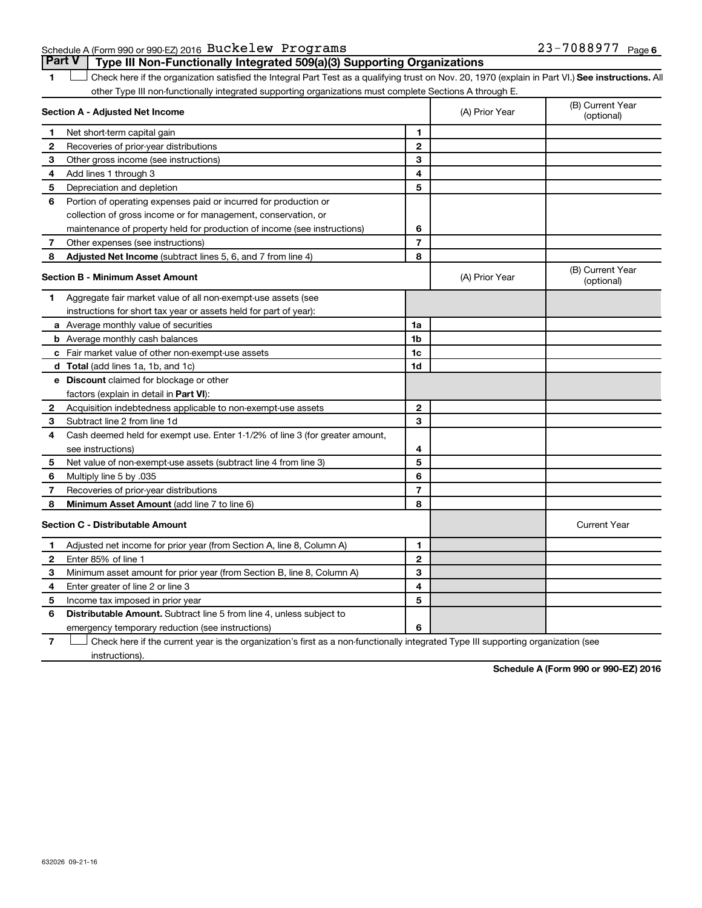**Part V Type III Non-Functionally Integrated 509(a)(3) Supporting Organizations** 

1 **Letter See instructions.** All Check here if the organization satisfied the Integral Part Test as a qualifying trust on Nov. 20, 1970 (explain in Part VI.) See instructions. All other Type III non-functionally integrated supporting organizations must complete Sections A through E.

|   | Section A - Adjusted Net Income                                              |                | (A) Prior Year | (B) Current Year<br>(optional) |
|---|------------------------------------------------------------------------------|----------------|----------------|--------------------------------|
| 1 | Net short-term capital gain                                                  | 1              |                |                                |
| 2 | Recoveries of prior-year distributions                                       | $\mathbf{2}$   |                |                                |
| З | Other gross income (see instructions)                                        | 3              |                |                                |
| 4 | Add lines 1 through 3                                                        | 4              |                |                                |
| 5 | Depreciation and depletion                                                   | 5              |                |                                |
| 6 | Portion of operating expenses paid or incurred for production or             |                |                |                                |
|   | collection of gross income or for management, conservation, or               |                |                |                                |
|   | maintenance of property held for production of income (see instructions)     | 6              |                |                                |
| 7 | Other expenses (see instructions)                                            | $\overline{7}$ |                |                                |
| 8 | Adjusted Net Income (subtract lines 5, 6, and 7 from line 4)                 | 8              |                |                                |
|   | <b>Section B - Minimum Asset Amount</b>                                      |                | (A) Prior Year | (B) Current Year<br>(optional) |
| 1 | Aggregate fair market value of all non-exempt-use assets (see                |                |                |                                |
|   | instructions for short tax year or assets held for part of year):            |                |                |                                |
|   | a Average monthly value of securities                                        | 1a             |                |                                |
|   | <b>b</b> Average monthly cash balances                                       | 1b             |                |                                |
|   | c Fair market value of other non-exempt-use assets                           | 1c             |                |                                |
|   | <b>d</b> Total (add lines 1a, 1b, and 1c)                                    | 1d             |                |                                |
|   | e Discount claimed for blockage or other                                     |                |                |                                |
|   | factors (explain in detail in <b>Part VI</b> ):                              |                |                |                                |
| 2 | Acquisition indebtedness applicable to non-exempt-use assets                 | $\mathbf{2}$   |                |                                |
| 3 | Subtract line 2 from line 1d                                                 | 3              |                |                                |
| 4 | Cash deemed held for exempt use. Enter 1-1/2% of line 3 (for greater amount, |                |                |                                |
|   | see instructions)                                                            | 4              |                |                                |
| 5 | Net value of non-exempt-use assets (subtract line 4 from line 3)             | 5              |                |                                |
| 6 | Multiply line 5 by .035                                                      | 6              |                |                                |
| 7 | Recoveries of prior-year distributions                                       | 7              |                |                                |
| 8 | <b>Minimum Asset Amount (add line 7 to line 6)</b>                           | 8              |                |                                |
|   | <b>Section C - Distributable Amount</b>                                      |                |                | <b>Current Year</b>            |
| 1 | Adjusted net income for prior year (from Section A, line 8, Column A)        | 1              |                |                                |
| 2 | Enter 85% of line 1                                                          | $\mathbf{2}$   |                |                                |
| 3 | Minimum asset amount for prior year (from Section B, line 8, Column A)       | 3              |                |                                |
| 4 | Enter greater of line 2 or line 3                                            | 4              |                |                                |
| 5 | Income tax imposed in prior year                                             | 5              |                |                                |
| 6 | <b>Distributable Amount.</b> Subtract line 5 from line 4, unless subject to  |                |                |                                |
|   | emergency temporary reduction (see instructions)                             | 6              |                |                                |
|   |                                                                              |                |                |                                |

**7** Let Check here if the current year is the organization's first as a non-functionally integrated Type III supporting organization (see instructions).

**Schedule A (Form 990 or 990-EZ) 2016**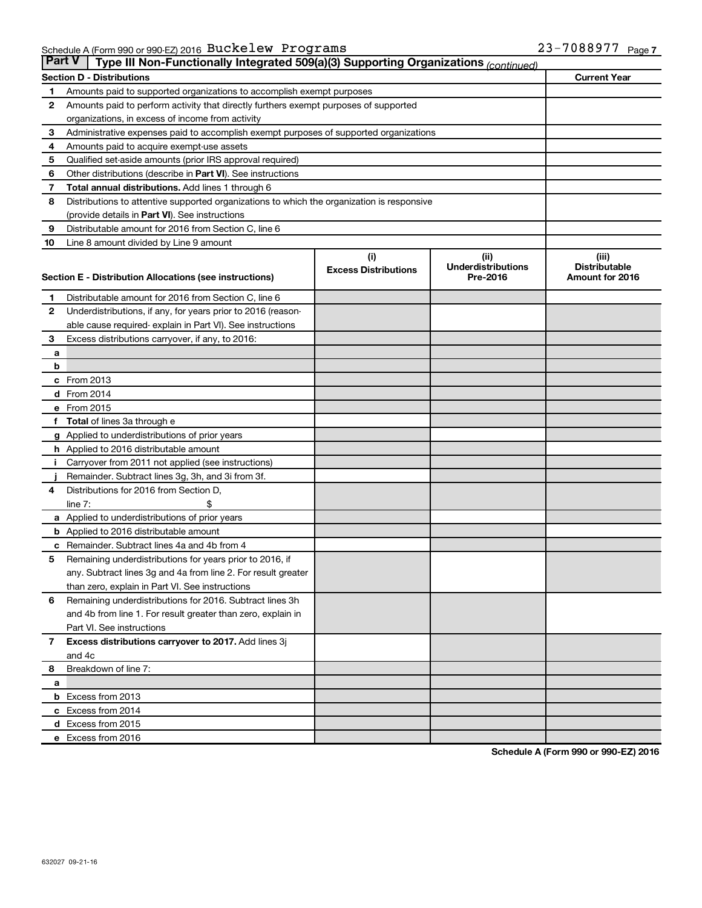| ∣ Part V∣    | Type III Non-Functionally Integrated 509(a)(3) Supporting Organizations (continued)        |                             |                                   |                               |
|--------------|--------------------------------------------------------------------------------------------|-----------------------------|-----------------------------------|-------------------------------|
|              | <b>Section D - Distributions</b>                                                           |                             |                                   | <b>Current Year</b>           |
| 1            | Amounts paid to supported organizations to accomplish exempt purposes                      |                             |                                   |                               |
| 2            | Amounts paid to perform activity that directly furthers exempt purposes of supported       |                             |                                   |                               |
|              | organizations, in excess of income from activity                                           |                             |                                   |                               |
| 3            | Administrative expenses paid to accomplish exempt purposes of supported organizations      |                             |                                   |                               |
| 4            | Amounts paid to acquire exempt-use assets                                                  |                             |                                   |                               |
| 5            | Qualified set-aside amounts (prior IRS approval required)                                  |                             |                                   |                               |
| 6            | Other distributions (describe in Part VI). See instructions                                |                             |                                   |                               |
| 7            | <b>Total annual distributions.</b> Add lines 1 through 6                                   |                             |                                   |                               |
| 8            | Distributions to attentive supported organizations to which the organization is responsive |                             |                                   |                               |
|              | (provide details in Part VI). See instructions                                             |                             |                                   |                               |
| 9            | Distributable amount for 2016 from Section C, line 6                                       |                             |                                   |                               |
| 10           | Line 8 amount divided by Line 9 amount                                                     |                             |                                   |                               |
|              |                                                                                            | (i)                         | (ii)<br><b>Underdistributions</b> | (iii)<br><b>Distributable</b> |
|              | Section E - Distribution Allocations (see instructions)                                    | <b>Excess Distributions</b> | Pre-2016                          | Amount for 2016               |
|              |                                                                                            |                             |                                   |                               |
| 1            | Distributable amount for 2016 from Section C, line 6                                       |                             |                                   |                               |
| $\mathbf{2}$ | Underdistributions, if any, for years prior to 2016 (reason-                               |                             |                                   |                               |
|              | able cause required- explain in Part VI). See instructions                                 |                             |                                   |                               |
| 3            | Excess distributions carryover, if any, to 2016:                                           |                             |                                   |                               |
| а<br>b       |                                                                                            |                             |                                   |                               |
|              | c From 2013                                                                                |                             |                                   |                               |
|              | <b>d</b> From 2014                                                                         |                             |                                   |                               |
|              | e From 2015                                                                                |                             |                                   |                               |
| f            | <b>Total</b> of lines 3a through e                                                         |                             |                                   |                               |
|              | g Applied to underdistributions of prior years                                             |                             |                                   |                               |
|              | h Applied to 2016 distributable amount                                                     |                             |                                   |                               |
|              | Carryover from 2011 not applied (see instructions)                                         |                             |                                   |                               |
|              | Remainder. Subtract lines 3g, 3h, and 3i from 3f.                                          |                             |                                   |                               |
| 4            | Distributions for 2016 from Section D,                                                     |                             |                                   |                               |
|              | line $7:$                                                                                  |                             |                                   |                               |
|              | a Applied to underdistributions of prior years                                             |                             |                                   |                               |
|              | <b>b</b> Applied to 2016 distributable amount                                              |                             |                                   |                               |
| с            | Remainder. Subtract lines 4a and 4b from 4                                                 |                             |                                   |                               |
| 5            | Remaining underdistributions for years prior to 2016, if                                   |                             |                                   |                               |
|              | any. Subtract lines 3g and 4a from line 2. For result greater                              |                             |                                   |                               |
|              | than zero, explain in Part VI. See instructions                                            |                             |                                   |                               |
| 6            | Remaining underdistributions for 2016. Subtract lines 3h                                   |                             |                                   |                               |
|              | and 4b from line 1. For result greater than zero, explain in                               |                             |                                   |                               |
|              | Part VI. See instructions                                                                  |                             |                                   |                               |
| $\mathbf{7}$ | Excess distributions carryover to 2017. Add lines 3j                                       |                             |                                   |                               |
|              | and 4c                                                                                     |                             |                                   |                               |
| 8            | Breakdown of line 7:                                                                       |                             |                                   |                               |
| а            |                                                                                            |                             |                                   |                               |
|              | <b>b</b> Excess from 2013                                                                  |                             |                                   |                               |
|              | c Excess from 2014                                                                         |                             |                                   |                               |
|              | d Excess from 2015                                                                         |                             |                                   |                               |
|              | e Excess from 2016                                                                         |                             |                                   |                               |

**Schedule A (Form 990 or 990-EZ) 2016**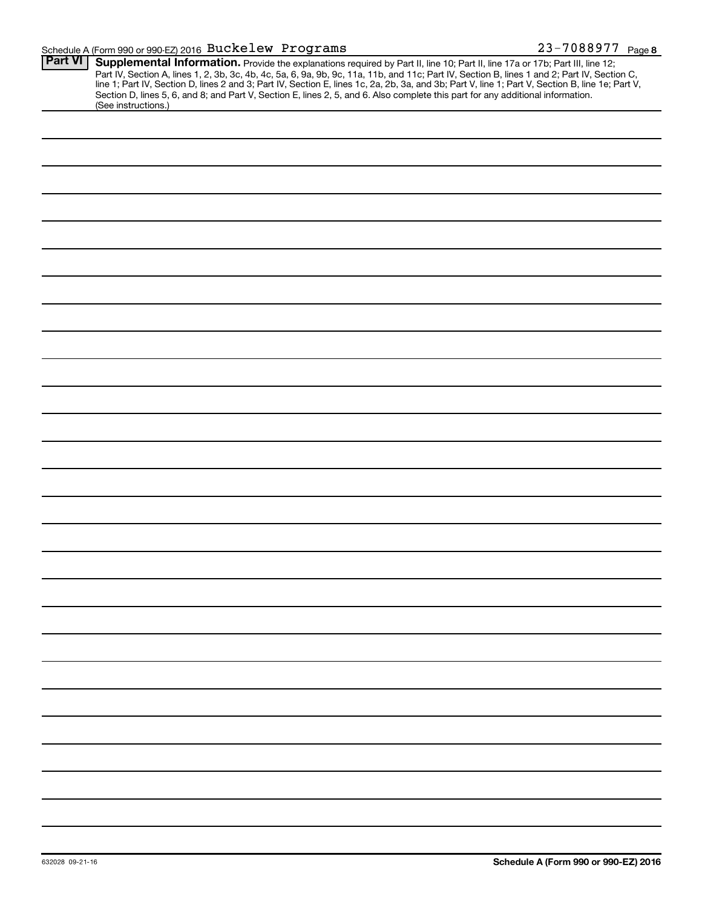### Schedule A (Form 990 or 990-EZ) 2016  $\, {\rm Buckelew} \,$  <code>Programs</code>  $\, 23-7088977 \,$  <code>Page</code>

| <b>Part VI</b> | Supplemental Information. Provide the explanations required by Part II, line 10; Part II, line 17a or 17b; Part III, line 12;<br>Part IV, Section A, lines 1, 2, 3b, 3c, 4b, 4c, 5a, 6, 9a, 9b, 9c, 11a, 11b, and 11c; Part IV, Section B, lines 1 and 2; Part IV, Section C,<br>line 1; Part IV, Section D, lines 2 and 3; Part IV, Section E, lines 1c, 2a, 2b, 3a, and 3b; Part V, line 1; Part V, Section B, line 1e; Part V, |
|----------------|-----------------------------------------------------------------------------------------------------------------------------------------------------------------------------------------------------------------------------------------------------------------------------------------------------------------------------------------------------------------------------------------------------------------------------------|
|                | Section D, lines 5, 6, and 8; and Part V, Section E, lines 2, 5, and 6. Also complete this part for any additional information.<br>(See instructions.)                                                                                                                                                                                                                                                                            |
|                |                                                                                                                                                                                                                                                                                                                                                                                                                                   |
|                |                                                                                                                                                                                                                                                                                                                                                                                                                                   |
|                |                                                                                                                                                                                                                                                                                                                                                                                                                                   |
|                |                                                                                                                                                                                                                                                                                                                                                                                                                                   |
|                |                                                                                                                                                                                                                                                                                                                                                                                                                                   |
|                |                                                                                                                                                                                                                                                                                                                                                                                                                                   |
|                |                                                                                                                                                                                                                                                                                                                                                                                                                                   |
|                |                                                                                                                                                                                                                                                                                                                                                                                                                                   |
|                |                                                                                                                                                                                                                                                                                                                                                                                                                                   |
|                |                                                                                                                                                                                                                                                                                                                                                                                                                                   |
|                |                                                                                                                                                                                                                                                                                                                                                                                                                                   |
|                |                                                                                                                                                                                                                                                                                                                                                                                                                                   |
|                |                                                                                                                                                                                                                                                                                                                                                                                                                                   |
|                |                                                                                                                                                                                                                                                                                                                                                                                                                                   |
|                |                                                                                                                                                                                                                                                                                                                                                                                                                                   |
|                |                                                                                                                                                                                                                                                                                                                                                                                                                                   |
|                |                                                                                                                                                                                                                                                                                                                                                                                                                                   |
|                |                                                                                                                                                                                                                                                                                                                                                                                                                                   |
|                |                                                                                                                                                                                                                                                                                                                                                                                                                                   |
|                |                                                                                                                                                                                                                                                                                                                                                                                                                                   |
|                |                                                                                                                                                                                                                                                                                                                                                                                                                                   |
|                |                                                                                                                                                                                                                                                                                                                                                                                                                                   |
|                |                                                                                                                                                                                                                                                                                                                                                                                                                                   |
|                |                                                                                                                                                                                                                                                                                                                                                                                                                                   |
|                |                                                                                                                                                                                                                                                                                                                                                                                                                                   |
|                |                                                                                                                                                                                                                                                                                                                                                                                                                                   |
|                |                                                                                                                                                                                                                                                                                                                                                                                                                                   |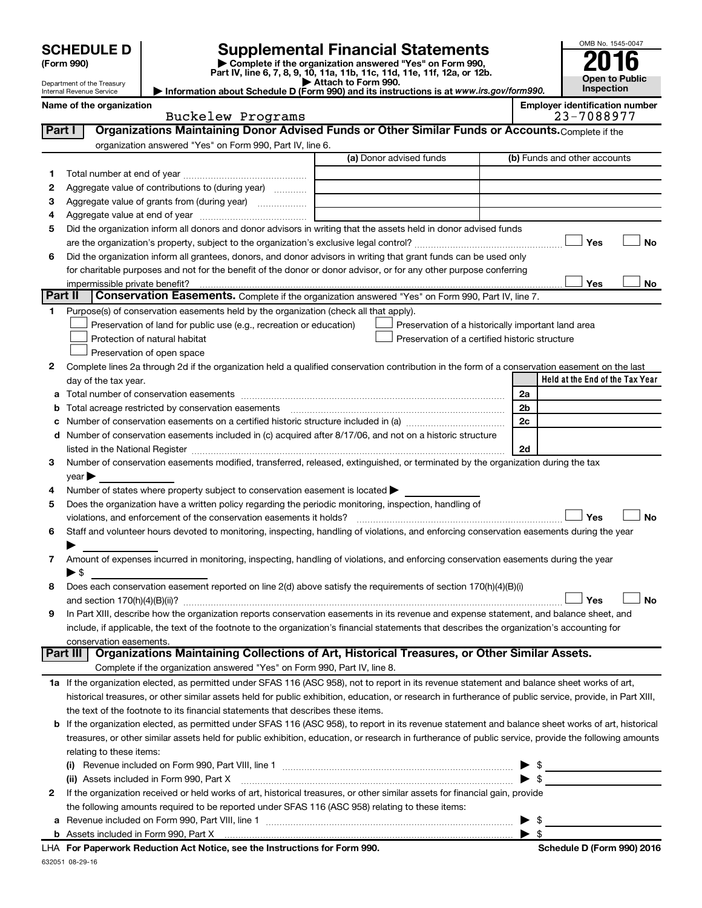| <b>CHEDULE D</b> |  |
|------------------|--|
| ٬۵۵۸ میره        |  |

# **SCHEDULE D Supplemental Financial Statements**<br> **Form 990 2016**<br> **Part IV** line 6.7.8.9.10, 11a, 11b, 11d, 11d, 11d, 11d, 11d, 12a, 0r, 12b

**(Form 990) | Complete if the organization answered "Yes" on Form 990, Part IV, line 6, 7, 8, 9, 10, 11a, 11b, 11c, 11d, 11e, 11f, 12a, or 12b.**

**| Attach to Form 990. | Information about Schedule D (Form 990) and its instructions is at**  *www.irs.gov/form990.*

| OMB No. 1545-0047     |
|-----------------------|
| 2016                  |
|                       |
| <b>Open to Public</b> |
| Inspection            |

| Name of the organization   |  |
|----------------------------|--|
| Internal Revenue Service   |  |
| Department of the Treasury |  |

|         | Name of the organization<br>Buckelew Programs                                                                                                              |                         | <b>Employer identification number</b><br>23-7088977 |
|---------|------------------------------------------------------------------------------------------------------------------------------------------------------------|-------------------------|-----------------------------------------------------|
| Part I  | Organizations Maintaining Donor Advised Funds or Other Similar Funds or Accounts. Complete if the                                                          |                         |                                                     |
|         | organization answered "Yes" on Form 990, Part IV, line 6.                                                                                                  |                         |                                                     |
|         |                                                                                                                                                            | (a) Donor advised funds | (b) Funds and other accounts                        |
| 1.      |                                                                                                                                                            |                         |                                                     |
| 2       | Aggregate value of contributions to (during year)                                                                                                          |                         |                                                     |
| З       | Aggregate value of grants from (during year)                                                                                                               |                         |                                                     |
| 4       |                                                                                                                                                            |                         |                                                     |
| 5       | Did the organization inform all donors and donor advisors in writing that the assets held in donor advised funds                                           |                         |                                                     |
|         |                                                                                                                                                            |                         | Yes<br><b>No</b>                                    |
| 6       | Did the organization inform all grantees, donors, and donor advisors in writing that grant funds can be used only                                          |                         |                                                     |
|         | for charitable purposes and not for the benefit of the donor or donor advisor, or for any other purpose conferring                                         |                         |                                                     |
|         |                                                                                                                                                            |                         | Yes<br>No                                           |
| Part II | <b>Conservation Easements.</b> Complete if the organization answered "Yes" on Form 990, Part IV, line 7.                                                   |                         |                                                     |
| 1.      | Purpose(s) of conservation easements held by the organization (check all that apply).                                                                      |                         |                                                     |
|         | Preservation of land for public use (e.g., recreation or education)                                                                                        |                         | Preservation of a historically important land area  |
|         | Protection of natural habitat                                                                                                                              |                         | Preservation of a certified historic structure      |
|         | Preservation of open space                                                                                                                                 |                         |                                                     |
| 2       | Complete lines 2a through 2d if the organization held a qualified conservation contribution in the form of a conservation easement on the last             |                         |                                                     |
|         | day of the tax year.                                                                                                                                       |                         | Held at the End of the Tax Year                     |
|         |                                                                                                                                                            |                         | 2a                                                  |
| а       |                                                                                                                                                            |                         | 2b                                                  |
| b<br>с  |                                                                                                                                                            |                         | 2c                                                  |
| d       | Number of conservation easements included in (c) acquired after 8/17/06, and not on a historic structure                                                   |                         |                                                     |
|         |                                                                                                                                                            |                         | 2d                                                  |
| З       | Number of conservation easements modified, transferred, released, extinguished, or terminated by the organization during the tax                           |                         |                                                     |
|         | $year \blacktriangleright$                                                                                                                                 |                         |                                                     |
| 4       | Number of states where property subject to conservation easement is located $\blacktriangleright$                                                          |                         |                                                     |
| 5       | Does the organization have a written policy regarding the periodic monitoring, inspection, handling of                                                     |                         |                                                     |
|         |                                                                                                                                                            |                         | Yes<br><b>No</b>                                    |
| 6       | Staff and volunteer hours devoted to monitoring, inspecting, handling of violations, and enforcing conservation easements during the year                  |                         |                                                     |
|         |                                                                                                                                                            |                         |                                                     |
| 7       | Amount of expenses incurred in monitoring, inspecting, handling of violations, and enforcing conservation easements during the year                        |                         |                                                     |
|         | ▶ \$                                                                                                                                                       |                         |                                                     |
| 8       | Does each conservation easement reported on line 2(d) above satisfy the requirements of section 170(h)(4)(B)(i)                                            |                         |                                                     |
|         |                                                                                                                                                            |                         | Yes<br>No                                           |
| 9       | In Part XIII, describe how the organization reports conservation easements in its revenue and expense statement, and balance sheet, and                    |                         |                                                     |
|         | include, if applicable, the text of the footnote to the organization's financial statements that describes the organization's accounting for               |                         |                                                     |
|         | conservation easements.                                                                                                                                    |                         |                                                     |
|         | Organizations Maintaining Collections of Art, Historical Treasures, or Other Similar Assets.<br>Part III                                                   |                         |                                                     |
|         | Complete if the organization answered "Yes" on Form 990, Part IV, line 8.                                                                                  |                         |                                                     |
|         | 1a If the organization elected, as permitted under SFAS 116 (ASC 958), not to report in its revenue statement and balance sheet works of art,              |                         |                                                     |
|         | historical treasures, or other similar assets held for public exhibition, education, or research in furtherance of public service, provide, in Part XIII,  |                         |                                                     |
|         | the text of the footnote to its financial statements that describes these items.                                                                           |                         |                                                     |
|         | <b>b</b> If the organization elected, as permitted under SFAS 116 (ASC 958), to report in its revenue statement and balance sheet works of art, historical |                         |                                                     |
|         | treasures, or other similar assets held for public exhibition, education, or research in furtherance of public service, provide the following amounts      |                         |                                                     |
|         | relating to these items:                                                                                                                                   |                         |                                                     |
|         |                                                                                                                                                            |                         | $\triangleright$ \$                                 |
|         | (ii) Assets included in Form 990, Part X                                                                                                                   |                         | $\blacktriangleright$ \$                            |
| 2       | If the organization received or held works of art, historical treasures, or other similar assets for financial gain, provide                               |                         |                                                     |
|         | the following amounts required to be reported under SFAS 116 (ASC 958) relating to these items:                                                            |                         |                                                     |
|         |                                                                                                                                                            |                         | $\blacktriangleright$ \$                            |
|         |                                                                                                                                                            |                         |                                                     |

| \$

**b** Assets included in Form 990, Part X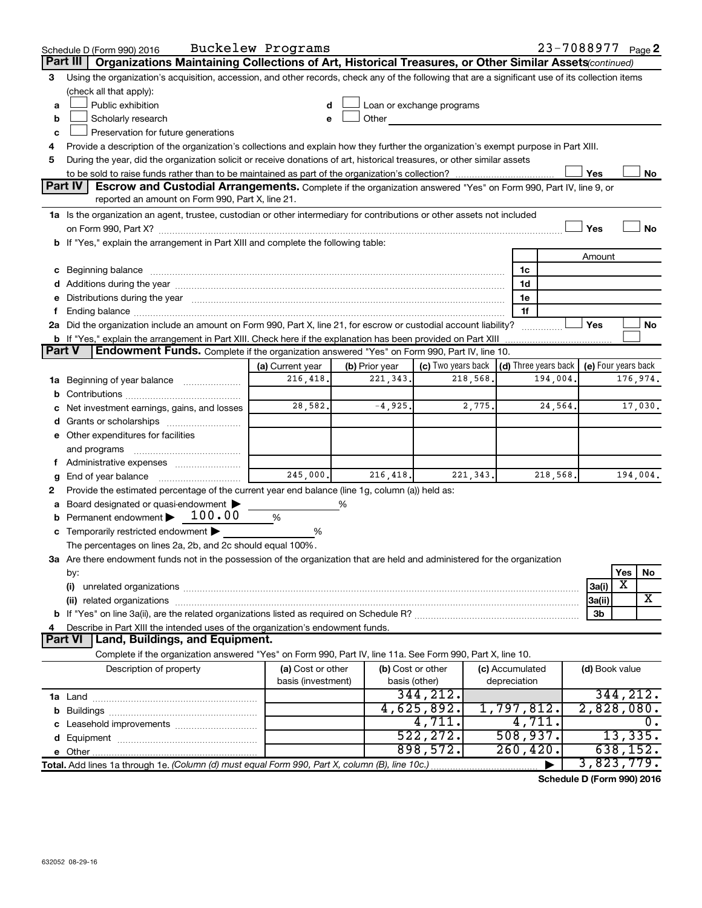|               | Schedule D (Form 990) 2016                                                                                                                                                                                                     | Buckelew Programs  |                |                           |                 |                      |                | 23-7088977 Page 2   |
|---------------|--------------------------------------------------------------------------------------------------------------------------------------------------------------------------------------------------------------------------------|--------------------|----------------|---------------------------|-----------------|----------------------|----------------|---------------------|
|               | Part III<br>Organizations Maintaining Collections of Art, Historical Treasures, or Other Similar Assets(continued)                                                                                                             |                    |                |                           |                 |                      |                |                     |
| 3             | Using the organization's acquisition, accession, and other records, check any of the following that are a significant use of its collection items                                                                              |                    |                |                           |                 |                      |                |                     |
|               | (check all that apply):                                                                                                                                                                                                        |                    |                |                           |                 |                      |                |                     |
| a             | Public exhibition                                                                                                                                                                                                              | d                  |                | Loan or exchange programs |                 |                      |                |                     |
| b             | Scholarly research                                                                                                                                                                                                             | e                  | Other          |                           |                 |                      |                |                     |
| c             | Preservation for future generations                                                                                                                                                                                            |                    |                |                           |                 |                      |                |                     |
|               | Provide a description of the organization's collections and explain how they further the organization's exempt purpose in Part XIII.                                                                                           |                    |                |                           |                 |                      |                |                     |
| 5             | During the year, did the organization solicit or receive donations of art, historical treasures, or other similar assets                                                                                                       |                    |                |                           |                 |                      |                |                     |
|               |                                                                                                                                                                                                                                |                    |                |                           |                 |                      | Yes            | No                  |
|               | <b>Part IV</b><br>Escrow and Custodial Arrangements. Complete if the organization answered "Yes" on Form 990, Part IV, line 9, or                                                                                              |                    |                |                           |                 |                      |                |                     |
|               | reported an amount on Form 990, Part X, line 21.                                                                                                                                                                               |                    |                |                           |                 |                      |                |                     |
|               | 1a Is the organization an agent, trustee, custodian or other intermediary for contributions or other assets not included                                                                                                       |                    |                |                           |                 |                      |                |                     |
|               |                                                                                                                                                                                                                                |                    |                |                           |                 |                      | Yes            | <b>No</b>           |
|               | b If "Yes," explain the arrangement in Part XIII and complete the following table:                                                                                                                                             |                    |                |                           |                 |                      |                |                     |
|               |                                                                                                                                                                                                                                |                    |                |                           |                 |                      | Amount         |                     |
| c             | Beginning balance measurements and contain a series of the series of the series of the series of the series of the series of the series of the series of the series of the series of the series of the series of the series of |                    |                |                           | 1c              |                      |                |                     |
|               |                                                                                                                                                                                                                                |                    |                |                           | 1d              |                      |                |                     |
|               | Distributions during the year manufactured and an account of the state of the state of the state of the state of the state of the state of the state of the state of the state of the state of the state of the state of the s |                    |                |                           | 1е              |                      |                |                     |
|               |                                                                                                                                                                                                                                |                    |                |                           | 1f              |                      |                |                     |
|               | 2a Did the organization include an amount on Form 990, Part X, line 21, for escrow or custodial account liability?                                                                                                             |                    |                |                           |                 |                      | Yes            | No                  |
|               | <b>b</b> If "Yes," explain the arrangement in Part XIII. Check here if the explanation has been provided on Part XIII                                                                                                          |                    |                |                           |                 |                      |                |                     |
| <b>Part V</b> | Endowment Funds. Complete if the organization answered "Yes" on Form 990, Part IV, line 10.                                                                                                                                    |                    |                |                           |                 |                      |                |                     |
|               |                                                                                                                                                                                                                                | (a) Current year   | (b) Prior year | (c) Two years back        |                 | (d) Three years back |                | (e) Four years back |
| ٦а            | Beginning of year balance                                                                                                                                                                                                      | 216,418.           | 221, 343.      | 218,568                   |                 | 194,004.             |                | 176,974.            |
|               |                                                                                                                                                                                                                                |                    |                |                           |                 |                      |                |                     |
|               | Net investment earnings, gains, and losses                                                                                                                                                                                     | 28,582.            | $-4,925.$      | 2,775.                    |                 | 24,564.              |                | 17,030.             |
|               |                                                                                                                                                                                                                                |                    |                |                           |                 |                      |                |                     |
|               | e Other expenditures for facilities                                                                                                                                                                                            |                    |                |                           |                 |                      |                |                     |
|               | and programs                                                                                                                                                                                                                   |                    |                |                           |                 |                      |                |                     |
|               |                                                                                                                                                                                                                                |                    |                |                           |                 |                      |                |                     |
|               | End of year balance                                                                                                                                                                                                            | 245,000.           | 216,418.       | 221, 343.                 |                 | 218,568.             |                | 194,004.            |
| 2             | Provide the estimated percentage of the current year end balance (line 1g, column (a)) held as:                                                                                                                                |                    |                |                           |                 |                      |                |                     |
|               | Board designated or quasi-endowment                                                                                                                                                                                            |                    | %              |                           |                 |                      |                |                     |
|               | Permanent endowment > 100.00                                                                                                                                                                                                   | $\%$               |                |                           |                 |                      |                |                     |
|               | Temporarily restricted endowment                                                                                                                                                                                               | %                  |                |                           |                 |                      |                |                     |
|               | The percentages on lines 2a, 2b, and 2c should equal 100%.                                                                                                                                                                     |                    |                |                           |                 |                      |                |                     |
|               | 3a Are there endowment funds not in the possession of the organization that are held and administered for the organization                                                                                                     |                    |                |                           |                 |                      |                |                     |
|               | by:                                                                                                                                                                                                                            |                    |                |                           |                 |                      |                | Yes<br>No           |
|               | (i)                                                                                                                                                                                                                            |                    |                |                           |                 |                      | 3a(i)          | X                   |
|               |                                                                                                                                                                                                                                |                    |                |                           |                 |                      | 3a(ii)         | X                   |
|               |                                                                                                                                                                                                                                |                    |                |                           |                 |                      | 3b             |                     |
|               | Describe in Part XIII the intended uses of the organization's endowment funds.                                                                                                                                                 |                    |                |                           |                 |                      |                |                     |
|               | Land, Buildings, and Equipment.<br><b>Part VI</b>                                                                                                                                                                              |                    |                |                           |                 |                      |                |                     |
|               | Complete if the organization answered "Yes" on Form 990, Part IV, line 11a. See Form 990, Part X, line 10.                                                                                                                     |                    |                |                           |                 |                      |                |                     |
|               | Description of property                                                                                                                                                                                                        | (a) Cost or other  |                | (b) Cost or other         | (c) Accumulated |                      | (d) Book value |                     |
|               |                                                                                                                                                                                                                                | basis (investment) |                | basis (other)<br>344,212. | depreciation    |                      |                | 344, 212.           |
|               |                                                                                                                                                                                                                                |                    |                | 4,625,892.                | 1,797,812.      |                      |                | 2,828,080.          |
|               |                                                                                                                                                                                                                                |                    |                | 4,711.                    |                 | 4,711.               |                | $\overline{0}$ .    |
|               |                                                                                                                                                                                                                                |                    |                | 522, 272.                 | 508, 937.       |                      |                | 13,335.             |
|               |                                                                                                                                                                                                                                |                    |                | 898,572.                  | 260, 420.       |                      |                | 638, 152.           |
|               | Total. Add lines 1a through 1e. (Column (d) must equal Form 990, Part X, column (B), line 10c.)                                                                                                                                |                    |                |                           |                 |                      |                | 3,823,779.          |
|               |                                                                                                                                                                                                                                |                    |                |                           |                 |                      |                |                     |

**Schedule D (Form 990) 2016**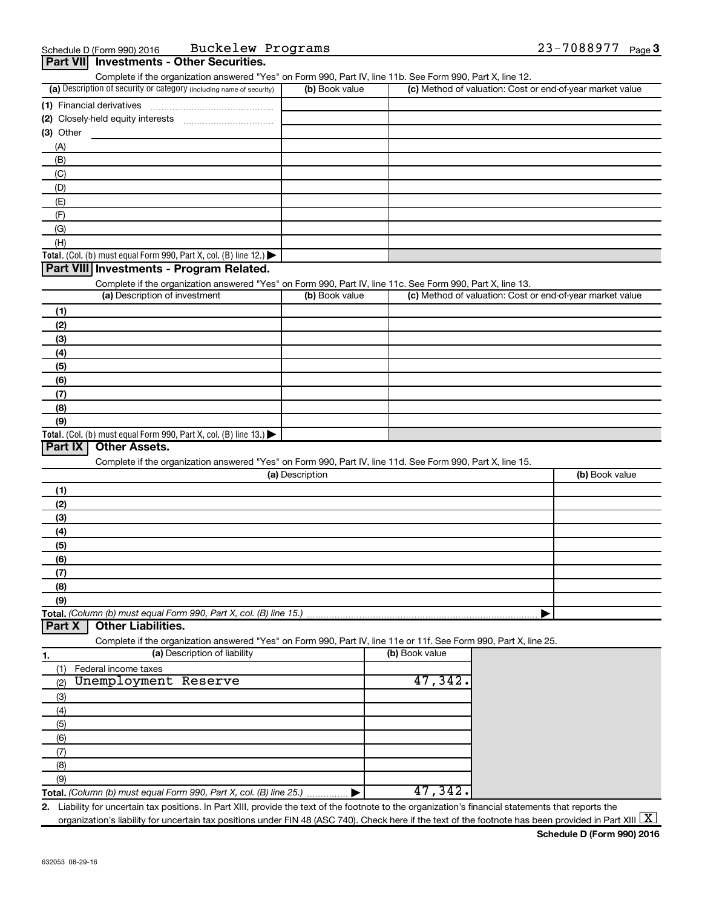| Part VII Investments - Other Securities.                                                      |                                                                                                                                                                                    |                 |                |                                                           |                |
|-----------------------------------------------------------------------------------------------|------------------------------------------------------------------------------------------------------------------------------------------------------------------------------------|-----------------|----------------|-----------------------------------------------------------|----------------|
|                                                                                               | Complete if the organization answered "Yes" on Form 990, Part IV, line 11b. See Form 990, Part X, line 12.<br>(a) Description of security or category (including name of security) | (b) Book value  |                | (c) Method of valuation: Cost or end-of-year market value |                |
| (1) Financial derivatives                                                                     |                                                                                                                                                                                    |                 |                |                                                           |                |
|                                                                                               |                                                                                                                                                                                    |                 |                |                                                           |                |
| $(3)$ Other                                                                                   |                                                                                                                                                                                    |                 |                |                                                           |                |
| (A)                                                                                           |                                                                                                                                                                                    |                 |                |                                                           |                |
| (B)                                                                                           |                                                                                                                                                                                    |                 |                |                                                           |                |
| (C)                                                                                           |                                                                                                                                                                                    |                 |                |                                                           |                |
| (D)                                                                                           |                                                                                                                                                                                    |                 |                |                                                           |                |
| (E)                                                                                           |                                                                                                                                                                                    |                 |                |                                                           |                |
| (F)                                                                                           |                                                                                                                                                                                    |                 |                |                                                           |                |
| (G)                                                                                           |                                                                                                                                                                                    |                 |                |                                                           |                |
| (H)                                                                                           |                                                                                                                                                                                    |                 |                |                                                           |                |
|                                                                                               | Total. (Col. (b) must equal Form 990, Part X, col. (B) line 12.)                                                                                                                   |                 |                |                                                           |                |
| Part VIII Investments - Program Related.                                                      |                                                                                                                                                                                    |                 |                |                                                           |                |
|                                                                                               | Complete if the organization answered "Yes" on Form 990, Part IV, line 11c. See Form 990, Part X, line 13.                                                                         |                 |                |                                                           |                |
|                                                                                               | (a) Description of investment                                                                                                                                                      | (b) Book value  |                | (c) Method of valuation: Cost or end-of-year market value |                |
| (1)                                                                                           |                                                                                                                                                                                    |                 |                |                                                           |                |
| (2)                                                                                           |                                                                                                                                                                                    |                 |                |                                                           |                |
| (3)                                                                                           |                                                                                                                                                                                    |                 |                |                                                           |                |
| (4)                                                                                           |                                                                                                                                                                                    |                 |                |                                                           |                |
| (5)                                                                                           |                                                                                                                                                                                    |                 |                |                                                           |                |
| (6)                                                                                           |                                                                                                                                                                                    |                 |                |                                                           |                |
| (7)                                                                                           |                                                                                                                                                                                    |                 |                |                                                           |                |
| (8)                                                                                           |                                                                                                                                                                                    |                 |                |                                                           |                |
| (9)<br>Total. (Col. (b) must equal Form 990, Part X, col. (B) line 13.) $\blacktriangleright$ |                                                                                                                                                                                    |                 |                |                                                           |                |
| Part IX<br><b>Other Assets.</b>                                                               |                                                                                                                                                                                    |                 |                |                                                           |                |
|                                                                                               | Complete if the organization answered "Yes" on Form 990, Part IV, line 11d. See Form 990, Part X, line 15.                                                                         |                 |                |                                                           |                |
|                                                                                               |                                                                                                                                                                                    | (a) Description |                |                                                           | (b) Book value |
| (1)                                                                                           |                                                                                                                                                                                    |                 |                |                                                           |                |
| (2)                                                                                           |                                                                                                                                                                                    |                 |                |                                                           |                |
| (3)                                                                                           |                                                                                                                                                                                    |                 |                |                                                           |                |
| (4)                                                                                           |                                                                                                                                                                                    |                 |                |                                                           |                |
| (5)                                                                                           |                                                                                                                                                                                    |                 |                |                                                           |                |
| (6)                                                                                           |                                                                                                                                                                                    |                 |                |                                                           |                |
| (7)                                                                                           |                                                                                                                                                                                    |                 |                |                                                           |                |
| (8)                                                                                           |                                                                                                                                                                                    |                 |                |                                                           |                |
| (9)                                                                                           |                                                                                                                                                                                    |                 |                |                                                           |                |
|                                                                                               | Total. (Column (b) must equal Form 990, Part X, col. (B) line 15.)                                                                                                                 |                 |                |                                                           |                |
| <b>Other Liabilities.</b><br>Part X                                                           |                                                                                                                                                                                    |                 |                |                                                           |                |
|                                                                                               | Complete if the organization answered "Yes" on Form 990, Part IV, line 11e or 11f. See Form 990, Part X, line 25.                                                                  |                 |                |                                                           |                |
| 1.                                                                                            | (a) Description of liability                                                                                                                                                       |                 | (b) Book value |                                                           |                |
| Federal income taxes<br>(1)                                                                   |                                                                                                                                                                                    |                 |                |                                                           |                |
| Unemployment Reserve<br>(2)                                                                   |                                                                                                                                                                                    |                 | 47,342.        |                                                           |                |
| (3)                                                                                           |                                                                                                                                                                                    |                 |                |                                                           |                |
| (4)                                                                                           |                                                                                                                                                                                    |                 |                |                                                           |                |
| (5)                                                                                           |                                                                                                                                                                                    |                 |                |                                                           |                |
| (6)                                                                                           |                                                                                                                                                                                    |                 |                |                                                           |                |
| (7)                                                                                           |                                                                                                                                                                                    |                 |                |                                                           |                |
| (8)                                                                                           |                                                                                                                                                                                    |                 |                |                                                           |                |
|                                                                                               |                                                                                                                                                                                    |                 |                |                                                           |                |
| (9)                                                                                           | Total. (Column (b) must equal Form 990, Part X, col. (B) line 25.)                                                                                                                 |                 | 47,342.        |                                                           |                |

organization's liability for uncertain tax positions under FIN 48 (ASC 740). Check here if the text of the footnote has been provided in Part XIII  $\boxed{\text{X}}$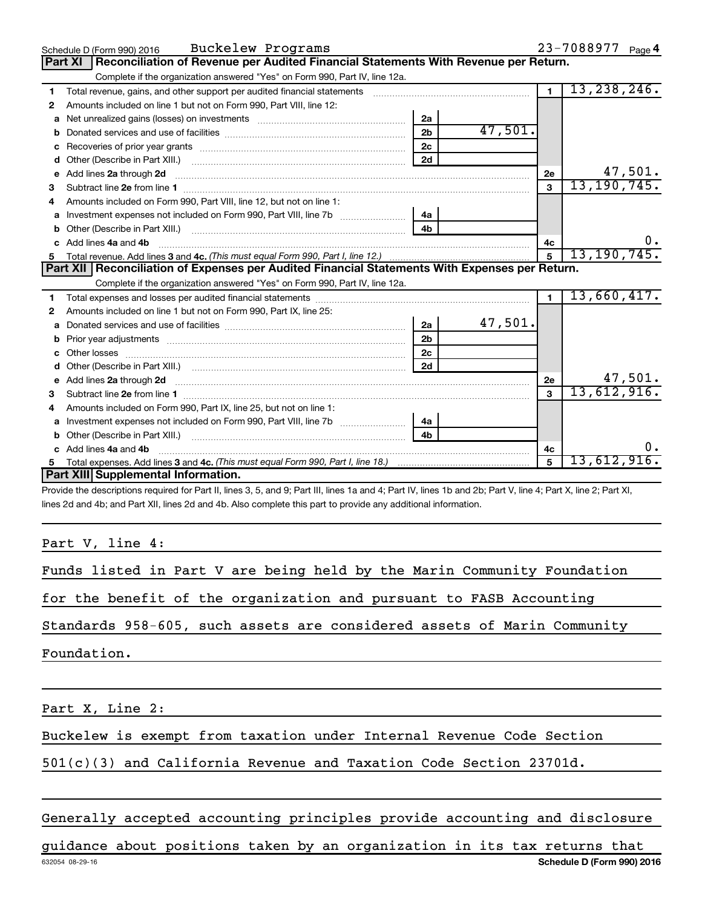|    | Buckelew Programs<br>Schedule D (Form 990) 2016                                                                                                                                                                                      |                |         |                | 23-7088977 Page 4 |
|----|--------------------------------------------------------------------------------------------------------------------------------------------------------------------------------------------------------------------------------------|----------------|---------|----------------|-------------------|
|    | Reconciliation of Revenue per Audited Financial Statements With Revenue per Return.<br><b>Part XI</b>                                                                                                                                |                |         |                |                   |
|    | Complete if the organization answered "Yes" on Form 990, Part IV, line 12a.                                                                                                                                                          |                |         |                |                   |
| 1  | Total revenue, gains, and other support per audited financial statements [111] [11] Total revenue, gains, and other support per audited financial statements                                                                         |                |         | $\overline{1}$ | 13, 238, 246.     |
| 2  | Amounts included on line 1 but not on Form 990, Part VIII, line 12:                                                                                                                                                                  |                |         |                |                   |
| a  |                                                                                                                                                                                                                                      | 2a             |         |                |                   |
| b  |                                                                                                                                                                                                                                      | 2 <sub>b</sub> | 47,501. |                |                   |
| C  | Recoveries of prior year grants [11,111] Recoveries of prior year grants [11] Recoveries of prior year grants                                                                                                                        | 2c             |         |                |                   |
| d  |                                                                                                                                                                                                                                      | 2d             |         |                |                   |
| е  | Add lines 2a through 2d <b>continuum continuum contract and all the contract of the contract of the contract of the contract of the contract of the contract of the contract of the contract of the contract of the contract of </b> |                |         | 2e             | 47,501.           |
| з  |                                                                                                                                                                                                                                      |                |         | $\mathbf{3}$   | 13, 190, 745.     |
|    | Amounts included on Form 990, Part VIII, line 12, but not on line 1:                                                                                                                                                                 |                |         |                |                   |
| a  |                                                                                                                                                                                                                                      | 4a             |         |                |                   |
| b  |                                                                                                                                                                                                                                      | 4 <sub>h</sub> |         |                |                   |
| C. | Add lines 4a and 4b                                                                                                                                                                                                                  |                |         | 4с             |                   |
| 5  |                                                                                                                                                                                                                                      |                |         | 5              | 13, 190, 745.     |
|    |                                                                                                                                                                                                                                      |                |         |                |                   |
|    | Part XII   Reconciliation of Expenses per Audited Financial Statements With Expenses per Return.                                                                                                                                     |                |         |                |                   |
|    | Complete if the organization answered "Yes" on Form 990, Part IV, line 12a.                                                                                                                                                          |                |         |                |                   |
| 1  |                                                                                                                                                                                                                                      |                |         | $\mathbf{1}$   | 13,660,417.       |
| 2  | Amounts included on line 1 but not on Form 990, Part IX, line 25:                                                                                                                                                                    |                |         |                |                   |
| a  |                                                                                                                                                                                                                                      | 2a             | 47,501. |                |                   |
|    |                                                                                                                                                                                                                                      | 2 <sub>b</sub> |         |                |                   |
| с  |                                                                                                                                                                                                                                      | 2 <sub>c</sub> |         |                |                   |
| d  |                                                                                                                                                                                                                                      | 2d             |         |                |                   |
| е  | Add lines 2a through 2d <b>contained a contained a contained a contained a</b> contained a contained a contained a contained a contained a contained a contained a contained a contained a contained a contained a contained a cont  |                |         | 2e             | 47,501.           |
| 3  |                                                                                                                                                                                                                                      |                |         | $\mathbf{a}$   | 13,612,916.       |
| 4  | Amounts included on Form 990, Part IX, line 25, but not on line 1:                                                                                                                                                                   |                |         |                |                   |
| а  |                                                                                                                                                                                                                                      | 4a             |         |                |                   |
| b  |                                                                                                                                                                                                                                      | 4b             |         |                |                   |
| c  | Add lines 4a and 4b                                                                                                                                                                                                                  |                |         | 4c             |                   |
|    | Part XIII Supplemental Information.                                                                                                                                                                                                  |                |         | 5              | 13,612,916.       |

Provide the descriptions required for Part II, lines 3, 5, and 9; Part III, lines 1a and 4; Part IV, lines 1b and 2b; Part V, line 4; Part X, line 2; Part XI, lines 2d and 4b; and Part XII, lines 2d and 4b. Also complete this part to provide any additional information.

Part V, line 4:

Funds listed in Part V are being held by the Marin Community Foundation

for the benefit of the organization and pursuant to FASB Accounting

Standards 958-605, such assets are considered assets of Marin Community

Foundation.

Part X, Line 2:

Buckelew is exempt from taxation under Internal Revenue Code Section

501(c)(3) and California Revenue and Taxation Code Section 23701d.

Generally accepted accounting principles provide accounting and disclosure

632054 08-29-16 **Schedule D (Form 990) 2016** guidance about positions taken by an organization in its tax returns that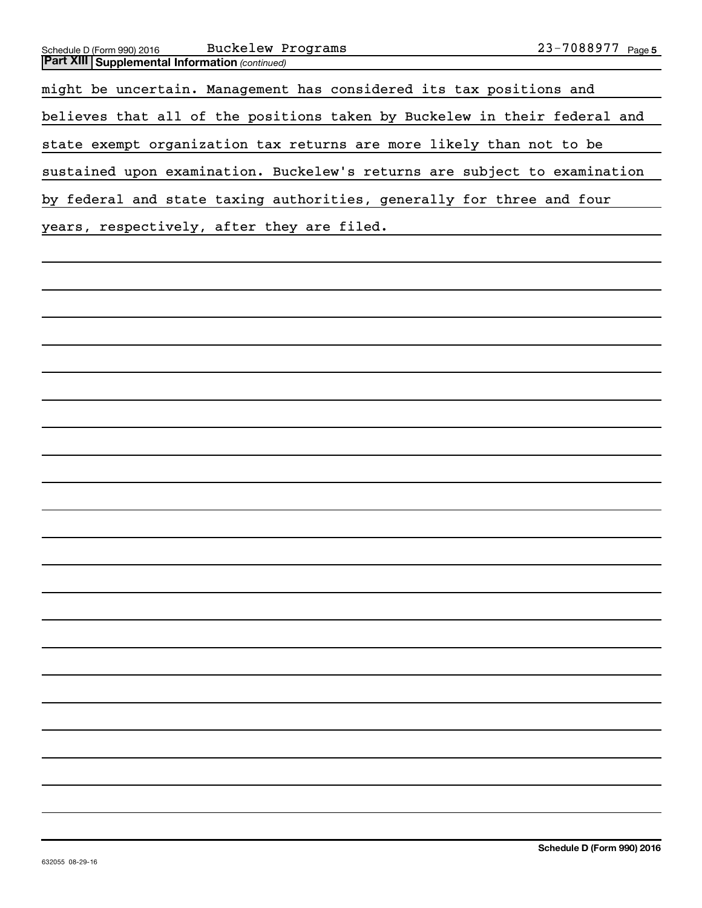| Schedule D (Form 990) 2016                            | <b>Buckelew Programs</b>                                                  | 23-7088977 Page 5 |
|-------------------------------------------------------|---------------------------------------------------------------------------|-------------------|
| <b>Part XIII Supplemental Information (continued)</b> |                                                                           |                   |
|                                                       | might be uncertain. Management has considered its tax positions and       |                   |
|                                                       | believes that all of the positions taken by Buckelew in their federal and |                   |
|                                                       | state exempt organization tax returns are more likely than not to be      |                   |
|                                                       | sustained upon examination. Buckelew's returns are subject to examination |                   |
|                                                       | by federal and state taxing authorities, generally for three and four     |                   |
|                                                       | years, respectively, after they are filed.                                |                   |
|                                                       |                                                                           |                   |
|                                                       |                                                                           |                   |
|                                                       |                                                                           |                   |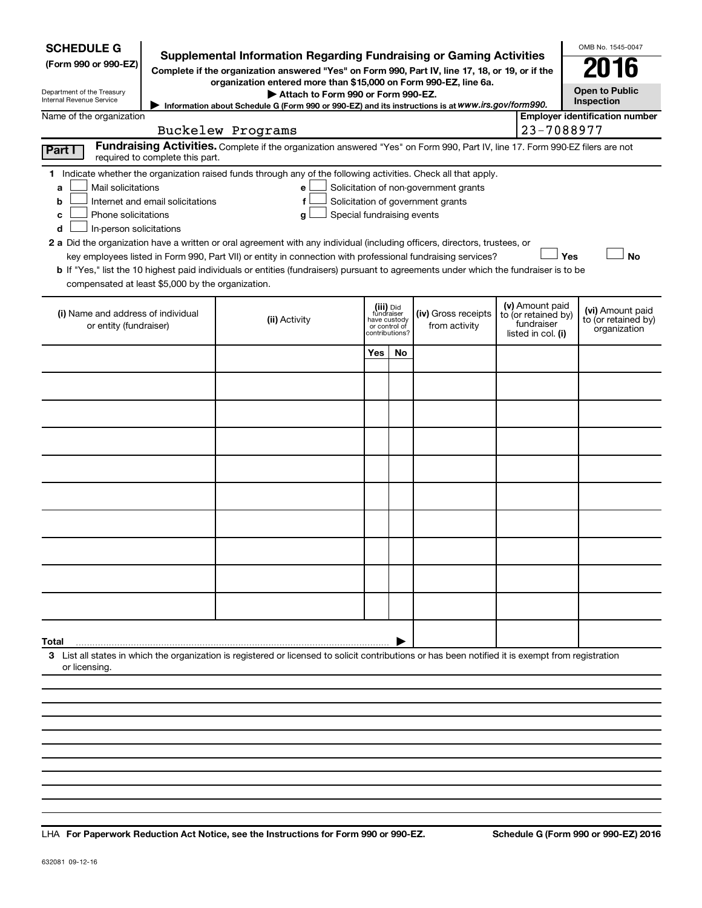| <b>SCHEDULE G</b><br>(Form 990 or 990-EZ)<br>Department of the Treasury<br>Internal Revenue Service<br>Name of the organization                                                                                                                                                                                                                                                                                                                                                                                                                                                                                                                                                                                               | <b>Supplemental Information Regarding Fundraising or Gaming Activities</b><br>Complete if the organization answered "Yes" on Form 990, Part IV, line 17, 18, or 19, or if the<br>organization entered more than \$15,000 on Form 990-EZ, line 6a.<br>Attach to Form 990 or Form 990-EZ.<br>Information about Schedule G (Form 990 or 990-EZ) and its instructions is at WWW.irs.gov/form990. |     |                                                                            |                                      |                                                                            | OMB No. 1545-0047<br>2016<br><b>Open to Public</b><br>Inspection<br><b>Employer identification number</b> |  |  |  |  |
|-------------------------------------------------------------------------------------------------------------------------------------------------------------------------------------------------------------------------------------------------------------------------------------------------------------------------------------------------------------------------------------------------------------------------------------------------------------------------------------------------------------------------------------------------------------------------------------------------------------------------------------------------------------------------------------------------------------------------------|----------------------------------------------------------------------------------------------------------------------------------------------------------------------------------------------------------------------------------------------------------------------------------------------------------------------------------------------------------------------------------------------|-----|----------------------------------------------------------------------------|--------------------------------------|----------------------------------------------------------------------------|-----------------------------------------------------------------------------------------------------------|--|--|--|--|
|                                                                                                                                                                                                                                                                                                                                                                                                                                                                                                                                                                                                                                                                                                                               | Buckelew Programs                                                                                                                                                                                                                                                                                                                                                                            |     |                                                                            |                                      |                                                                            | 23-7088977                                                                                                |  |  |  |  |
| Fundraising Activities. Complete if the organization answered "Yes" on Form 990, Part IV, line 17. Form 990-EZ filers are not<br>Part I<br>required to complete this part.<br>1 Indicate whether the organization raised funds through any of the following activities. Check all that apply.                                                                                                                                                                                                                                                                                                                                                                                                                                 |                                                                                                                                                                                                                                                                                                                                                                                              |     |                                                                            |                                      |                                                                            |                                                                                                           |  |  |  |  |
| Mail solicitations<br>Solicitation of non-government grants<br>e<br>a<br>Internet and email solicitations<br>f<br>Solicitation of government grants<br>b<br>Phone solicitations<br>Special fundraising events<br>g<br>с<br>In-person solicitations<br>d<br>2 a Did the organization have a written or oral agreement with any individual (including officers, directors, trustees, or<br>Yes<br><b>No</b><br>key employees listed in Form 990, Part VII) or entity in connection with professional fundraising services?<br><b>b</b> If "Yes," list the 10 highest paid individuals or entities (fundraisers) pursuant to agreements under which the fundraiser is to be<br>compensated at least \$5,000 by the organization. |                                                                                                                                                                                                                                                                                                                                                                                              |     |                                                                            |                                      |                                                                            |                                                                                                           |  |  |  |  |
| (i) Name and address of individual<br>or entity (fundraiser)                                                                                                                                                                                                                                                                                                                                                                                                                                                                                                                                                                                                                                                                  | (ii) Activity                                                                                                                                                                                                                                                                                                                                                                                |     | (iii) Did<br>fundraiser<br>have custody<br>or control of<br>contributions? | (iv) Gross receipts<br>from activity | (v) Amount paid<br>to (or retained by)<br>fundraiser<br>listed in col. (i) | (vi) Amount paid<br>to (or retained by)<br>organization                                                   |  |  |  |  |
|                                                                                                                                                                                                                                                                                                                                                                                                                                                                                                                                                                                                                                                                                                                               |                                                                                                                                                                                                                                                                                                                                                                                              | Yes | No.                                                                        |                                      |                                                                            |                                                                                                           |  |  |  |  |
|                                                                                                                                                                                                                                                                                                                                                                                                                                                                                                                                                                                                                                                                                                                               |                                                                                                                                                                                                                                                                                                                                                                                              |     |                                                                            |                                      |                                                                            |                                                                                                           |  |  |  |  |
|                                                                                                                                                                                                                                                                                                                                                                                                                                                                                                                                                                                                                                                                                                                               |                                                                                                                                                                                                                                                                                                                                                                                              |     |                                                                            |                                      |                                                                            |                                                                                                           |  |  |  |  |
|                                                                                                                                                                                                                                                                                                                                                                                                                                                                                                                                                                                                                                                                                                                               |                                                                                                                                                                                                                                                                                                                                                                                              |     |                                                                            |                                      |                                                                            |                                                                                                           |  |  |  |  |
|                                                                                                                                                                                                                                                                                                                                                                                                                                                                                                                                                                                                                                                                                                                               |                                                                                                                                                                                                                                                                                                                                                                                              |     |                                                                            |                                      |                                                                            |                                                                                                           |  |  |  |  |
|                                                                                                                                                                                                                                                                                                                                                                                                                                                                                                                                                                                                                                                                                                                               |                                                                                                                                                                                                                                                                                                                                                                                              |     |                                                                            |                                      |                                                                            |                                                                                                           |  |  |  |  |
|                                                                                                                                                                                                                                                                                                                                                                                                                                                                                                                                                                                                                                                                                                                               |                                                                                                                                                                                                                                                                                                                                                                                              |     |                                                                            |                                      |                                                                            |                                                                                                           |  |  |  |  |
|                                                                                                                                                                                                                                                                                                                                                                                                                                                                                                                                                                                                                                                                                                                               |                                                                                                                                                                                                                                                                                                                                                                                              |     |                                                                            |                                      |                                                                            |                                                                                                           |  |  |  |  |
|                                                                                                                                                                                                                                                                                                                                                                                                                                                                                                                                                                                                                                                                                                                               |                                                                                                                                                                                                                                                                                                                                                                                              |     |                                                                            |                                      |                                                                            |                                                                                                           |  |  |  |  |
|                                                                                                                                                                                                                                                                                                                                                                                                                                                                                                                                                                                                                                                                                                                               |                                                                                                                                                                                                                                                                                                                                                                                              |     |                                                                            |                                      |                                                                            |                                                                                                           |  |  |  |  |
| Total                                                                                                                                                                                                                                                                                                                                                                                                                                                                                                                                                                                                                                                                                                                         |                                                                                                                                                                                                                                                                                                                                                                                              |     |                                                                            |                                      |                                                                            |                                                                                                           |  |  |  |  |
| or licensing.                                                                                                                                                                                                                                                                                                                                                                                                                                                                                                                                                                                                                                                                                                                 | 3 List all states in which the organization is registered or licensed to solicit contributions or has been notified it is exempt from registration                                                                                                                                                                                                                                           |     |                                                                            |                                      |                                                                            |                                                                                                           |  |  |  |  |
|                                                                                                                                                                                                                                                                                                                                                                                                                                                                                                                                                                                                                                                                                                                               |                                                                                                                                                                                                                                                                                                                                                                                              |     |                                                                            |                                      |                                                                            |                                                                                                           |  |  |  |  |
|                                                                                                                                                                                                                                                                                                                                                                                                                                                                                                                                                                                                                                                                                                                               |                                                                                                                                                                                                                                                                                                                                                                                              |     |                                                                            |                                      |                                                                            |                                                                                                           |  |  |  |  |

**For Paperwork Reduction Act Notice, see the Instructions for Form 990 or 990-EZ. Schedule G (Form 990 or 990-EZ) 2016** LHA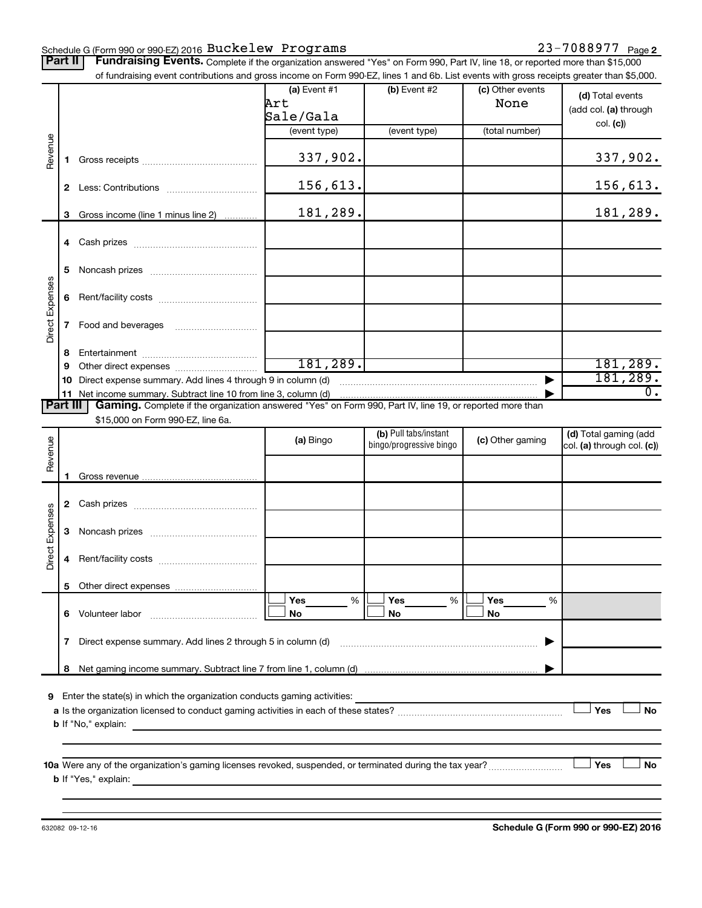### Schedule G (Form 990 or 990-EZ) 2016 Page Buckelew Programs 23-7088977

Part II | Fundraising Events. Complete if the organization answered "Yes" on Form 990, Part IV, line 18, or reported more than \$15,000

|                 |                 | of fundraising event contributions and gross income on Form 990-EZ, lines 1 and 6b. List events with gross receipts greater than \$5,000.                                                                                            |                |                         |                  |                            |
|-----------------|-----------------|--------------------------------------------------------------------------------------------------------------------------------------------------------------------------------------------------------------------------------------|----------------|-------------------------|------------------|----------------------------|
|                 |                 |                                                                                                                                                                                                                                      | $(a)$ Event #1 | (b) Event #2            | (c) Other events | (d) Total events           |
|                 |                 |                                                                                                                                                                                                                                      | Art            |                         | None             | (add col. (a) through      |
|                 |                 |                                                                                                                                                                                                                                      | Sale/Gala      |                         |                  |                            |
|                 |                 |                                                                                                                                                                                                                                      | (event type)   | (event type)            | (total number)   | col. (c)                   |
|                 |                 |                                                                                                                                                                                                                                      |                |                         |                  |                            |
| Revenue         | 1.              |                                                                                                                                                                                                                                      | 337,902.       |                         |                  | 337,902.                   |
|                 |                 |                                                                                                                                                                                                                                      |                |                         |                  |                            |
|                 |                 |                                                                                                                                                                                                                                      | 156,613.       |                         |                  | 156,613.                   |
|                 | $\mathbf{2}$    |                                                                                                                                                                                                                                      |                |                         |                  |                            |
|                 |                 |                                                                                                                                                                                                                                      | 181,289.       |                         |                  | 181,289.                   |
|                 | 3               | Gross income (line 1 minus line 2)                                                                                                                                                                                                   |                |                         |                  |                            |
|                 |                 |                                                                                                                                                                                                                                      |                |                         |                  |                            |
|                 |                 |                                                                                                                                                                                                                                      |                |                         |                  |                            |
|                 |                 |                                                                                                                                                                                                                                      |                |                         |                  |                            |
|                 | 5               |                                                                                                                                                                                                                                      |                |                         |                  |                            |
| Direct Expenses |                 |                                                                                                                                                                                                                                      |                |                         |                  |                            |
|                 | 6               |                                                                                                                                                                                                                                      |                |                         |                  |                            |
|                 |                 |                                                                                                                                                                                                                                      |                |                         |                  |                            |
|                 | 7               | Food and beverages                                                                                                                                                                                                                   |                |                         |                  |                            |
|                 |                 |                                                                                                                                                                                                                                      |                |                         |                  |                            |
|                 | 8               |                                                                                                                                                                                                                                      |                |                         |                  |                            |
|                 | 9               |                                                                                                                                                                                                                                      | 181, 289.      |                         |                  | 181, 289.                  |
|                 | 10              | Direct expense summary. Add lines 4 through 9 in column (d)                                                                                                                                                                          |                |                         |                  | 181,289.                   |
|                 |                 | 11 Net income summary. Subtract line 10 from line 3, column (d)                                                                                                                                                                      |                |                         |                  | 0.                         |
|                 | <b>Part III</b> | Gaming. Complete if the organization answered "Yes" on Form 990, Part IV, line 19, or reported more than                                                                                                                             |                |                         |                  |                            |
|                 |                 | \$15,000 on Form 990-EZ, line 6a.                                                                                                                                                                                                    |                |                         |                  |                            |
|                 |                 |                                                                                                                                                                                                                                      | (a) Bingo      | (b) Pull tabs/instant   | (c) Other gaming | (d) Total gaming (add      |
| Revenue         |                 |                                                                                                                                                                                                                                      |                | bingo/progressive bingo |                  | col. (a) through col. (c)) |
|                 |                 |                                                                                                                                                                                                                                      |                |                         |                  |                            |
|                 | 1.              |                                                                                                                                                                                                                                      |                |                         |                  |                            |
|                 |                 |                                                                                                                                                                                                                                      |                |                         |                  |                            |
|                 | 2               |                                                                                                                                                                                                                                      |                |                         |                  |                            |
|                 |                 |                                                                                                                                                                                                                                      |                |                         |                  |                            |
| Direct Expenses | 3               |                                                                                                                                                                                                                                      |                |                         |                  |                            |
|                 |                 |                                                                                                                                                                                                                                      |                |                         |                  |                            |
|                 | 4               |                                                                                                                                                                                                                                      |                |                         |                  |                            |
|                 |                 |                                                                                                                                                                                                                                      |                |                         |                  |                            |
|                 |                 | 5 Other direct expenses                                                                                                                                                                                                              |                |                         |                  |                            |
|                 |                 |                                                                                                                                                                                                                                      | %<br>Yes       | %<br>Yes                | Yes<br>%         |                            |
|                 |                 | 6 Volunteer labor                                                                                                                                                                                                                    | No             | No                      | No               |                            |
|                 |                 |                                                                                                                                                                                                                                      |                |                         |                  |                            |
|                 | 7               | Direct expense summary. Add lines 2 through 5 in column (d)                                                                                                                                                                          |                |                         |                  |                            |
|                 |                 |                                                                                                                                                                                                                                      |                |                         |                  |                            |
|                 | 8               |                                                                                                                                                                                                                                      |                |                         |                  |                            |
|                 |                 |                                                                                                                                                                                                                                      |                |                         |                  |                            |
| 9               |                 | Enter the state(s) in which the organization conducts gaming activities:                                                                                                                                                             |                |                         |                  |                            |
|                 |                 |                                                                                                                                                                                                                                      |                |                         |                  | Yes<br><b>No</b>           |
|                 |                 |                                                                                                                                                                                                                                      |                |                         |                  |                            |
|                 |                 | <b>b</b> If "No," explain:<br><u> 1989 - Johann Stoff, deutscher Stoff, der Stoff, der Stoff, der Stoff, der Stoff, der Stoff, der Stoff, der S</u>                                                                                  |                |                         |                  |                            |
|                 |                 |                                                                                                                                                                                                                                      |                |                         |                  |                            |
|                 |                 |                                                                                                                                                                                                                                      |                |                         |                  |                            |
|                 |                 | 10a Were any of the organization's gaming licenses revoked, suspended, or terminated during the tax year?                                                                                                                            |                |                         |                  | Yes<br>No                  |
|                 |                 |                                                                                                                                                                                                                                      |                |                         |                  |                            |
|                 |                 | b If "Yes," explain: <u>with a set of the set of the set of the set of the set of the set of the set of the set of the set of the set of the set of the set of the set of the set of the set of the set of the set of the set of</u> |                |                         |                  |                            |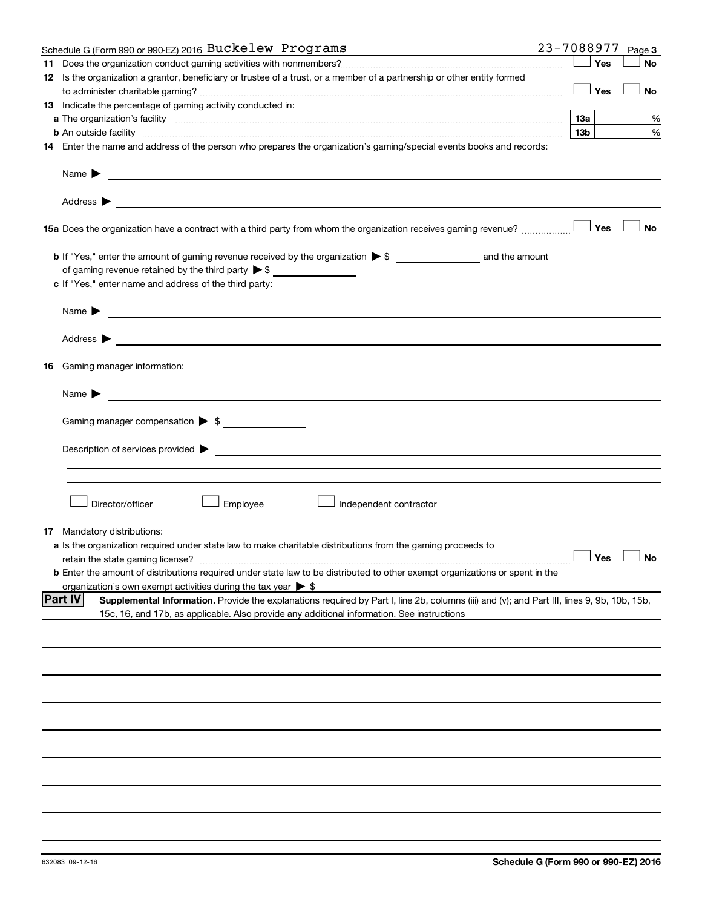| Schedule G (Form 990 or 990-EZ) 2016 Buckelew Programs                                                                                                                                                                                                             | 23-7088977 |                 |               | Page 3    |
|--------------------------------------------------------------------------------------------------------------------------------------------------------------------------------------------------------------------------------------------------------------------|------------|-----------------|---------------|-----------|
|                                                                                                                                                                                                                                                                    |            |                 | Yes           | <b>No</b> |
| 12 Is the organization a grantor, beneficiary or trustee of a trust, or a member of a partnership or other entity formed                                                                                                                                           |            |                 |               |           |
|                                                                                                                                                                                                                                                                    |            |                 | ⊥ Yes         | <b>No</b> |
| 13 Indicate the percentage of gaming activity conducted in:                                                                                                                                                                                                        |            |                 |               |           |
|                                                                                                                                                                                                                                                                    |            | 13a             |               | %         |
| <b>b</b> An outside facility <i>www.communicality www.communicality.communicality www.communicality www.communicality.communicality www.communicality.com</i>                                                                                                      |            | 13 <sub>b</sub> |               | %         |
| 14 Enter the name and address of the person who prepares the organization's gaming/special events books and records:                                                                                                                                               |            |                 |               |           |
|                                                                                                                                                                                                                                                                    |            |                 |               |           |
| Name $\blacktriangleright$<br><u>and the state of the state of the state of the state of the state of the state of the state of the state of the state of the state of the state of the state of the state of the state of the state of the state of the state</u> |            |                 |               |           |
|                                                                                                                                                                                                                                                                    |            |                 |               |           |
|                                                                                                                                                                                                                                                                    |            |                 |               | <b>No</b> |
|                                                                                                                                                                                                                                                                    |            |                 |               |           |
| of gaming revenue retained by the third party $\triangleright$ \$                                                                                                                                                                                                  |            |                 |               |           |
|                                                                                                                                                                                                                                                                    |            |                 |               |           |
| c If "Yes," enter name and address of the third party:                                                                                                                                                                                                             |            |                 |               |           |
| <u> 1980 - Johann Stein, marwolaethau a bhann an t-Amhainn an t-Amhainn an t-Amhainn an t-Amhainn an t-Amhainn an</u><br>Name $\blacktriangleright$                                                                                                                |            |                 |               |           |
|                                                                                                                                                                                                                                                                    |            |                 |               |           |
| <b>16</b> Gaming manager information:                                                                                                                                                                                                                              |            |                 |               |           |
| <u> 1989 - Johann Harry Harry Harry Harry Harry Harry Harry Harry Harry Harry Harry Harry Harry Harry Harry Harry</u><br>Name $\blacktriangleright$                                                                                                                |            |                 |               |           |
|                                                                                                                                                                                                                                                                    |            |                 |               |           |
| Gaming manager compensation > \$                                                                                                                                                                                                                                   |            |                 |               |           |
| Description of services provided states and the contract of the contract of the contract of the contract of the contract of the contract of the contract of the contract of the contract of the contract of the contract of th                                     |            |                 |               |           |
|                                                                                                                                                                                                                                                                    |            |                 |               |           |
|                                                                                                                                                                                                                                                                    |            |                 |               |           |
|                                                                                                                                                                                                                                                                    |            |                 |               |           |
| Director/officer<br>Employee<br>Independent contractor                                                                                                                                                                                                             |            |                 |               |           |
|                                                                                                                                                                                                                                                                    |            |                 |               |           |
| <b>17</b> Mandatory distributions:                                                                                                                                                                                                                                 |            |                 |               |           |
| a Is the organization required under state law to make charitable distributions from the gaming proceeds to                                                                                                                                                        |            |                 |               |           |
| retain the state gaming license?                                                                                                                                                                                                                                   |            |                 | Yes $\lfloor$ | $\Box$ No |
| <b>b</b> Enter the amount of distributions required under state law to be distributed to other exempt organizations or spent in the                                                                                                                                |            |                 |               |           |
| organization's own exempt activities during the tax year $\triangleright$ \$                                                                                                                                                                                       |            |                 |               |           |
| <b>Part IV</b><br>Supplemental Information. Provide the explanations required by Part I, line 2b, columns (iii) and (v); and Part III, lines 9, 9b, 10b, 15b,                                                                                                      |            |                 |               |           |
| 15c, 16, and 17b, as applicable. Also provide any additional information. See instructions                                                                                                                                                                         |            |                 |               |           |
|                                                                                                                                                                                                                                                                    |            |                 |               |           |
|                                                                                                                                                                                                                                                                    |            |                 |               |           |
|                                                                                                                                                                                                                                                                    |            |                 |               |           |
|                                                                                                                                                                                                                                                                    |            |                 |               |           |
|                                                                                                                                                                                                                                                                    |            |                 |               |           |
|                                                                                                                                                                                                                                                                    |            |                 |               |           |
|                                                                                                                                                                                                                                                                    |            |                 |               |           |
|                                                                                                                                                                                                                                                                    |            |                 |               |           |
|                                                                                                                                                                                                                                                                    |            |                 |               |           |
|                                                                                                                                                                                                                                                                    |            |                 |               |           |
|                                                                                                                                                                                                                                                                    |            |                 |               |           |
|                                                                                                                                                                                                                                                                    |            |                 |               |           |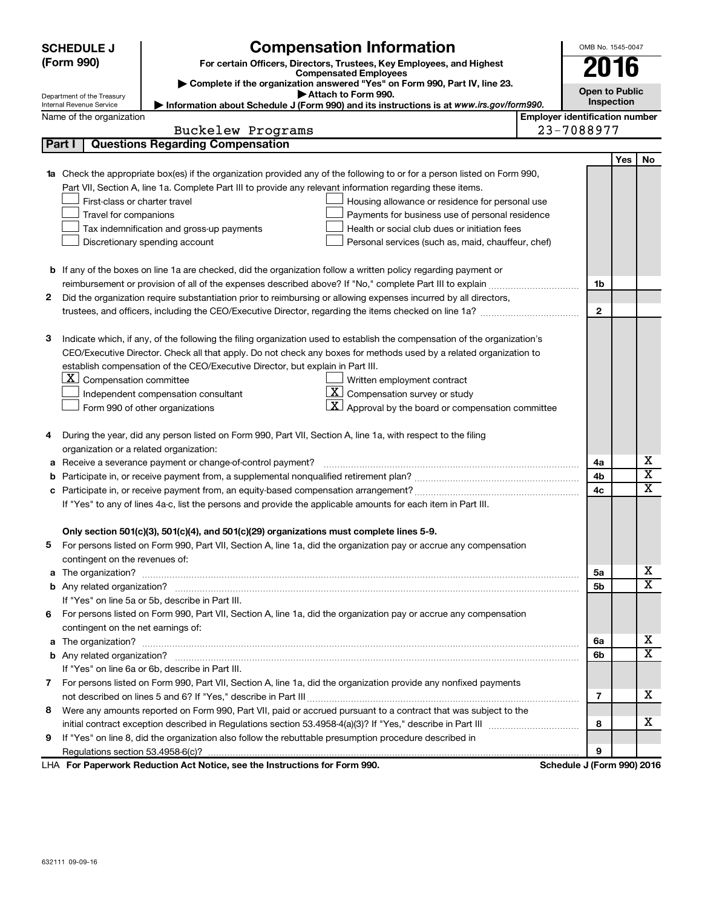| <b>Compensation Information</b><br><b>SCHEDULE J</b> |                                                      |                                                                                                                           | OMB No. 1545-0047         |                                       |     |                       |
|------------------------------------------------------|------------------------------------------------------|---------------------------------------------------------------------------------------------------------------------------|---------------------------|---------------------------------------|-----|-----------------------|
|                                                      | (Form 990)                                           | For certain Officers, Directors, Trustees, Key Employees, and Highest                                                     |                           | 2016                                  |     |                       |
|                                                      |                                                      | <b>Compensated Employees</b><br>Complete if the organization answered "Yes" on Form 990, Part IV, line 23.                |                           |                                       |     |                       |
|                                                      | Department of the Treasury                           | Attach to Form 990.                                                                                                       |                           | <b>Open to Public</b><br>Inspection   |     |                       |
|                                                      | Internal Revenue Service<br>Name of the organization | Information about Schedule J (Form 990) and its instructions is at www.irs.gov/form990.                                   |                           | <b>Employer identification number</b> |     |                       |
|                                                      |                                                      | Buckelew Programs                                                                                                         | 23-7088977                |                                       |     |                       |
| Part I                                               |                                                      | <b>Questions Regarding Compensation</b>                                                                                   |                           |                                       |     |                       |
|                                                      |                                                      |                                                                                                                           |                           |                                       | Yes | No                    |
|                                                      |                                                      | 1a Check the appropriate box(es) if the organization provided any of the following to or for a person listed on Form 990, |                           |                                       |     |                       |
|                                                      |                                                      | Part VII, Section A, line 1a. Complete Part III to provide any relevant information regarding these items.                |                           |                                       |     |                       |
|                                                      | First-class or charter travel                        | Housing allowance or residence for personal use                                                                           |                           |                                       |     |                       |
|                                                      | Travel for companions                                | Payments for business use of personal residence                                                                           |                           |                                       |     |                       |
|                                                      |                                                      | Tax indemnification and gross-up payments<br>Health or social club dues or initiation fees                                |                           |                                       |     |                       |
|                                                      |                                                      | Discretionary spending account<br>Personal services (such as, maid, chauffeur, chef)                                      |                           |                                       |     |                       |
|                                                      |                                                      |                                                                                                                           |                           |                                       |     |                       |
|                                                      |                                                      | <b>b</b> If any of the boxes on line 1a are checked, did the organization follow a written policy regarding payment or    |                           |                                       |     |                       |
| 2                                                    |                                                      | Did the organization require substantiation prior to reimbursing or allowing expenses incurred by all directors,          |                           | 1b                                    |     |                       |
|                                                      |                                                      | trustees, and officers, including the CEO/Executive Director, regarding the items checked on line 1a?                     |                           | $\mathbf{2}$                          |     |                       |
|                                                      |                                                      |                                                                                                                           |                           |                                       |     |                       |
| з                                                    |                                                      | Indicate which, if any, of the following the filing organization used to establish the compensation of the organization's |                           |                                       |     |                       |
|                                                      |                                                      | CEO/Executive Director. Check all that apply. Do not check any boxes for methods used by a related organization to        |                           |                                       |     |                       |
|                                                      |                                                      | establish compensation of the CEO/Executive Director, but explain in Part III.                                            |                           |                                       |     |                       |
|                                                      | $\mathbf{X}$<br>Compensation committee               | Written employment contract                                                                                               |                           |                                       |     |                       |
|                                                      |                                                      | $\underline{\mathbf{X}}$ Compensation survey or study<br>Independent compensation consultant                              |                           |                                       |     |                       |
|                                                      |                                                      | $\mathbf{X}$ Approval by the board or compensation committee<br>Form 990 of other organizations                           |                           |                                       |     |                       |
|                                                      |                                                      |                                                                                                                           |                           |                                       |     |                       |
| 4                                                    |                                                      | During the year, did any person listed on Form 990, Part VII, Section A, line 1a, with respect to the filing              |                           |                                       |     |                       |
|                                                      | organization or a related organization:              |                                                                                                                           |                           |                                       |     | х                     |
| а<br>b                                               |                                                      | Receive a severance payment or change-of-control payment?                                                                 |                           | 4a<br>4b                              |     | $\overline{\text{x}}$ |
| c                                                    |                                                      |                                                                                                                           |                           | 4c                                    |     | $\overline{\text{x}}$ |
|                                                      |                                                      | If "Yes" to any of lines 4a-c, list the persons and provide the applicable amounts for each item in Part III.             |                           |                                       |     |                       |
|                                                      |                                                      |                                                                                                                           |                           |                                       |     |                       |
|                                                      |                                                      | Only section 501(c)(3), 501(c)(4), and 501(c)(29) organizations must complete lines 5-9.                                  |                           |                                       |     |                       |
|                                                      |                                                      | For persons listed on Form 990, Part VII, Section A, line 1a, did the organization pay or accrue any compensation         |                           |                                       |     |                       |
|                                                      | contingent on the revenues of:                       |                                                                                                                           |                           |                                       |     |                       |
|                                                      |                                                      |                                                                                                                           |                           | 5a                                    |     | х                     |
|                                                      |                                                      |                                                                                                                           |                           | 5b                                    |     | $\overline{\text{x}}$ |
|                                                      |                                                      | If "Yes" on line 5a or 5b, describe in Part III.                                                                          |                           |                                       |     |                       |
| 6                                                    |                                                      | For persons listed on Form 990, Part VII, Section A, line 1a, did the organization pay or accrue any compensation         |                           |                                       |     |                       |
|                                                      | contingent on the net earnings of:                   |                                                                                                                           |                           |                                       |     | х                     |
|                                                      |                                                      |                                                                                                                           |                           | 6a<br>6b                              |     | $\overline{\text{x}}$ |
|                                                      |                                                      | If "Yes" on line 6a or 6b, describe in Part III.                                                                          |                           |                                       |     |                       |
|                                                      |                                                      | 7 For persons listed on Form 990, Part VII, Section A, line 1a, did the organization provide any nonfixed payments        |                           |                                       |     |                       |
|                                                      |                                                      |                                                                                                                           |                           | 7                                     |     | х                     |
| 8                                                    |                                                      | Were any amounts reported on Form 990, Part VII, paid or accrued pursuant to a contract that was subject to the           |                           |                                       |     |                       |
|                                                      |                                                      |                                                                                                                           |                           | 8                                     |     | х                     |
| 9                                                    |                                                      | If "Yes" on line 8, did the organization also follow the rebuttable presumption procedure described in                    |                           |                                       |     |                       |
|                                                      |                                                      |                                                                                                                           |                           | 9                                     |     |                       |
|                                                      |                                                      | <b>LUA For Panorwork Poduction Act Notice, see the Instructions for Form 000</b>                                          | Schodule 1/Form 0001 2016 |                                       |     |                       |

**For Paperwork Reduction Act Notice, see the Instructions for Form 990. Schedule J (Form 990) 2016** LHA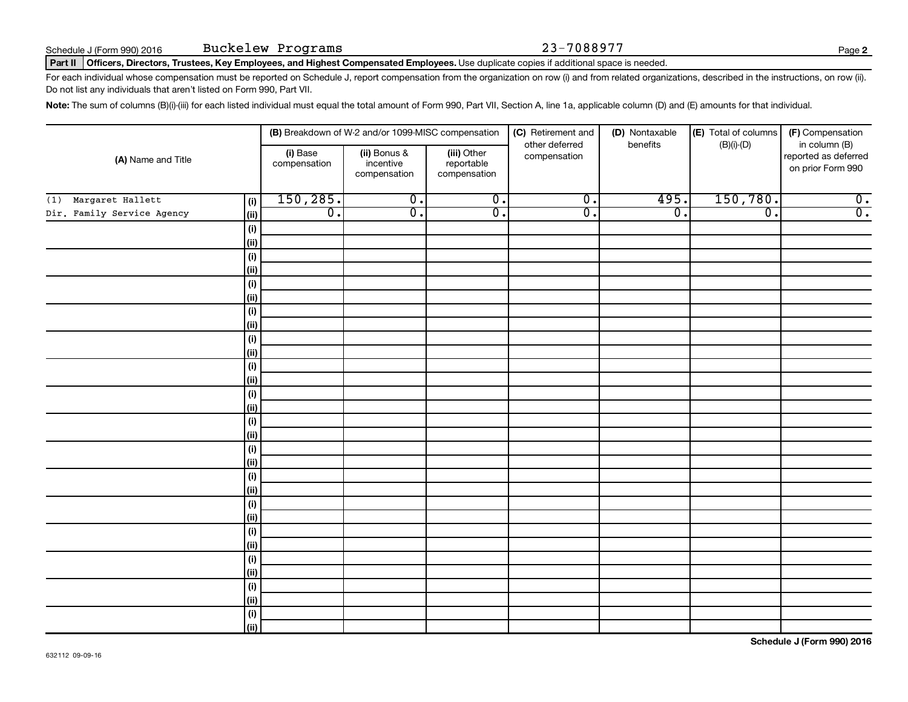### Part II | Officers, Directors, Trustees, Key Employees, and Highest Compensated Employees. Use duplicate copies if additional space is needed.

For each individual whose compensation must be reported on Schedule J, report compensation from the organization on row (i) and from related organizations, described in the instructions, on row (ii). Do not list any individuals that aren't listed on Form 990, Part VII.

Note: The sum of columns (B)(i)-(iii) for each listed individual must equal the total amount of Form 990, Part VII, Section A, line 1a, applicable column (D) and (E) amounts for that individual.

| (A) Name and Title         |                | (B) Breakdown of W-2 and/or 1099-MISC compensation |                                           |                                           | (C) Retirement and<br>other deferred | (D) Nontaxable<br>benefits | (E) Total of columns<br>$(B)(i)-(D)$ | (F) Compensation<br>in column (B)         |
|----------------------------|----------------|----------------------------------------------------|-------------------------------------------|-------------------------------------------|--------------------------------------|----------------------------|--------------------------------------|-------------------------------------------|
|                            |                | (i) Base<br>compensation                           | (ii) Bonus &<br>incentive<br>compensation | (iii) Other<br>reportable<br>compensation | compensation                         |                            |                                      | reported as deferred<br>on prior Form 990 |
| Margaret Hallett<br>(1)    | (i)            | 150, 285.                                          | $\overline{0}$ .                          | $\overline{0}$ .                          | $\overline{0}$ .                     | 495.                       | 150,780.                             | $\overline{0}$ .                          |
| Dir. Family Service Agency | (ii)           | $\overline{0}$ .                                   | $\overline{0}$ .                          | $\overline{0}$ .                          | $\overline{\mathfrak{o}}$ .          | $\overline{0}$ .           | $\overline{\mathfrak{o}}$ .          | $\overline{0}$ .                          |
|                            | $(\mathsf{i})$ |                                                    |                                           |                                           |                                      |                            |                                      |                                           |
|                            | (ii)           |                                                    |                                           |                                           |                                      |                            |                                      |                                           |
|                            | $(\mathsf{i})$ |                                                    |                                           |                                           |                                      |                            |                                      |                                           |
|                            | (ii)           |                                                    |                                           |                                           |                                      |                            |                                      |                                           |
|                            | (i)            |                                                    |                                           |                                           |                                      |                            |                                      |                                           |
|                            | (ii)           |                                                    |                                           |                                           |                                      |                            |                                      |                                           |
|                            | $(\sf{i})$     |                                                    |                                           |                                           |                                      |                            |                                      |                                           |
|                            | (ii)           |                                                    |                                           |                                           |                                      |                            |                                      |                                           |
|                            | $(\sf{i})$     |                                                    |                                           |                                           |                                      |                            |                                      |                                           |
|                            | (ii)           |                                                    |                                           |                                           |                                      |                            |                                      |                                           |
|                            | $(\sf{i})$     |                                                    |                                           |                                           |                                      |                            |                                      |                                           |
|                            | (ii)           |                                                    |                                           |                                           |                                      |                            |                                      |                                           |
|                            | (i)            |                                                    |                                           |                                           |                                      |                            |                                      |                                           |
|                            | (ii)           |                                                    |                                           |                                           |                                      |                            |                                      |                                           |
|                            | (i)            |                                                    |                                           |                                           |                                      |                            |                                      |                                           |
|                            | (ii)           |                                                    |                                           |                                           |                                      |                            |                                      |                                           |
|                            | (i)<br>(ii)    |                                                    |                                           |                                           |                                      |                            |                                      |                                           |
|                            | (i)            |                                                    |                                           |                                           |                                      |                            |                                      |                                           |
|                            | (ii)           |                                                    |                                           |                                           |                                      |                            |                                      |                                           |
|                            | (i)            |                                                    |                                           |                                           |                                      |                            |                                      |                                           |
|                            | (ii)           |                                                    |                                           |                                           |                                      |                            |                                      |                                           |
|                            | (i)            |                                                    |                                           |                                           |                                      |                            |                                      |                                           |
|                            | (ii)           |                                                    |                                           |                                           |                                      |                            |                                      |                                           |
|                            | (i)            |                                                    |                                           |                                           |                                      |                            |                                      |                                           |
|                            | (ii)           |                                                    |                                           |                                           |                                      |                            |                                      |                                           |
|                            | $(\sf{i})$     |                                                    |                                           |                                           |                                      |                            |                                      |                                           |
|                            | (ii)           |                                                    |                                           |                                           |                                      |                            |                                      |                                           |
|                            | $(\sf{i})$     |                                                    |                                           |                                           |                                      |                            |                                      |                                           |
|                            | (ii)           |                                                    |                                           |                                           |                                      |                            |                                      |                                           |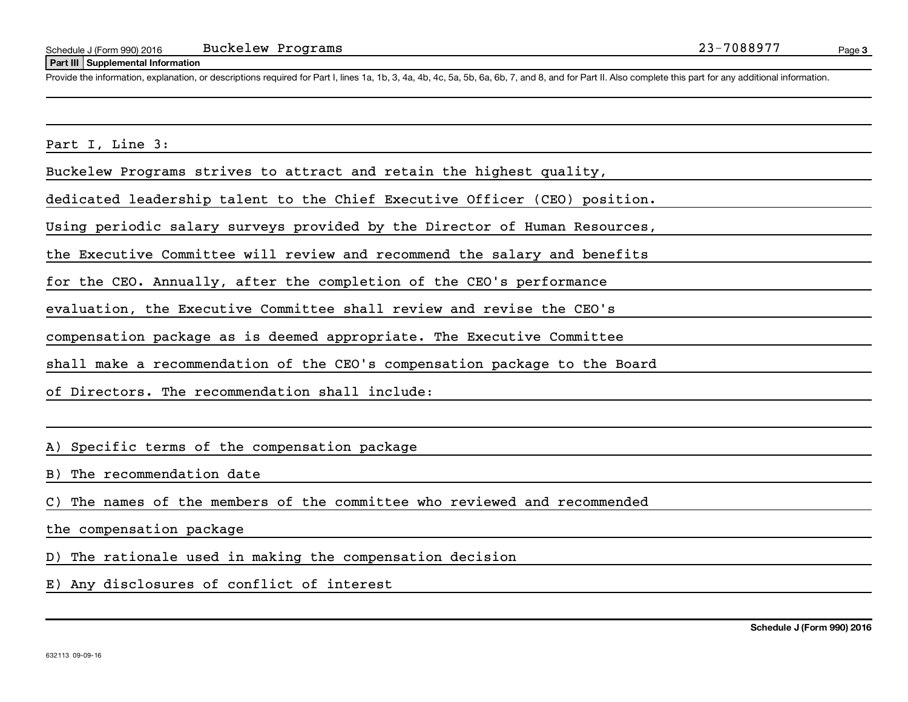### **Part III Supplemental Information**

Provide the information, explanation, or descriptions required for Part I, lines 1a, 1b, 3, 4a, 4b, 4c, 5a, 5b, 6a, 6b, 7, and 8, and for Part II. Also complete this part for any additional information.

Part I, Line 3:

Buckelew Programs strives to attract and retain the highest quality,

dedicated leadership talent to the Chief Executive Officer (CEO) position.

Using periodic salary surveys provided by the Director of Human Resources,

the Executive Committee will review and recommend the salary and benefits

for the CEO. Annually, after the completion of the CEO's performance

evaluation, the Executive Committee shall review and revise the CEO's

compensation package as is deemed appropriate. The Executive Committee

shall make a recommendation of the CEO's compensation package to the Board

of Directors. The recommendation shall include:

A) Specific terms of the compensation package

B) The recommendation date

C) The names of the members of the committee who reviewed and recommended

the compensation package

D) The rationale used in making the compensation decision

E) Any disclosures of conflict of interest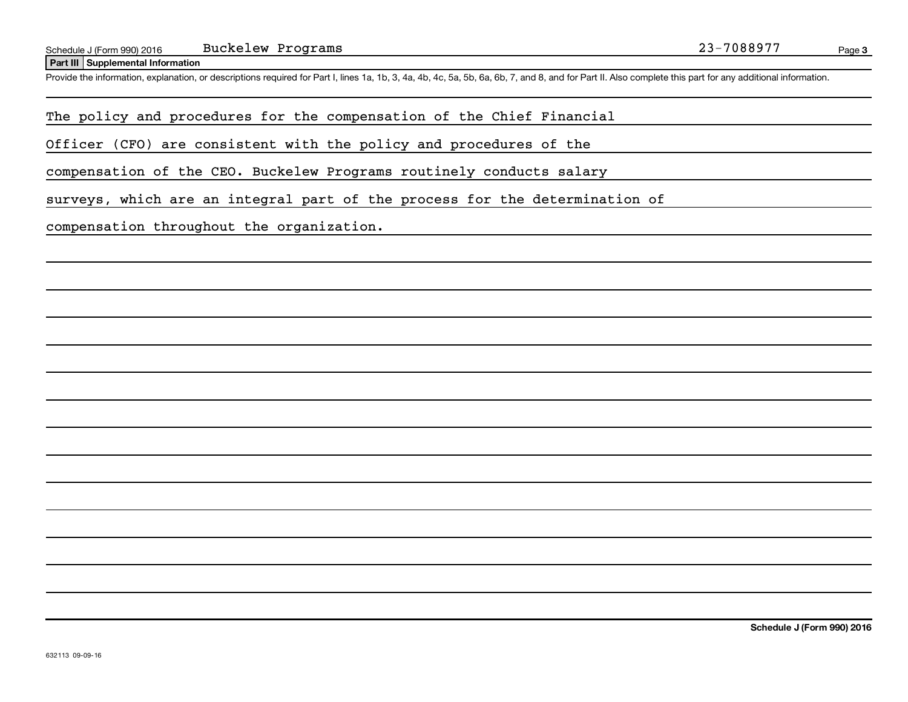**Part III Supplemental Information**

Provide the information, explanation, or descriptions required for Part I, lines 1a, 1b, 3, 4a, 4b, 4c, 5a, 5b, 6a, 6b, 7, and 8, and for Part II. Also complete this part for any additional information.

The policy and procedures for the compensation of the Chief Financial

Officer (CFO) are consistent with the policy and procedures of the

compensation of the CEO. Buckelew Programs routinely conducts salary

surveys, which are an integral part of the process for the determination of

compensation throughout the organization.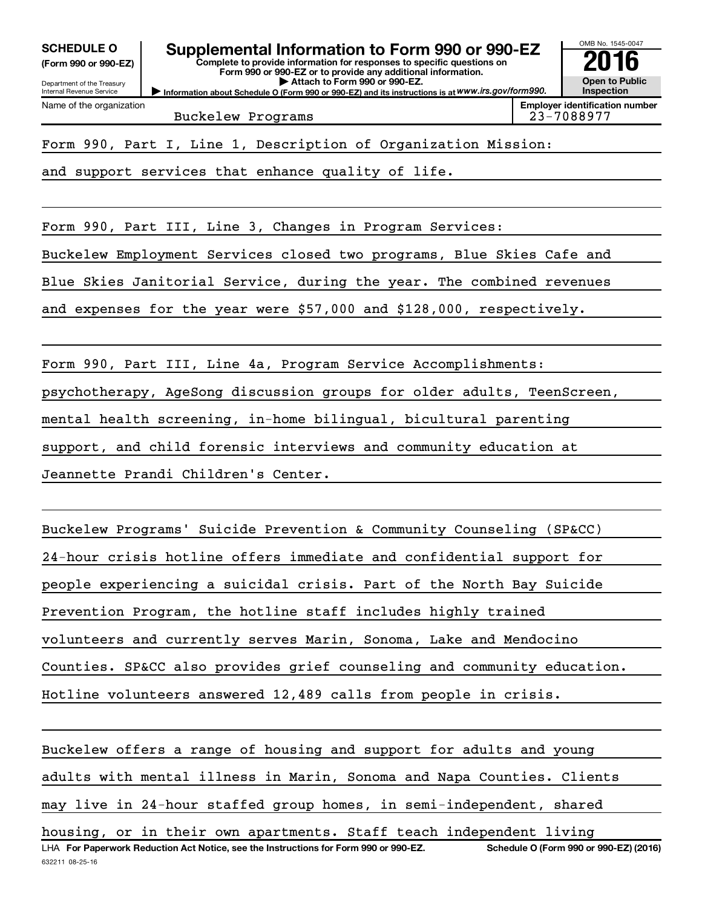**(Form 990 or 990-EZ)**

Department of the Treasury Internal Revenue Service

Name of the organization

# SCHEDULE O **Supplemental Information to Form 990 or 990-EZ 2016**<br>(Form 990 or 990-EZ) **2016**

OMB No. 1545-0047

**Open to Public Inspection Employer identification number**

**Complete to provide information for responses to specific questions on Form 990 or 990-EZ or to provide any additional information. | Attach to Form 990 or 990-EZ.**

**Information about Schedule O (Form 990 or 990-EZ) and its instructions is at WWW.irs.gov/form990.** 

Buckelew Programs 23-7088977

Form 990, Part I, Line 1, Description of Organization Mission:

and support services that enhance quality of life.

Form 990, Part III, Line 3, Changes in Program Services:

Buckelew Employment Services closed two programs, Blue Skies Cafe and

Blue Skies Janitorial Service, during the year. The combined revenues

and expenses for the year were \$57,000 and \$128,000, respectively.

Form 990, Part III, Line 4a, Program Service Accomplishments:

psychotherapy, AgeSong discussion groups for older adults, TeenScreen,

mental health screening, in-home bilingual, bicultural parenting

support, and child forensic interviews and community education at

Jeannette Prandi Children's Center.

Buckelew Programs' Suicide Prevention & Community Counseling (SP&CC) 24-hour crisis hotline offers immediate and confidential support for people experiencing a suicidal crisis. Part of the North Bay Suicide Prevention Program, the hotline staff includes highly trained volunteers and currently serves Marin, Sonoma, Lake and Mendocino Counties. SP&CC also provides grief counseling and community education. Hotline volunteers answered 12,489 calls from people in crisis.

632211 08-25-16 LHA For Paperwork Reduction Act Notice, see the Instructions for Form 990 or 990-EZ. Schedule O (Form 990 or 990-EZ) (2016) Buckelew offers a range of housing and support for adults and young adults with mental illness in Marin, Sonoma and Napa Counties. Clients may live in 24-hour staffed group homes, in semi-independent, shared housing, or in their own apartments. Staff teach independent living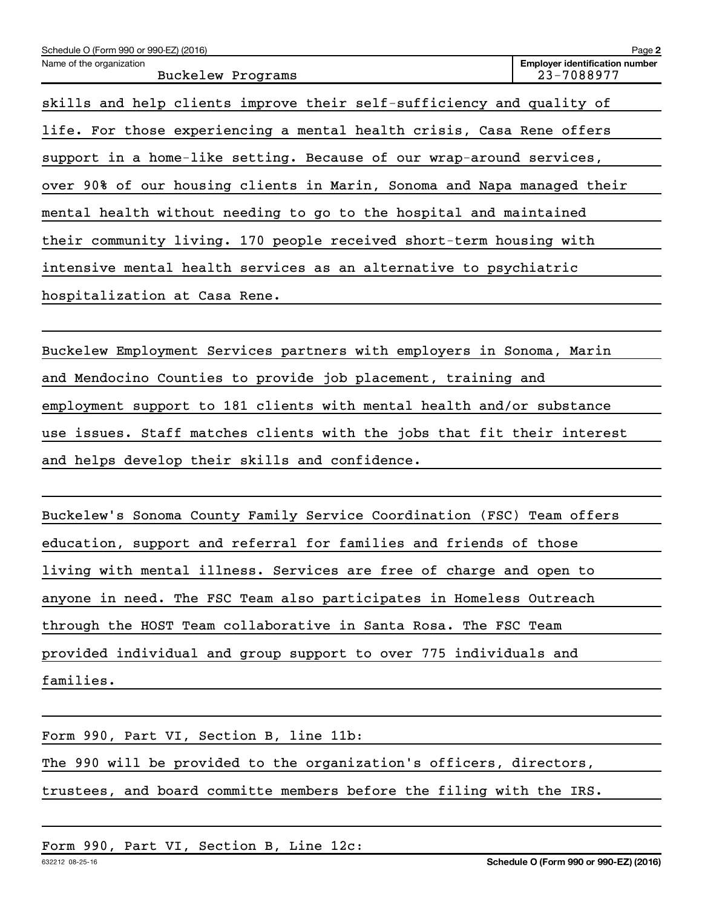| Schedule O (Form 990 or 990-EZ) (2016)                                  | Page 2                                              |  |  |  |  |  |
|-------------------------------------------------------------------------|-----------------------------------------------------|--|--|--|--|--|
| Name of the organization<br>Buckelew Programs                           | <b>Employer identification number</b><br>23-7088977 |  |  |  |  |  |
| skills and help clients improve their self-sufficiency and quality of   |                                                     |  |  |  |  |  |
| life. For those experiencing a mental health crisis, Casa Rene offers   |                                                     |  |  |  |  |  |
| support in a home-like setting. Because of our wrap-around services,    |                                                     |  |  |  |  |  |
| over 90% of our housing clients in Marin, Sonoma and Napa managed their |                                                     |  |  |  |  |  |
| mental health without needing to go to the hospital and maintained      |                                                     |  |  |  |  |  |
| their community living. 170 people received short-term housing with     |                                                     |  |  |  |  |  |
| intensive mental health services as an alternative to psychiatric       |                                                     |  |  |  |  |  |
| hospitalization at Casa Rene.                                           |                                                     |  |  |  |  |  |
|                                                                         |                                                     |  |  |  |  |  |

Buckelew Employment Services partners with employers in Sonoma, Marin and Mendocino Counties to provide job placement, training and employment support to 181 clients with mental health and/or substance use issues. Staff matches clients with the jobs that fit their interest and helps develop their skills and confidence.

Buckelew's Sonoma County Family Service Coordination (FSC) Team offers education, support and referral for families and friends of those living with mental illness. Services are free of charge and open to anyone in need. The FSC Team also participates in Homeless Outreach through the HOST Team collaborative in Santa Rosa. The FSC Team provided individual and group support to over 775 individuals and families.

Form 990, Part VI, Section B, line 11b: The 990 will be provided to the organization's officers, directors, trustees, and board committe members before the filing with the IRS.

Form 990, Part VI, Section B, Line 12c: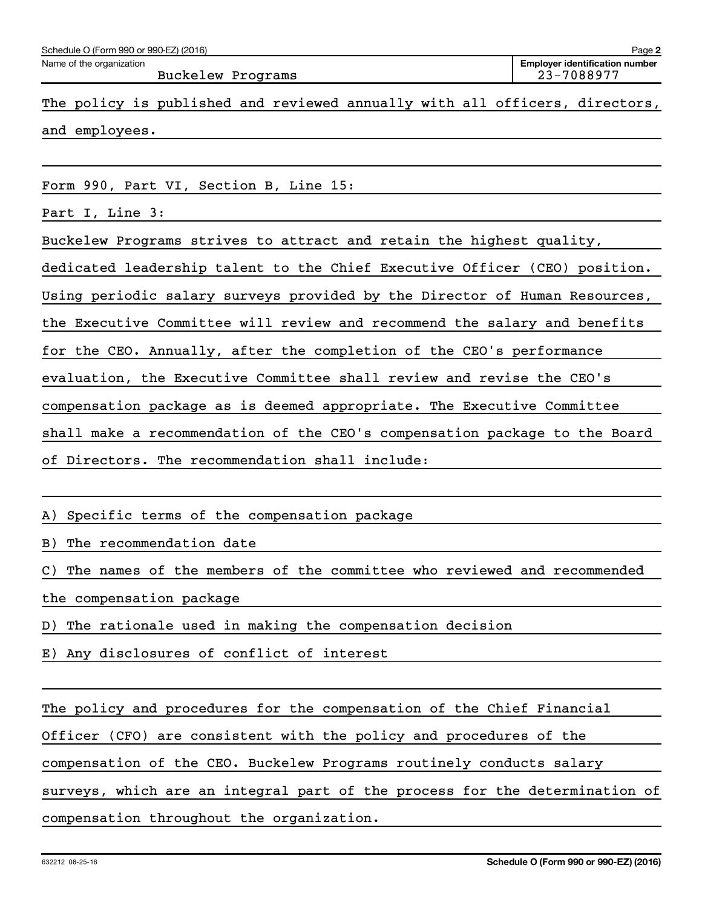| Schedule O (Form 990 or 990-EZ) (2016) | Page 2                                |
|----------------------------------------|---------------------------------------|
| Name of the organization               | <b>Employer identification number</b> |
| Buckelew Programs                      | 23-7088977                            |

The policy is published and reviewed annually with all officers, directors, and employees.

Form 990, Part VI, Section B, Line 15:

Part I, Line 3:

Buckelew Programs strives to attract and retain the highest quality,

dedicated leadership talent to the Chief Executive Officer (CEO) position.

Using periodic salary surveys provided by the Director of Human Resources,

the Executive Committee will review and recommend the salary and benefits

for the CEO. Annually, after the completion of the CEO's performance

evaluation, the Executive Committee shall review and revise the CEO's

compensation package as is deemed appropriate. The Executive Committee

shall make a recommendation of the CEO's compensation package to the Board

of Directors. The recommendation shall include:

A) Specific terms of the compensation package

B) The recommendation date

C) The names of the members of the committee who reviewed and recommended the compensation package

D) The rationale used in making the compensation decision

E) Any disclosures of conflict of interest

The policy and procedures for the compensation of the Chief Financial

Officer (CFO) are consistent with the policy and procedures of the

compensation of the CEO. Buckelew Programs routinely conducts salary

surveys, which are an integral part of the process for the determination of

compensation throughout the organization.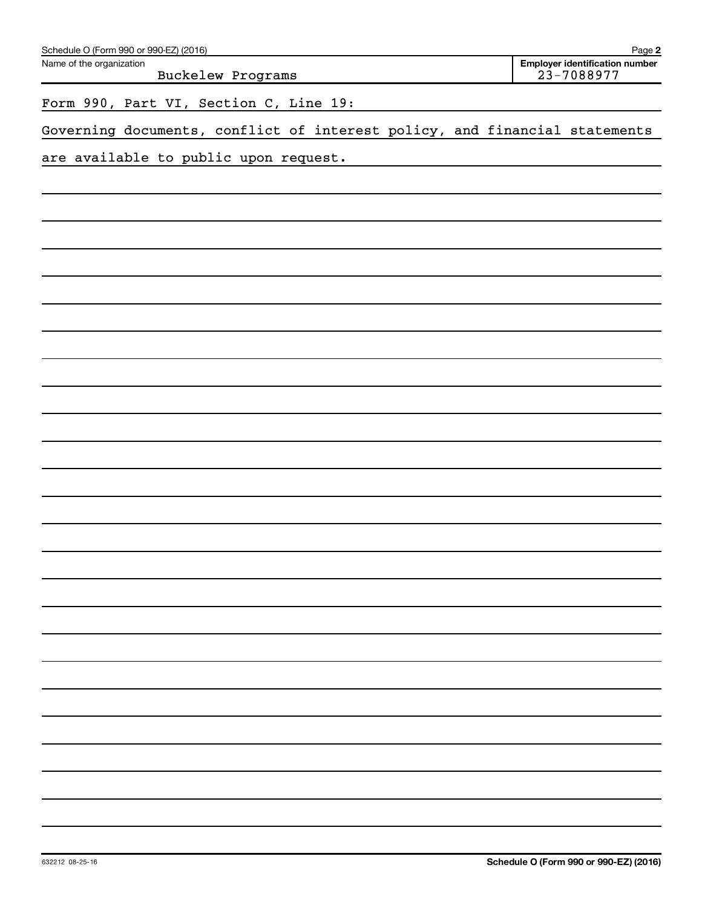| Schedule O (Form 990 or 990-EZ) (2016)                                     | Page 2                                              |
|----------------------------------------------------------------------------|-----------------------------------------------------|
| Name of the organization<br>Buckelew Programs                              | <b>Employer identification number</b><br>23-7088977 |
| Form 990, Part VI, Section C, Line 19:                                     |                                                     |
| Governing documents, conflict of interest policy, and financial statements |                                                     |
| are available to public upon request.                                      |                                                     |
|                                                                            |                                                     |
|                                                                            |                                                     |
|                                                                            |                                                     |
|                                                                            |                                                     |
|                                                                            |                                                     |
|                                                                            |                                                     |
|                                                                            |                                                     |
|                                                                            |                                                     |
|                                                                            |                                                     |
|                                                                            |                                                     |
|                                                                            |                                                     |
|                                                                            |                                                     |
|                                                                            |                                                     |
|                                                                            |                                                     |
|                                                                            |                                                     |
|                                                                            |                                                     |
|                                                                            |                                                     |
|                                                                            |                                                     |
|                                                                            |                                                     |
|                                                                            |                                                     |
|                                                                            |                                                     |
|                                                                            |                                                     |
|                                                                            |                                                     |
|                                                                            |                                                     |
|                                                                            |                                                     |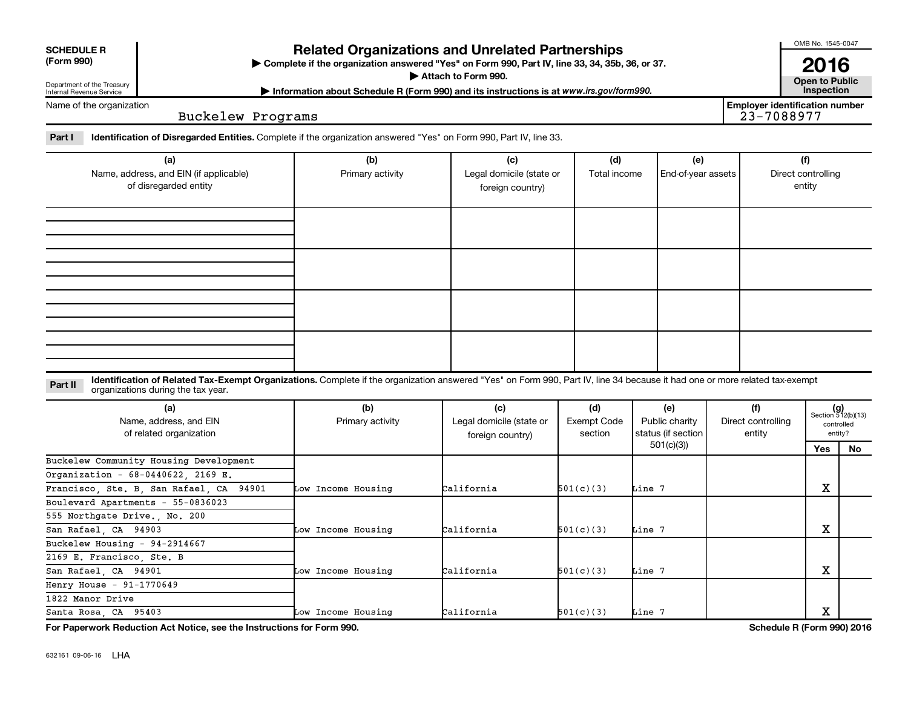| <b>SCHEDULE R</b> |
|-------------------|
|                   |

## **Related Organizations and Unrelated Partnerships**

**(Form 990) Complete if the organization answered "Yes" on Form 990, Part IV, line 33, 34, 35b, 36, or 37.** |

**Attach to Form 990. Contract to Public** 

**Most Information about Schedule R (Form 990) and its instructions is at www.irs.gov/form990.** This pection

OMB No. 1545-0047

**2016**<br>Open to Public

**Employer identification number**

Name of the organization

Department of the Treasury Internal Revenue Service

Buckelew Programs

Part I ldentification of Disregarded Entities. Complete if the organization answered "Yes" on Form 990, Part IV, line 33.

| (a)<br>Name, address, and EIN (if applicable)<br>of disregarded entity | (b)<br>Primary activity | (c)<br>Legal domicile (state or<br>foreign country) | (d)<br>Total income | (e)<br>End-of-year assets | (f)<br>Direct controlling<br>entity |
|------------------------------------------------------------------------|-------------------------|-----------------------------------------------------|---------------------|---------------------------|-------------------------------------|
|                                                                        |                         |                                                     |                     |                           |                                     |
|                                                                        |                         |                                                     |                     |                           |                                     |
|                                                                        |                         |                                                     |                     |                           |                                     |
|                                                                        |                         |                                                     |                     |                           |                                     |

**Part II** Identification of Related Tax-Exempt Organizations. Complete if the organization answered "Yes" on Form 990, Part IV, line 34 because it had one or more related tax-exempt<br>Complete it is a series of the two wears organizations during the tax year.

| (a)<br>Name, address, and EIN<br>of related organization | (b)<br>Primary activity | (c)<br>Legal domicile (state or<br>foreign country) | (d)<br><b>Exempt Code</b><br>section | (e)<br>Public charity<br>status (if section<br>501(c)(3) | (f)<br>Direct controlling<br>entity |     | Section 512(b)(13)<br>controlled<br>entity? |  |
|----------------------------------------------------------|-------------------------|-----------------------------------------------------|--------------------------------------|----------------------------------------------------------|-------------------------------------|-----|---------------------------------------------|--|
|                                                          |                         |                                                     |                                      |                                                          |                                     | Yes | No                                          |  |
| Buckelew Community Housing Development                   |                         |                                                     |                                      |                                                          |                                     |     |                                             |  |
| Organization - 68-0440622, 2169 E.                       |                         |                                                     |                                      |                                                          |                                     |     |                                             |  |
| Francisco, Ste. B, San Rafael, CA 94901                  | Low Income Housing      | California                                          | 501(c)(3)                            | Line 7                                                   |                                     | х   |                                             |  |
| Boulevard Apartments - 55-0836023                        |                         |                                                     |                                      |                                                          |                                     |     |                                             |  |
| 555 Northgate Drive., No. 200                            |                         |                                                     |                                      |                                                          |                                     |     |                                             |  |
| San Rafael, CA 94903                                     | Low Income Housing      | California                                          | 501(c)(3)                            | Line 7                                                   |                                     | х   |                                             |  |
| Buckelew Housing - 94-2914667                            |                         |                                                     |                                      |                                                          |                                     |     |                                             |  |
| 2169 E. Francisco, Ste. B                                |                         |                                                     |                                      |                                                          |                                     |     |                                             |  |
| San Rafael, CA 94901                                     | Low Income Housing      | California                                          | 501(c)(3)                            | Line 7                                                   |                                     | х   |                                             |  |
| Henry House $-91-1770649$                                |                         |                                                     |                                      |                                                          |                                     |     |                                             |  |
| 1822 Manor Drive                                         |                         |                                                     |                                      |                                                          |                                     |     |                                             |  |
| Santa Rosa, CA 95403                                     | Low Income Housing      | California                                          | 501(c)(3)                            | Line 7                                                   |                                     | х   |                                             |  |

**For Paperwork Reduction Act Notice, see the Instructions for Form 990. Schedule R (Form 990) 2016**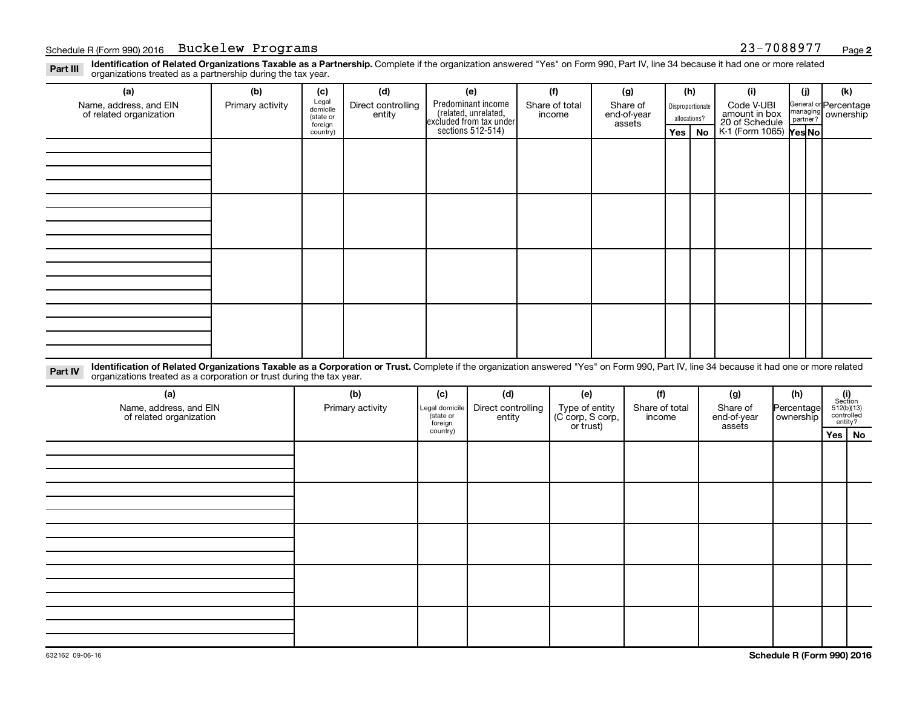Part III Identification of Related Organizations Taxable as a Partnership. Complete if the organization answered "Yes" on Form 990, Part IV, line 34 because it had one or more related<br>Read to the organizations tracted as a organizations treated as a partnership during the tax year.

| (a)                                               | (b)                                                                                                                                                                                                                                                             | (c)                                       | (d)                          | (e)                                                                   | (f)                      | (g)                               |                                  | (h)       | (i)                                           | (i) | (k)                                         |
|---------------------------------------------------|-----------------------------------------------------------------------------------------------------------------------------------------------------------------------------------------------------------------------------------------------------------------|-------------------------------------------|------------------------------|-----------------------------------------------------------------------|--------------------------|-----------------------------------|----------------------------------|-----------|-----------------------------------------------|-----|---------------------------------------------|
| Name, address, and EIN<br>of related organization | Primary activity                                                                                                                                                                                                                                                | Legal<br>domicile<br>(state or<br>foreign | Direct controlling<br>entity | Predominant income<br>(related, unrelated,<br>excluded from tax under | Share of total<br>income | Share of<br>end-of-year<br>assets | Disproportionate<br>allocations? |           | Code V-UBI<br>amount in box<br>20 of Schedule |     | General or Percentage<br>managing ownership |
|                                                   |                                                                                                                                                                                                                                                                 | country)                                  |                              | sections 512-514)                                                     |                          |                                   | Yes                              | <b>No</b> | K-1 (Form 1065) Yes No                        |     |                                             |
|                                                   |                                                                                                                                                                                                                                                                 |                                           |                              |                                                                       |                          |                                   |                                  |           |                                               |     |                                             |
|                                                   |                                                                                                                                                                                                                                                                 |                                           |                              |                                                                       |                          |                                   |                                  |           |                                               |     |                                             |
|                                                   |                                                                                                                                                                                                                                                                 |                                           |                              |                                                                       |                          |                                   |                                  |           |                                               |     |                                             |
|                                                   |                                                                                                                                                                                                                                                                 |                                           |                              |                                                                       |                          |                                   |                                  |           |                                               |     |                                             |
|                                                   |                                                                                                                                                                                                                                                                 |                                           |                              |                                                                       |                          |                                   |                                  |           |                                               |     |                                             |
|                                                   |                                                                                                                                                                                                                                                                 |                                           |                              |                                                                       |                          |                                   |                                  |           |                                               |     |                                             |
|                                                   |                                                                                                                                                                                                                                                                 |                                           |                              |                                                                       |                          |                                   |                                  |           |                                               |     |                                             |
|                                                   |                                                                                                                                                                                                                                                                 |                                           |                              |                                                                       |                          |                                   |                                  |           |                                               |     |                                             |
|                                                   |                                                                                                                                                                                                                                                                 |                                           |                              |                                                                       |                          |                                   |                                  |           |                                               |     |                                             |
|                                                   |                                                                                                                                                                                                                                                                 |                                           |                              |                                                                       |                          |                                   |                                  |           |                                               |     |                                             |
|                                                   |                                                                                                                                                                                                                                                                 |                                           |                              |                                                                       |                          |                                   |                                  |           |                                               |     |                                             |
|                                                   |                                                                                                                                                                                                                                                                 |                                           |                              |                                                                       |                          |                                   |                                  |           |                                               |     |                                             |
|                                                   |                                                                                                                                                                                                                                                                 |                                           |                              |                                                                       |                          |                                   |                                  |           |                                               |     |                                             |
|                                                   |                                                                                                                                                                                                                                                                 |                                           |                              |                                                                       |                          |                                   |                                  |           |                                               |     |                                             |
|                                                   |                                                                                                                                                                                                                                                                 |                                           |                              |                                                                       |                          |                                   |                                  |           |                                               |     |                                             |
|                                                   |                                                                                                                                                                                                                                                                 |                                           |                              |                                                                       |                          |                                   |                                  |           |                                               |     |                                             |
| Part IV                                           | Identification of Related Organizations Taxable as a Corporation or Trust. Complete if the organization answered "Yes" on Form 990, Part IV, line 34 because it had one or more related<br>organizations treated as a corporation or trust during the tax year. |                                           |                              |                                                                       |                          |                                   |                                  |           |                                               |     |                                             |

| (a)<br>Name, address, and EIN<br>of related organization | (b)<br>Primary activity | (c)<br>Legal domicile<br>(state or | (d)<br>Direct controlling<br>entity | (e)<br>Type of entity<br>(C corp, S corp,<br>or trust) | (f)<br>Share of total<br>income | (g)<br>Share of<br>end-of-year | (h)<br>Percentage<br>ownership | $\begin{array}{c} \textbf{(i)}\\ \text{Section}\\ 512 \text{(b)} \text{(13)}\\ \text{controlled}\\ \text{entity?} \end{array}$ |  |
|----------------------------------------------------------|-------------------------|------------------------------------|-------------------------------------|--------------------------------------------------------|---------------------------------|--------------------------------|--------------------------------|--------------------------------------------------------------------------------------------------------------------------------|--|
|                                                          |                         | foreign<br>country)                |                                     |                                                        |                                 | assets                         |                                | Yes   No                                                                                                                       |  |
|                                                          |                         |                                    |                                     |                                                        |                                 |                                |                                |                                                                                                                                |  |
|                                                          |                         |                                    |                                     |                                                        |                                 |                                |                                |                                                                                                                                |  |
|                                                          |                         |                                    |                                     |                                                        |                                 |                                |                                |                                                                                                                                |  |
|                                                          |                         |                                    |                                     |                                                        |                                 |                                |                                |                                                                                                                                |  |
|                                                          |                         |                                    |                                     |                                                        |                                 |                                |                                |                                                                                                                                |  |
|                                                          |                         |                                    |                                     |                                                        |                                 |                                |                                |                                                                                                                                |  |
|                                                          |                         |                                    |                                     |                                                        |                                 |                                |                                |                                                                                                                                |  |
|                                                          |                         |                                    |                                     |                                                        |                                 |                                |                                |                                                                                                                                |  |
|                                                          |                         |                                    |                                     |                                                        |                                 |                                |                                |                                                                                                                                |  |
|                                                          |                         |                                    |                                     |                                                        |                                 |                                |                                |                                                                                                                                |  |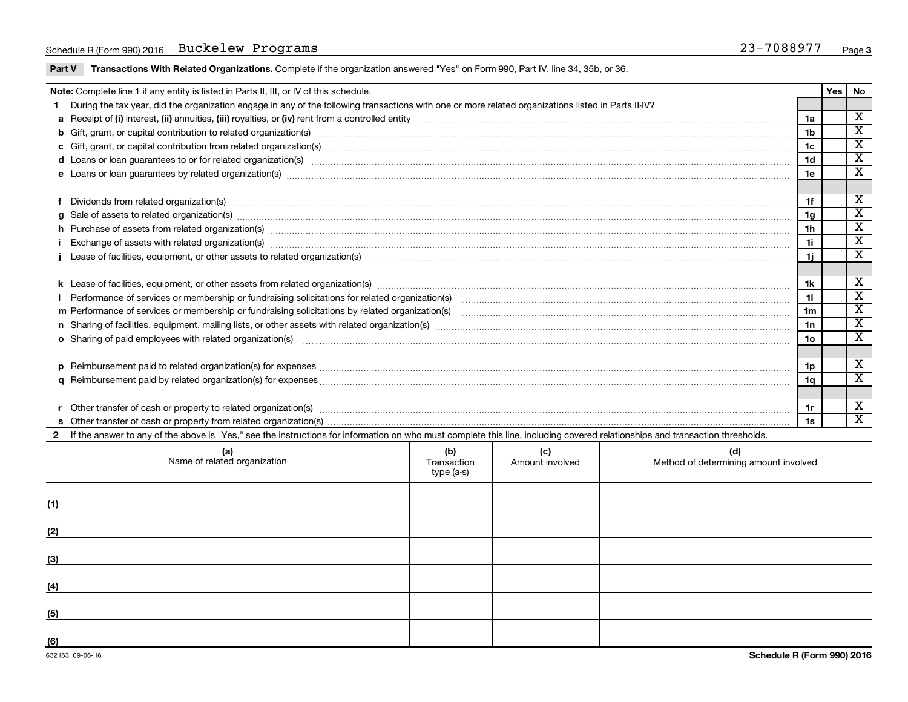### Schedule R (Form 990) 2016 **Buckelew Programs** 23-7088977 <sub>Page</sub>

Part V Transactions With Related Organizations. Complete if the organization answered "Yes" on Form 990, Part IV, line 34, 35b, or 36.

|  | Note: Complete line 1 if any entity is listed in Parts II, III, or IV of this schedule.                                                                                                                                        |                    |                        |                                              |                | Yes | No                                                 |  |  |
|--|--------------------------------------------------------------------------------------------------------------------------------------------------------------------------------------------------------------------------------|--------------------|------------------------|----------------------------------------------|----------------|-----|----------------------------------------------------|--|--|
|  | During the tax year, did the organization engage in any of the following transactions with one or more related organizations listed in Parts II-IV?                                                                            |                    |                        |                                              |                |     |                                                    |  |  |
|  |                                                                                                                                                                                                                                |                    |                        |                                              | 1a             |     | $\overline{\mathbf{X}}$                            |  |  |
|  |                                                                                                                                                                                                                                |                    |                        |                                              | 1 <sub>b</sub> |     | $\overline{\mathbf{X}}$                            |  |  |
|  |                                                                                                                                                                                                                                |                    |                        |                                              | 1c             |     | $\overline{\texttt{x}}$<br>$\overline{\mathbf{x}}$ |  |  |
|  | d Loans or loan guarantees to or for related organization(s) www.communically.com/www.communically.com/www.communically.com/www.communically.com/www.communically.com/www.communically.com/www.communically.com/www.communical |                    |                        |                                              |                |     |                                                    |  |  |
|  |                                                                                                                                                                                                                                |                    |                        |                                              |                |     |                                                    |  |  |
|  |                                                                                                                                                                                                                                |                    |                        |                                              |                |     |                                                    |  |  |
|  | Dividends from related organization(s) material content and content and content and content and content and content and content and content and content and content and content and content and content and content and conten |                    |                        |                                              | 1f             |     | X                                                  |  |  |
|  |                                                                                                                                                                                                                                |                    |                        |                                              | 1g             |     | $\overline{\texttt{x}}$                            |  |  |
|  | h Purchase of assets from related organization(s) manufactured content to content the content of assets from related organization(s) manufactured content to content the content of the content of the content of the content  |                    |                        |                                              | 1 <sub>h</sub> |     | $\overline{\texttt{x}}$                            |  |  |
|  |                                                                                                                                                                                                                                |                    |                        |                                              |                |     |                                                    |  |  |
|  |                                                                                                                                                                                                                                |                    |                        |                                              |                |     | $\overline{\mathbf{x}}$                            |  |  |
|  |                                                                                                                                                                                                                                |                    |                        |                                              |                |     | $\overline{\mathbf{X}}$                            |  |  |
|  |                                                                                                                                                                                                                                |                    |                        |                                              |                |     |                                                    |  |  |
|  |                                                                                                                                                                                                                                |                    |                        |                                              | 11             |     | $\overline{\mathbf{x}}$                            |  |  |
|  |                                                                                                                                                                                                                                |                    |                        |                                              | 1 <sub>m</sub> |     | $\overline{\texttt{x}}$                            |  |  |
|  | n Sharing of facilities, equipment, mailing lists, or other assets with related organization(s) marror manufactured manufactured content and the Sharing of facilities, equipment, mailing lists, or other assets with related |                    |                        |                                              | 1n             |     | $\overline{\texttt{x}}$                            |  |  |
|  | o Sharing of paid employees with related organization(s) manufactured and content to the content of the content of the content of the content of the content of the content of the content of the content of the content of th |                    |                        |                                              | 1 <sub>o</sub> |     | $\overline{\texttt{x}}$                            |  |  |
|  |                                                                                                                                                                                                                                |                    |                        |                                              |                |     |                                                    |  |  |
|  |                                                                                                                                                                                                                                |                    |                        |                                              | 1p             |     | х                                                  |  |  |
|  |                                                                                                                                                                                                                                |                    |                        |                                              | 1a             |     | $\overline{\texttt{x}}$                            |  |  |
|  |                                                                                                                                                                                                                                |                    |                        |                                              |                |     |                                                    |  |  |
|  | Other transfer of cash or property to related organization(s) www.communities.com/www.communities/communities/                                                                                                                 |                    |                        |                                              | 1r             |     | X                                                  |  |  |
|  |                                                                                                                                                                                                                                |                    |                        |                                              | 1s             |     | $\overline{\mathbf{x}}$                            |  |  |
|  | If the answer to any of the above is "Yes," see the instructions for information on who must complete this line, including covered relationships and transaction thresholds.                                                   |                    |                        |                                              |                |     |                                                    |  |  |
|  | (a)<br>Name of related organization                                                                                                                                                                                            | (b)<br>Transaction | (c)<br>Amount involved | (d)<br>Method of determining amount involved |                |     |                                                    |  |  |

|     | Name of related organization                                | $\mathbf{v}$<br>Transaction<br>type (a-s) | $\mathbf{v}$<br>Amount involved | $\mathbf{v}$<br>Method of determining amount involved |
|-----|-------------------------------------------------------------|-------------------------------------------|---------------------------------|-------------------------------------------------------|
| (1) |                                                             |                                           |                                 |                                                       |
| (2) |                                                             |                                           |                                 |                                                       |
| (3) | <u> 1989 - Andrea Stadt Britain, amerikansk politiker (</u> |                                           |                                 |                                                       |
| (4) |                                                             |                                           |                                 |                                                       |
| (5) |                                                             |                                           |                                 |                                                       |
| (6) |                                                             |                                           |                                 |                                                       |

 $\overline{\phantom{0}}$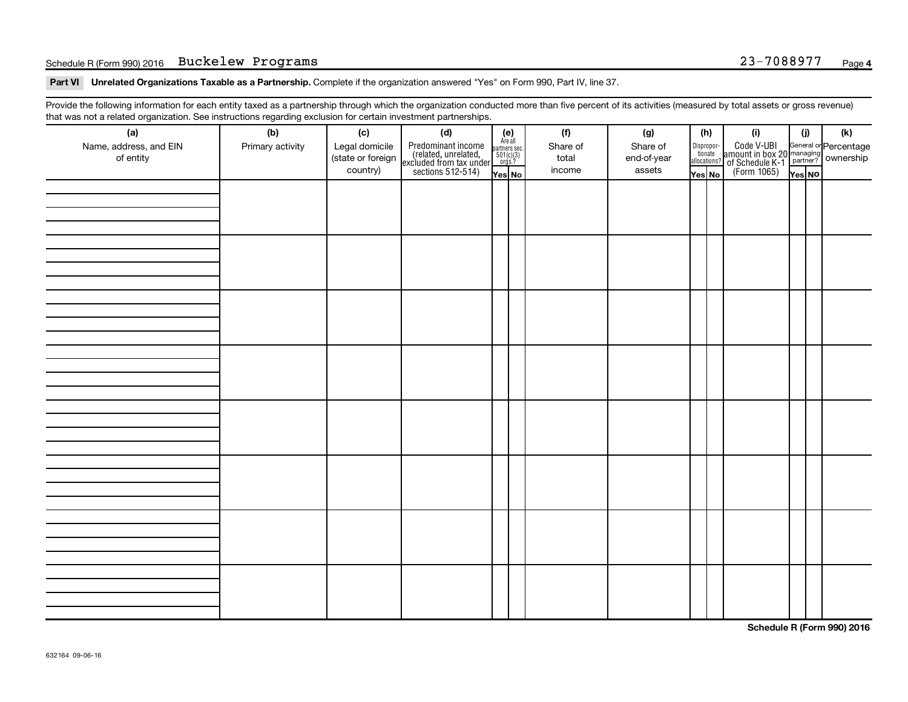### Schedule R (Form 990) 2016 **Buckelew Programs** 23-7088977 <sub>Page</sub>

Part VI Unrelated Organizations Taxable as a Partnership. Complete if the organization answered "Yes" on Form 990, Part IV, line 37.

Provide the following information for each entity taxed as a partnership through which the organization conducted more than five percent of its activities (measured by total assets or gross revenue) that was not a related organization. See instructions regarding exclusion for certain investment partnerships.

| hat neo hot a rolatod organization. Ooo inotraotiono rogaranty oxolaolon for oortain invootmont partnolompo.<br>(a) | (b)              | (c)               | (d)                                                                                        |                                                          |  | (f)      | (g)         |        | (h)                                                              | (i)                                                                                 | (j)    | (k) |
|---------------------------------------------------------------------------------------------------------------------|------------------|-------------------|--------------------------------------------------------------------------------------------|----------------------------------------------------------|--|----------|-------------|--------|------------------------------------------------------------------|-------------------------------------------------------------------------------------|--------|-----|
| Name, address, and EIN                                                                                              | Primary activity | Legal domicile    |                                                                                            | (e)<br>Are all<br>partners sec.<br>$501(c)(3)$<br>orgs.? |  | Share of | Share of    |        |                                                                  |                                                                                     |        |     |
| of entity                                                                                                           |                  | (state or foreign |                                                                                            |                                                          |  | total    | end-of-year |        | $\begin{tabular}{c} Dispropor-tionateallocations? \end{tabular}$ |                                                                                     |        |     |
|                                                                                                                     |                  | country)          | Predominant income<br>(related, unrelated,<br>excluded from tax under<br>sections 512-514) | Yes No                                                   |  | income   | assets      | Yes No |                                                                  | Code V-UBI<br>amount in box 20 managing<br>of Schedule K-1<br>(Form 1065)<br>ves No | Yes NO |     |
|                                                                                                                     |                  |                   |                                                                                            |                                                          |  |          |             |        |                                                                  |                                                                                     |        |     |
|                                                                                                                     |                  |                   |                                                                                            |                                                          |  |          |             |        |                                                                  |                                                                                     |        |     |
|                                                                                                                     |                  |                   |                                                                                            |                                                          |  |          |             |        |                                                                  |                                                                                     |        |     |
|                                                                                                                     |                  |                   |                                                                                            |                                                          |  |          |             |        |                                                                  |                                                                                     |        |     |
|                                                                                                                     |                  |                   |                                                                                            |                                                          |  |          |             |        |                                                                  |                                                                                     |        |     |
|                                                                                                                     |                  |                   |                                                                                            |                                                          |  |          |             |        |                                                                  |                                                                                     |        |     |
|                                                                                                                     |                  |                   |                                                                                            |                                                          |  |          |             |        |                                                                  |                                                                                     |        |     |
|                                                                                                                     |                  |                   |                                                                                            |                                                          |  |          |             |        |                                                                  |                                                                                     |        |     |
|                                                                                                                     |                  |                   |                                                                                            |                                                          |  |          |             |        |                                                                  |                                                                                     |        |     |
|                                                                                                                     |                  |                   |                                                                                            |                                                          |  |          |             |        |                                                                  |                                                                                     |        |     |
|                                                                                                                     |                  |                   |                                                                                            |                                                          |  |          |             |        |                                                                  |                                                                                     |        |     |
|                                                                                                                     |                  |                   |                                                                                            |                                                          |  |          |             |        |                                                                  |                                                                                     |        |     |
|                                                                                                                     |                  |                   |                                                                                            |                                                          |  |          |             |        |                                                                  |                                                                                     |        |     |
|                                                                                                                     |                  |                   |                                                                                            |                                                          |  |          |             |        |                                                                  |                                                                                     |        |     |
|                                                                                                                     |                  |                   |                                                                                            |                                                          |  |          |             |        |                                                                  |                                                                                     |        |     |
|                                                                                                                     |                  |                   |                                                                                            |                                                          |  |          |             |        |                                                                  |                                                                                     |        |     |
|                                                                                                                     |                  |                   |                                                                                            |                                                          |  |          |             |        |                                                                  |                                                                                     |        |     |
|                                                                                                                     |                  |                   |                                                                                            |                                                          |  |          |             |        |                                                                  |                                                                                     |        |     |
|                                                                                                                     |                  |                   |                                                                                            |                                                          |  |          |             |        |                                                                  |                                                                                     |        |     |
|                                                                                                                     |                  |                   |                                                                                            |                                                          |  |          |             |        |                                                                  |                                                                                     |        |     |
|                                                                                                                     |                  |                   |                                                                                            |                                                          |  |          |             |        |                                                                  |                                                                                     |        |     |
|                                                                                                                     |                  |                   |                                                                                            |                                                          |  |          |             |        |                                                                  |                                                                                     |        |     |
|                                                                                                                     |                  |                   |                                                                                            |                                                          |  |          |             |        |                                                                  |                                                                                     |        |     |
|                                                                                                                     |                  |                   |                                                                                            |                                                          |  |          |             |        |                                                                  |                                                                                     |        |     |
|                                                                                                                     |                  |                   |                                                                                            |                                                          |  |          |             |        |                                                                  |                                                                                     |        |     |
|                                                                                                                     |                  |                   |                                                                                            |                                                          |  |          |             |        |                                                                  |                                                                                     |        |     |
|                                                                                                                     |                  |                   |                                                                                            |                                                          |  |          |             |        |                                                                  |                                                                                     |        |     |
|                                                                                                                     |                  |                   |                                                                                            |                                                          |  |          |             |        |                                                                  |                                                                                     |        |     |
|                                                                                                                     |                  |                   |                                                                                            |                                                          |  |          |             |        |                                                                  |                                                                                     |        |     |
|                                                                                                                     |                  |                   |                                                                                            |                                                          |  |          |             |        |                                                                  |                                                                                     |        |     |
|                                                                                                                     |                  |                   |                                                                                            |                                                          |  |          |             |        |                                                                  |                                                                                     |        |     |
|                                                                                                                     |                  |                   |                                                                                            |                                                          |  |          |             |        |                                                                  |                                                                                     |        |     |

**Schedule R (Form 990) 2016**